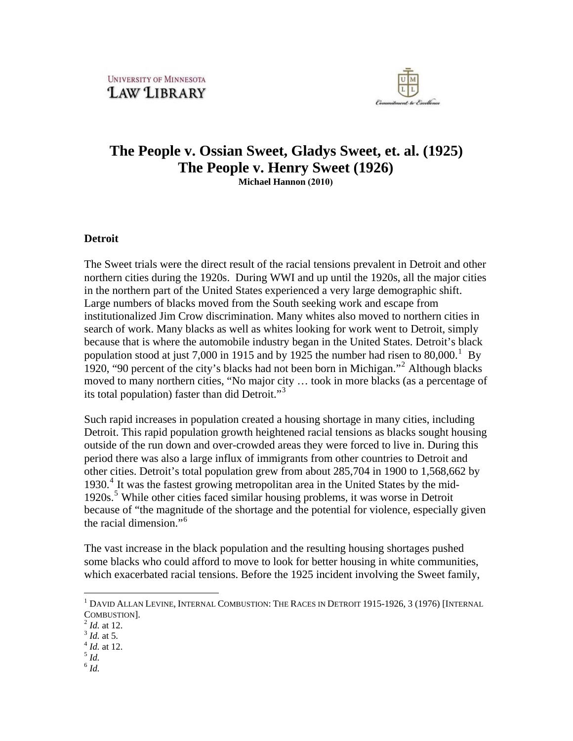

# **The People v. Ossian Sweet, Gladys Sweet, et. al. (1925) The People v. Henry Sweet (1926) Michael Hannon (2010)**

### **Detroit**

The Sweet trials were the direct result of the racial tensions prevalent in Detroit and other northern cities during the 1920s. During WWI and up until the 1920s, all the major cities in the northern part of the United States experienced a very large demographic shift. Large numbers of blacks moved from the South seeking work and escape from institutionalized Jim Crow discrimination. Many whites also moved to northern cities in search of work. Many blacks as well as whites looking for work went to Detroit, simply because that is where the automobile industry began in the United States. Detroit's black population stood at just 7,000 in [1](#page-0-0)915 and by 1925 the number had risen to  $80,000$ .<sup>1</sup> By 1920, "90 percent of the city's blacks had not been born in Michigan."[2](#page-0-1) Although blacks moved to many northern cities, "No major city … took in more blacks (as a percentage of its total population) faster than did Detroit."<sup>[3](#page-0-2)</sup>

Such rapid increases in population created a housing shortage in many cities, including Detroit. This rapid population growth heightened racial tensions as blacks sought housing outside of the run down and over-crowded areas they were forced to live in. During this period there was also a large influx of immigrants from other countries to Detroit and other cities. Detroit's total population grew from about 285,704 in 1900 to 1,568,662 by 1930.<sup>[4](#page-0-3)</sup> It was the fastest growing metropolitan area in the United States by the mid-1920s.<sup>[5](#page-0-4)</sup> While other cities faced similar housing problems, it was worse in Detroit because of "the magnitude of the shortage and the potential for violence, especially given the racial dimension."[6](#page-0-5)

The vast increase in the black population and the resulting housing shortages pushed some blacks who could afford to move to look for better housing in white communities, which exacerbated racial tensions. Before the 1925 incident involving the Sweet family,

- <span id="page-0-3"></span><span id="page-0-2"></span>
- <span id="page-0-5"></span><span id="page-0-4"></span>
- <sup>6</sup> *Id.*

<span id="page-0-0"></span> $^{\rm 1}$  David Allan Levine, Internal Combustion: The Races in Detroit 1915-1926, 3 (1976) [Internal COMBUSTION]. 2 *Id.* at 12. 3 *Id.* at 5. 4 *Id.* at 12. 5 *Id.*

<span id="page-0-1"></span>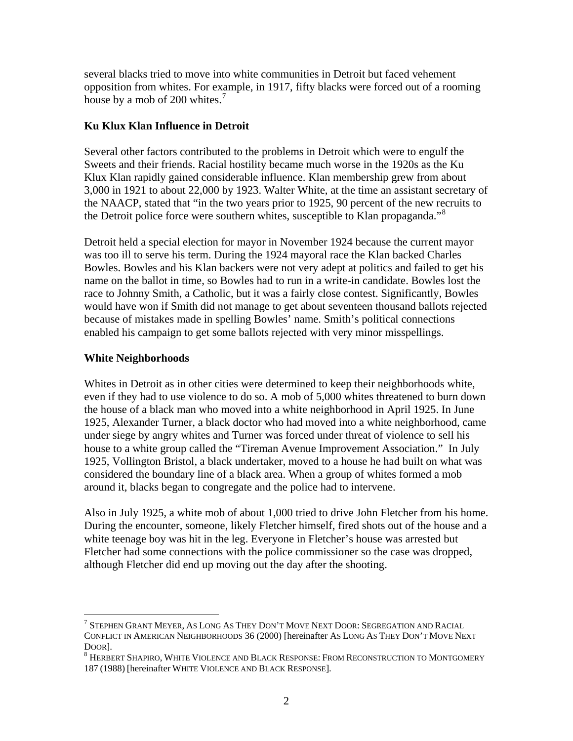several blacks tried to move into white communities in Detroit but faced vehement opposition from whites. For example, in 1917, fifty blacks were forced out of a rooming house by a mob of 200 whites. $\frac{7}{1}$  $\frac{7}{1}$  $\frac{7}{1}$ 

# **Ku Klux Klan Influence in Detroit**

Several other factors contributed to the problems in Detroit which were to engulf the Sweets and their friends. Racial hostility became much worse in the 1920s as the Ku Klux Klan rapidly gained considerable influence. Klan membership grew from about 3,000 in 1921 to about 22,000 by 1923. Walter White, at the time an assistant secretary of the NAACP, stated that "in the two years prior to 1925, 90 percent of the new recruits to the Detroit police force were southern whites, susceptible to Klan propaganda."<sup>[8](#page-1-1)</sup>

Detroit held a special election for mayor in November 1924 because the current mayor was too ill to serve his term. During the 1924 mayoral race the Klan backed Charles Bowles. Bowles and his Klan backers were not very adept at politics and failed to get his name on the ballot in time, so Bowles had to run in a write-in candidate. Bowles lost the race to Johnny Smith, a Catholic, but it was a fairly close contest. Significantly, Bowles would have won if Smith did not manage to get about seventeen thousand ballots rejected because of mistakes made in spelling Bowles' name. Smith's political connections enabled his campaign to get some ballots rejected with very minor misspellings.

# **White Neighborhoods**

 $\overline{a}$ 

Whites in Detroit as in other cities were determined to keep their neighborhoods white, even if they had to use violence to do so. A mob of 5,000 whites threatened to burn down the house of a black man who moved into a white neighborhood in April 1925. In June 1925, Alexander Turner, a black doctor who had moved into a white neighborhood, came under siege by angry whites and Turner was forced under threat of violence to sell his house to a white group called the "Tireman Avenue Improvement Association." In July 1925, Vollington Bristol, a black undertaker, moved to a house he had built on what was considered the boundary line of a black area. When a group of whites formed a mob around it, blacks began to congregate and the police had to intervene.

Also in July 1925, a white mob of about 1,000 tried to drive John Fletcher from his home. During the encounter, someone, likely Fletcher himself, fired shots out of the house and a white teenage boy was hit in the leg. Everyone in Fletcher's house was arrested but Fletcher had some connections with the police commissioner so the case was dropped, although Fletcher did end up moving out the day after the shooting.

<span id="page-1-0"></span> $^7$  Stephen Grant Meyer, As Long As They Don't Move Next Door: Segregation and Racial CONFLICT IN AMERICAN NEIGHBORHOODS 36 (2000) [hereinafter AS LONG AS THEY DON'T MOVE NEXT DOOR<sub>]</sub>.

<span id="page-1-1"></span> $^8$  Herbert Shapiro, White Violence and Black Response: From Reconstruction to Montgomery 187 (1988) [hereinafter WHITE VIOLENCE AND BLACK RESPONSE].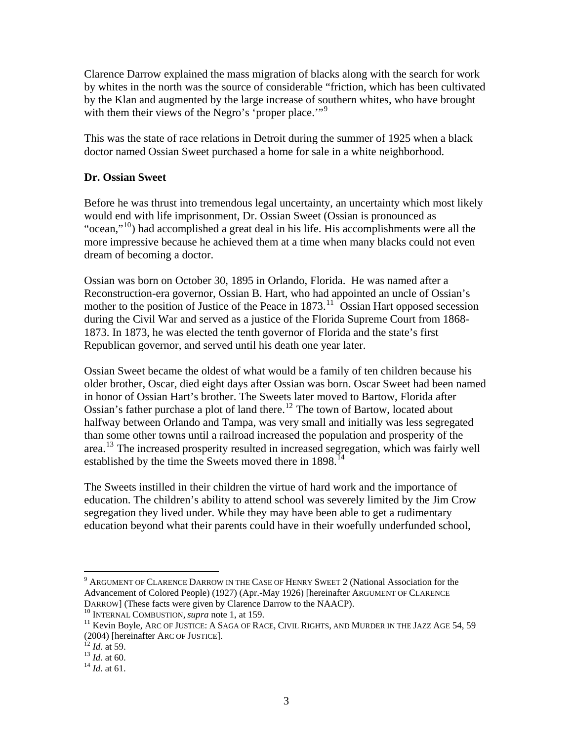Clarence Darrow explained the mass migration of blacks along with the search for work by whites in the north was the source of considerable "friction, which has been cultivated by the Klan and augmented by the large increase of southern whites, who have brought with them their views of the Negro's 'proper place."<sup>[9](#page-2-0)</sup>

This was the state of race relations in Detroit during the summer of 1925 when a black doctor named Ossian Sweet purchased a home for sale in a white neighborhood.

# **Dr. Ossian Sweet**

Before he was thrust into tremendous legal uncertainty, an uncertainty which most likely would end with life imprisonment, Dr. Ossian Sweet (Ossian is pronounced as "ocean,"[10](#page-2-1)) had accomplished a great deal in his life. His accomplishments were all the more impressive because he achieved them at a time when many blacks could not even dream of becoming a doctor.

Ossian was born on October 30, 1895 in Orlando, Florida. He was named after a Reconstruction-era governor, Ossian B. Hart, who had appointed an uncle of Ossian's mother to the position of Justice of the Peace in  $1873$ .<sup>[11](#page-2-2)</sup> Ossian Hart opposed secession during the Civil War and served as a justice of the Florida Supreme Court from 1868- 1873. In 1873, he was elected the tenth governor of Florida and the state's first Republican governor, and served until his death one year later.

Ossian Sweet became the oldest of what would be a family of ten children because his older brother, Oscar, died eight days after Ossian was born. Oscar Sweet had been named in honor of Ossian Hart's brother. The Sweets later moved to Bartow, Florida after Ossian's father purchase a plot of land there.<sup>[12](#page-2-3)</sup> The town of Bartow, located about halfway between Orlando and Tampa, was very small and initially was less segregated than some other towns until a railroad increased the population and prosperity of the area.[13](#page-2-4) The increased prosperity resulted in increased segregation, which was fairly well established by the time the Sweets moved there in 1898.<sup>[14](#page-2-5)</sup>

The Sweets instilled in their children the virtue of hard work and the importance of education. The children's ability to attend school was severely limited by the Jim Crow segregation they lived under. While they may have been able to get a rudimentary education beyond what their parents could have in their woefully underfunded school,

<span id="page-2-0"></span> $9$  Argument of Clarence Darrow in the Case of Henry Sweet 2 (National Association for the Advancement of Colored People) (1927) (Apr.-May 1926) [hereinafter ARGUMENT OF CLARENCE DARROW] (These facts were given by Clarence Darrow to the NAACP).

<span id="page-2-2"></span><span id="page-2-1"></span><sup>&</sup>lt;sup>10</sup> INTERNAL COMBUSTION, *supra* note 1, at 159.<br><sup>11</sup> Kevin Boyle, ARC OF JUSTICE: A SAGA OF RACE, CIVIL RIGHTS, AND MURDER IN THE JAZZ AGE 54, 59 (2004) [hereinafter ARC OF JUSTICE]. 12 *Id.* at 59. 13 *Id.* at 60. 14 *Id.* at 61.

<span id="page-2-4"></span><span id="page-2-3"></span>

<span id="page-2-5"></span>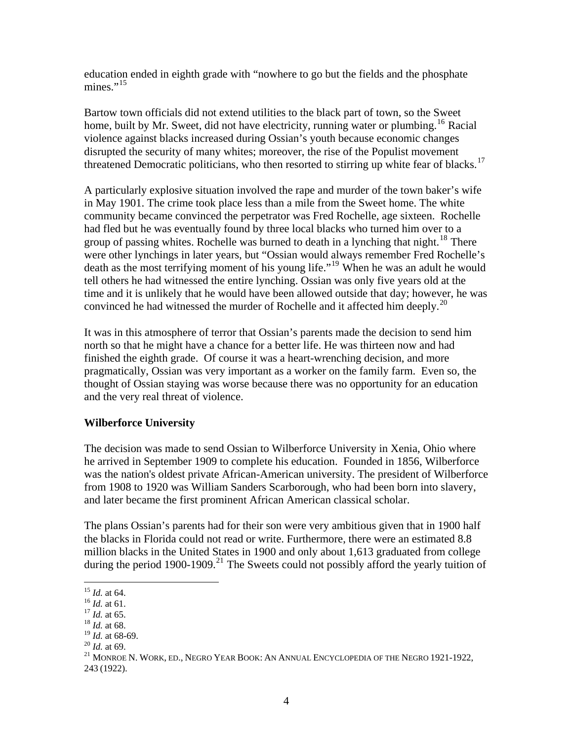education ended in eighth grade with "nowhere to go but the fields and the phosphate mines." $^{15}$  $^{15}$  $^{15}$ 

Bartow town officials did not extend utilities to the black part of town, so the Sweet home, built by Mr. Sweet, did not have electricity, running water or plumbing.<sup>[16](#page-3-1)</sup> Racial violence against blacks increased during Ossian's youth because economic changes disrupted the security of many whites; moreover, the rise of the Populist movement threatened Democratic politicians, who then resorted to stirring up white fear of blacks.<sup>[17](#page-3-2)</sup>

A particularly explosive situation involved the rape and murder of the town baker's wife in May 1901. The crime took place less than a mile from the Sweet home. The white community became convinced the perpetrator was Fred Rochelle, age sixteen. Rochelle had fled but he was eventually found by three local blacks who turned him over to a group of passing whites. Rochelle was burned to death in a lynching that night.<sup>[18](#page-3-3)</sup> There were other lynchings in later years, but "Ossian would always remember Fred Rochelle's death as the most terrifying moment of his young life."[19](#page-3-4) When he was an adult he would tell others he had witnessed the entire lynching. Ossian was only five years old at the time and it is unlikely that he would have been allowed outside that day; however, he was convinced he had witnessed the murder of Rochelle and it affected him deeply.<sup>[20](#page-3-5)</sup>

It was in this atmosphere of terror that Ossian's parents made the decision to send him north so that he might have a chance for a better life. He was thirteen now and had finished the eighth grade. Of course it was a heart-wrenching decision, and more pragmatically, Ossian was very important as a worker on the family farm. Even so, the thought of Ossian staying was worse because there was no opportunity for an education and the very real threat of violence.

#### **Wilberforce University**

The decision was made to send Ossian to Wilberforce University in Xenia, Ohio where he arrived in September 1909 to complete his education. Founded in 1856, Wilberforce was the nation's oldest private African-American university. The president of Wilberforce from 1908 to 1920 was William Sanders Scarborough, who had been born into slavery, and later became the first prominent African American classical scholar.

The plans Ossian's parents had for their son were very ambitious given that in 1900 half the blacks in Florida could not read or write. Furthermore, there were an estimated 8.8 million blacks in the United States in 1900 and only about 1,613 graduated from college during the period  $1900-1909$ .<sup>[21](#page-3-6)</sup> The Sweets could not possibly afford the yearly tuition of

 $^{15}$  *Id.* at 64.

<span id="page-3-3"></span>

<span id="page-3-2"></span><span id="page-3-1"></span><span id="page-3-0"></span><sup>16</sup> *Id.* at 61.<br><sup>17</sup> *Id.* at 65.<br><sup>18</sup> *Id.* at 68.<br><sup>19</sup> *Id.* at 68-69.

<span id="page-3-6"></span><span id="page-3-5"></span><span id="page-3-4"></span><sup>&</sup>lt;sup>20</sup> *Id.* at 69.<br><sup>21</sup> Monroe N. Work, ed., Negro Year Book: An Annual Encyclopedia of the Negro 1921-1922, 243 (1922).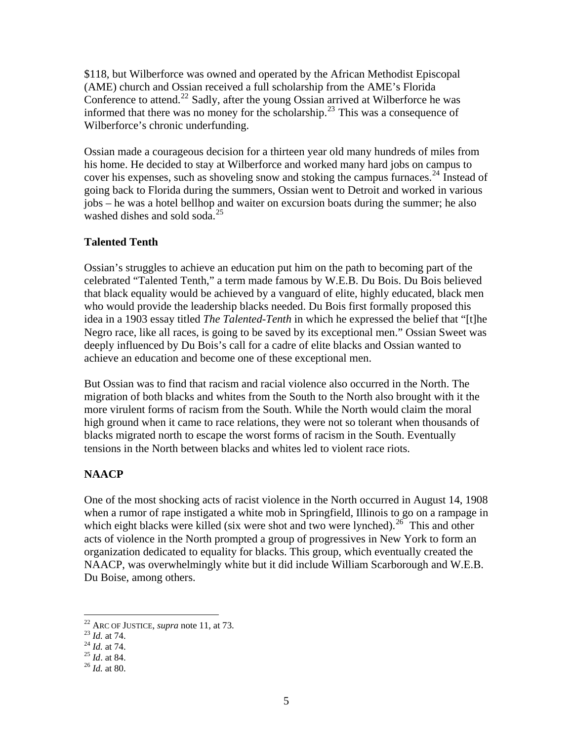\$118, but Wilberforce was owned and operated by the African Methodist Episcopal (AME) church and Ossian received a full scholarship from the AME's Florida Conference to attend.<sup>[22](#page-4-0)</sup> Sadly, after the young Ossian arrived at Wilberforce he was informed that there was no money for the scholarship.<sup>[23](#page-4-1)</sup> This was a consequence of Wilberforce's chronic underfunding.

Ossian made a courageous decision for a thirteen year old many hundreds of miles from his home. He decided to stay at Wilberforce and worked many hard jobs on campus to cover his expenses, such as shoveling snow and stoking the campus furnaces.<sup>[24](#page-4-2)</sup> Instead of going back to Florida during the summers, Ossian went to Detroit and worked in various jobs – he was a hotel bellhop and waiter on excursion boats during the summer; he also washed dishes and sold soda. $25$ 

# **Talented Tenth**

Ossian's struggles to achieve an education put him on the path to becoming part of the celebrated "Talented Tenth," a term made famous by W.E.B. Du Bois. Du Bois believed that black equality would be achieved by a vanguard of elite, highly educated, black men who would provide the leadership blacks needed. Du Bois first formally proposed this idea in a 1903 essay titled *The Talented-Tenth* in which he expressed the belief that "[t]he Negro race, like all races, is going to be saved by its exceptional men." Ossian Sweet was deeply influenced by Du Bois's call for a cadre of elite blacks and Ossian wanted to achieve an education and become one of these exceptional men.

But Ossian was to find that racism and racial violence also occurred in the North. The migration of both blacks and whites from the South to the North also brought with it the more virulent forms of racism from the South. While the North would claim the moral high ground when it came to race relations, they were not so tolerant when thousands of blacks migrated north to escape the worst forms of racism in the South. Eventually tensions in the North between blacks and whites led to violent race riots.

# **NAACP**

One of the most shocking acts of racist violence in the North occurred in August 14, 1908 when a rumor of rape instigated a white mob in Springfield, Illinois to go on a rampage in which eight blacks were killed (six were shot and two were lynched).<sup>[26](#page-4-4)</sup> This and other acts of violence in the North prompted a group of progressives in New York to form an organization dedicated to equality for blacks. This group, which eventually created the NAACP, was overwhelmingly white but it did include William Scarborough and W.E.B. Du Boise, among others.

<span id="page-4-0"></span><sup>&</sup>lt;sup>22</sup> ARC OF JUSTICE, *supra* note 11, at 73.<br><sup>23</sup> *Id.* at 74.<br><sup>24</sup> *Id.* at 74.<br><sup>25</sup> *Id.* at 84.<br><sup>26</sup> *Id.* at 80.

<span id="page-4-1"></span>

<span id="page-4-2"></span>

<span id="page-4-4"></span><span id="page-4-3"></span>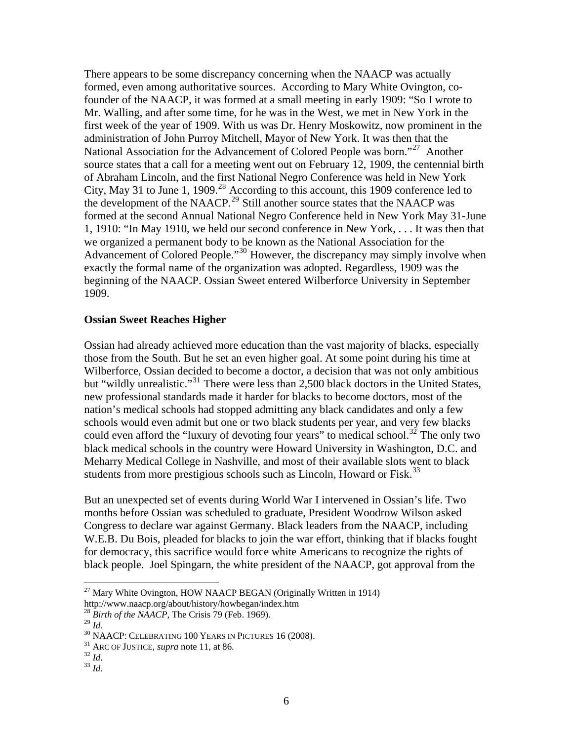There appears to be some discrepancy concerning when the NAACP was actually formed, even among authoritative sources. According to Mary White Ovington, cofounder of the NAACP, it was formed at a small meeting in early 1909: "So I wrote to Mr. Walling, and after some time, for he was in the West, we met in New York in the first week of the year of 1909. With us was Dr. Henry Moskowitz, now prominent in the administration of John Purroy Mitchell, Mayor of New York. It was then that the National Association for the Advancement of Colored People was born."<sup>[27](#page-5-0)</sup> Another source states that a call for a meeting went out on February 12, 1909, the centennial birth of Abraham Lincoln, and the first National Negro Conference was held in New York City, May 31 to June 1, 1909.<sup>[28](#page-5-1)</sup> According to this account, this 1909 conference led to the development of the NAACP.[29](#page-5-2) Still another source states that the NAACP was formed at the second Annual National Negro Conference held in New York May 31-June 1, 1910: "In May 1910, we held our second conference in New York, . . . It was then that we organized a permanent body to be known as the National Association for t he Advancement of Colored People."<sup>[30](#page-5-3)</sup> However, the discrepancy may simply involve when exactly the formal name of the organization was adopted. Regardless, 1909 was the beginning of the NAACP. Ossian Sweet entered Wilberforce University in September 1909.

### **Ossian Sweet Reaches Higher**

Ossian had already achieved more education than the vast majority of blacks, especially those from the South. But he set an even higher goal. At some point during his time at Wilberforce, Ossian decided to become a doctor, a decision that was not only ambitious but "wildly unrealistic."<sup>[31](#page-5-4)</sup> There were less than 2,500 black doctors in the United States, new professional standards made it harder for blacks to become doctors, most of the nation's medical schools had stopped admitting any black candidates and only a few schools would even admit but one or two black students per year, and very few blacks could even afford the "luxury of devoting four years" to medical school.<sup>[32](#page-5-5)</sup> The only two black medical schools in the country were Howard University in Washington, D.C. and Meharry Medical College in Nashville, and most of their available slots went to black students from more prestigious schools such as Lincoln, Howard or Fisk.<sup>[33](#page-5-6)</sup>

But an unexpected set of events during World War I intervened in Ossian's life. Two months before Ossian was scheduled to graduate, President Woodrow Wilson asked Congress to declare war against Germany. Black leaders from the NAACP, including W.E.B. Du Bois, pleaded for blacks to join the war effort, thinking that if blacks fought for democracy, this sacrifice would force white Americans to recognize the rights of black people. Joel Spingarn, the white president of the NAACP, got approval from the

1

<span id="page-5-0"></span> $^{27}$  Mary White Ovington, HOW NAACP BEGAN (Originally Written in 1914)

http://www.naacp.org/about/history/howbegan/index.htm

<span id="page-5-1"></span><sup>&</sup>lt;sup>28</sup> *Birth of the NAACP*, The Crisis 79 (Feb. 1969).<br><sup>29</sup> *Id.* 

<span id="page-5-3"></span><span id="page-5-2"></span><sup>&</sup>lt;sup>30</sup> NAACP: CELEBRATING 100 YEARS IN PICTURES 16 (2008).<br><sup>31</sup> ARC OF JUSTICE, *supra* note 11, at 86. <sup>32</sup> *Id.* <sup>33</sup> *Id*.

<span id="page-5-6"></span><span id="page-5-5"></span><span id="page-5-4"></span>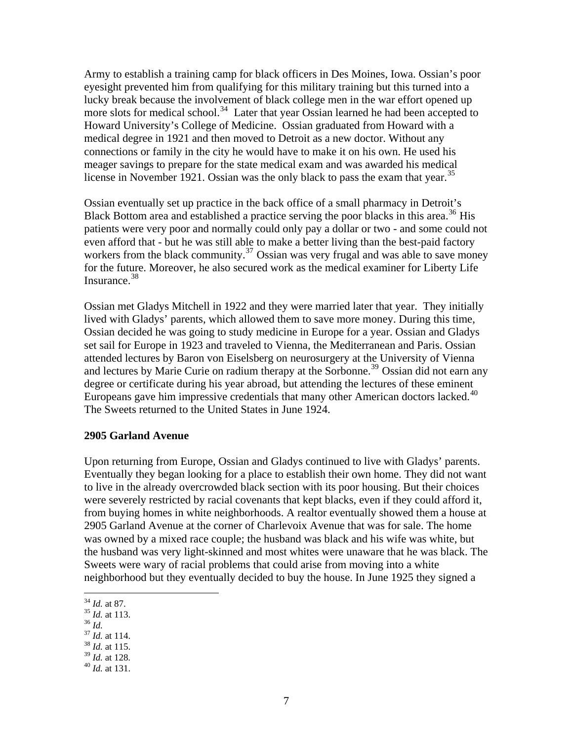Army to establish a training camp for black officers in Des Moines, Iowa. Ossian's poor eyesight prevented him from qualifying for this military training but this turned into a lucky break because the involvement of black college men in the war effort opened up more slots for medical school.<sup>[34](#page-6-0)</sup> Later that year Ossian learned he had been accepted to Howard University's College of Medicine. Ossian graduated from Howard with a medical degree in 1921 and then moved to Detroit as a new doctor. Without any connections or family in the city he would have to make it on his own. He used his meager savings to prepare for the state medical exam and was awarded his medical license in November 1921. Ossian was the only black to pass the exam that year.<sup>[35](#page-6-1)</sup>

Ossian eventually set up practice in the back office of a small pharmacy in Detroit's Black Bottom area and established a practice serving the poor blacks in this area.<sup>[36](#page-6-2)</sup> His patients were very poor and normally could only pay a dollar or two - and some could not even afford that - but he was still able to make a better living than the best-paid factory workers from the black community.<sup>[37](#page-6-3)</sup> Ossian was very frugal and was able to save money for the future. Moreover, he also secured work as the medical examiner for Liberty Life Insurance.<sup>[38](#page-6-4)</sup>

Ossian met Gladys Mitchell in 1922 and they were married later that year. They initially lived with Gladys' parents, which allowed them to save more money. During this time, Ossian decided he was going to study medicine in Europe for a year. Ossian and Gladys set sail for Europe in 1923 and traveled to Vienna, the Mediterranean and Paris. Ossian attended lectures by Baron von Eiselsberg on neurosurgery at the University of Vienna and lectures by Marie Curie on radium therapy at the Sorbonne.<sup>[39](#page-6-5)</sup> Ossian did not earn any degree or certificate during his year abroad, but attending the lectures of these eminent Europeans gave him impressive credentials that many other American doctors lacked.[40](#page-6-6) The Sweets returned to the United States in June 1924.

#### **2905 Garland Avenue**

Upon returning from Europe, Ossian and Gladys continued to live with Gladys' parents. Eventually they began looking for a place to establish their own home. They did not want to live in the already overcrowded black section with its poor housing. But their choices were severely restricted by racial covenants that kept blacks, even if they could afford it, from buying homes in white neighborhoods. A realtor eventually showed them a house at 2905 Garland Avenue at the corner of Charlevoix Avenue that was for sale. The home was owned by a mixed race couple; the husband was black and his wife was white, but the husband was very light-skinned and most whites were unaware that he was black. The Sweets were wary of racial problems that could arise from moving into a white neighborhood but they eventually decided to buy the house. In June 1925 they signed a

- <span id="page-6-1"></span>
- <span id="page-6-3"></span><span id="page-6-2"></span>
- <span id="page-6-0"></span>34 *Id.* at 87. 35 *Id.* at 113. 36 *Id.* 37 *Id.* at 114. 38 *Id.* at 115.

<span id="page-6-6"></span><span id="page-6-5"></span><span id="page-6-4"></span><sup>39</sup> *Id.* at 128. 40 *Id.* at 131.

<sup>&</sup>lt;u>.</u>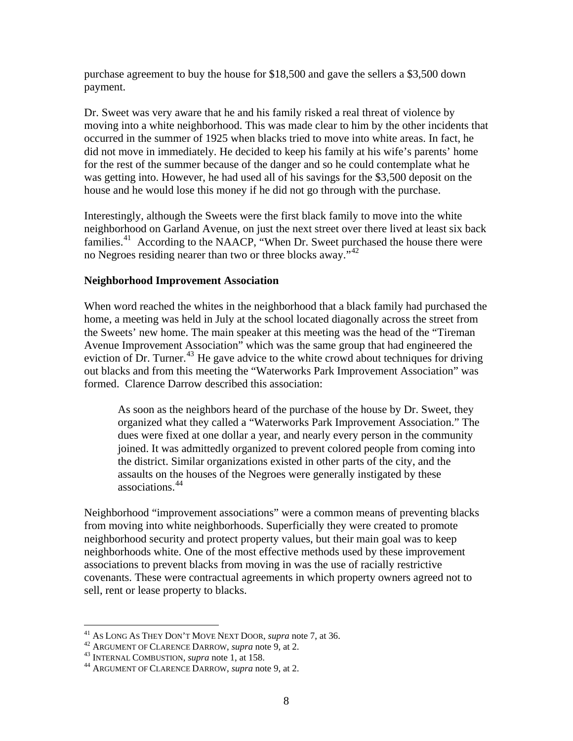purchase agreement to buy the house for \$18,500 and gave the sellers a \$3,500 down payment.

Dr. Sweet was very aware that he and his family risked a real threat of violence by moving into a white neighborhood. This was made clear to him by the other incidents that occurred in the summer of 1925 when blacks tried to move into white areas. In fact, he did not move in immediately. He decided to keep his family at his wife's parents' home for the rest of the summer because of the danger and so he could contemplate what he was getting into. However, he had used all of his savings for the \$3,500 deposit on the house and he would lose this money if he did not go through with the purchase.

Interestingly, although the Sweets were the first black family to move into the white neighborhood on Garland Avenue, on just the next street over there lived at least six back families.<sup>[41](#page-7-0)</sup> According to the NAACP, "When Dr. Sweet purchased the house there were no Negroes residing nearer than two or three blocks away.<sup> $1,42$  $1,42$ </sup>

## **Neighborhood Improvement Association**

When word reached the whites in the neighborhood that a black family had purchased the home, a meeting was held in July at the school located diagonally across the street from the Sweets' new home. The main speaker at this meeting was the head of the "Tireman Avenue Improvement Association" which was the same group that had engineered the eviction of Dr. Turner.<sup>[43](#page-7-2)</sup> He gave advice to the white crowd about techniques for driving out blacks and from this meeting the "Waterworks Park Improvement Association" was formed. Clarence Darrow described this association:

As soon as the neighbors heard of the purchase of the house by Dr. Sweet, they organized what they called a "Waterworks Park Improvement Association." The dues were fixed at one dollar a year, and nearly every person in the community joined. It was admittedly organized to prevent colored people from coming into the district. Similar organizations existed in other parts of the city, and the assaults on the houses of the Negroes were generally instigated by these associations.[44](#page-7-3)

Neighborhood "improvement associations" were a common means of preventing blacks from moving into white neighborhoods. Superficially they were created to promote neighborhood security and protect property values, but their main goal was to keep neighborhoods white. One of the most effective methods used by these improvement associations to prevent blacks from moving in was the use of racially restrictive covenants. These were contractual agreements in which property owners agreed not to sell, rent or lease property to blacks.

<span id="page-7-0"></span><sup>&</sup>lt;sup>41</sup> AS LONG AS THEY DON'T MOVE NEXT DOOR, *supra* note 7, at 36.

<span id="page-7-1"></span><sup>42&</sup>lt;br>ARGUMENT OF CLARENCE DARROW, *supra* note 9, at 2.<br><sup>43</sup> INTERNAL COMBUSTION, *supra* note 1, at 158.<br><sup>44</sup> ARGUMENT OF CLARENCE DARROW, *supra* note 9, at 2.

<span id="page-7-2"></span>

<span id="page-7-3"></span>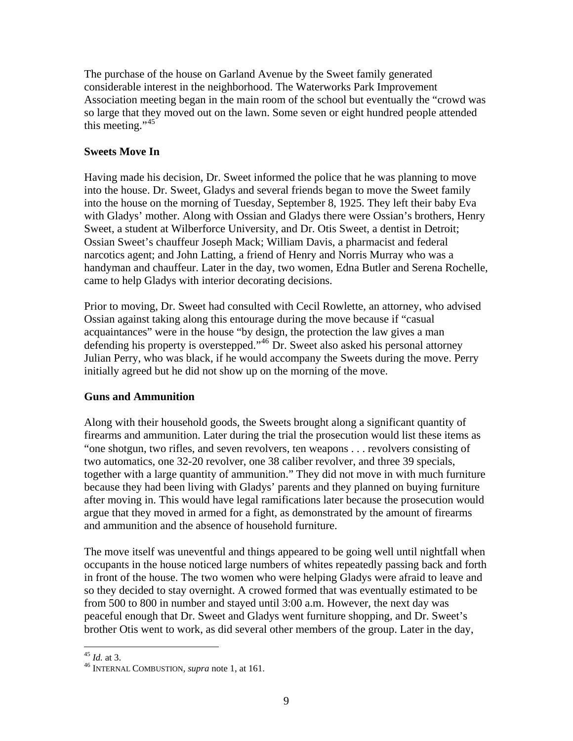The purchase of the house on Garland Avenue by the Sweet family generated considerable interest in the neighborhood. The Waterworks Park Improvement Association meeting began in the main room of the school but eventually the "crowd was so large that they moved out on the lawn. Some seven or eight hundred people attended this meeting." $45$ 

# **Sweets Move In**

Having made his decision, Dr. Sweet informed the police that he was planning to move into the house. Dr. Sweet, Gladys and several friends began to move the Sweet family into the house on the morning of Tuesday, September 8, 1925. They left their baby Eva with Gladys' mother. Along with Ossian and Gladys there were Ossian's brothers, Henry Sweet, a student at Wilberforce University, and Dr. Otis Sweet, a dentist in Detroit; Ossian Sweet's chauffeur Joseph Mack; William Davis, a pharmacist and federal narcotics agent; and John Latting, a friend of Henry and Norris Murray who was a handyman and chauffeur. Later in the day, two women, Edna Butler and Serena Rochelle, came to help Gladys with interior decorating decisions.

Prior to moving, Dr. Sweet had consulted with Cecil Rowlette, an attorney, who advised Ossian against taking along this entourage during the move because if "casual acquaintances" were in the house "by design, the protection the law gives a man defending his property is overstepped."[46](#page-8-1) Dr. Sweet also asked his personal attorney Julian Perry, who was black, if he would accompany the Sweets during the move. Perry initially agreed but he did not show up on the morning of the move.

## **Guns and Ammunition**

Along with their household goods, the Sweets brought along a significant quantity of firearms and ammunition. Later during the trial the prosecution would list these items as "one shotgun, two rifles, and seven revolvers, ten weapons . . . revolvers consisting of two automatics, one 32-20 revolver, one 38 caliber revolver, and three 39 specials, together with a large quantity of ammunition." They did not move in with much furniture because they had been living with Gladys' parents and they planned on buying furniture after moving in. This would have legal ramifications later because the prosecution would argue that they moved in armed for a fight, as demonstrated by the amount of firearms and ammunition and the absence of household furniture.

The move itself was uneventful and things appeared to be going well until nightfall when occupants in the house noticed large numbers of whites repeatedly passing back and forth in front of the house. The two women who were helping Gladys were afraid to leave and so they decided to stay overnight. A crowed formed that was eventually estimated to be from 500 to 800 in number and stayed until 3:00 a.m. However, the next day was peaceful enough that Dr. Sweet and Gladys went furniture shopping, and Dr. Sweet's brother Otis went to work, as did several other members of the group. Later in the day,

 $45$  *Id.* at 3.

<span id="page-8-1"></span><span id="page-8-0"></span><sup>&</sup>lt;sup>46</sup> INTERNAL COMBUSTION, *supra* note 1, at 161.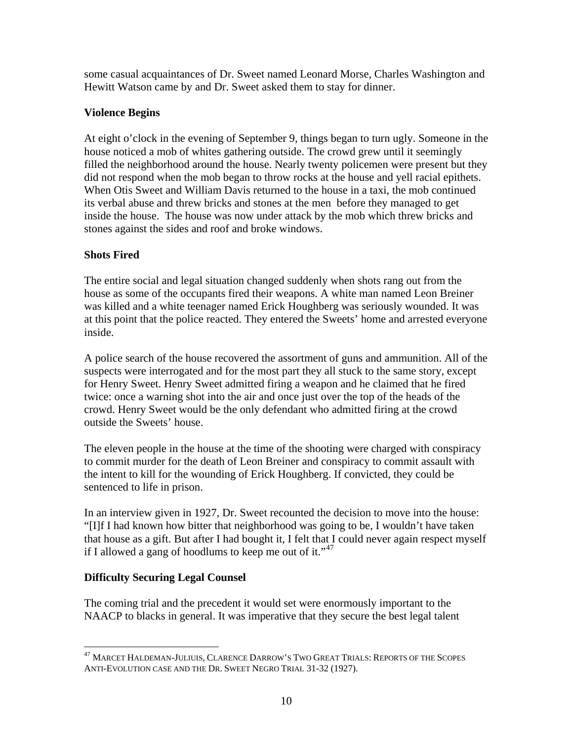some casual acquaintances of Dr. Sweet named Leonard Morse, Charles Washington and Hewitt Watson came by and Dr. Sweet asked them to stay for dinner.

# **Violence Begins**

At eight o'clock in the evening of September 9, things began to turn ugly. Someone in the house noticed a mob of whites gathering outside. The crowd grew until it seemingly filled the neighborhood around the house. Nearly twenty policemen were present but they did not respond when the mob began to throw rocks at the house and yell racial epithets. When Otis Sweet and William Davis returned to the house in a taxi, the mob continued its verbal abuse and threw bricks and stones at the men before they managed to get inside the house. The house was now under attack by the mob which threw bricks and stones against the sides and roof and broke windows.

# **Shots Fired**

The entire social and legal situation changed suddenly when shots rang out from the house as some of the occupants fired their weapons. A white man named Leon Breiner was killed and a white teenager named Erick Houghberg was seriously wounded. It was at this point that the police reacted. They entered the Sweets' home and arrested everyone inside.

A police search of the house recovered the assortment of guns and ammunition. All of the suspects were interrogated and for the most part they all stuck to the same story, except for Henry Sweet. Henry Sweet admitted firing a weapon and he claimed that he fired twice: once a warning shot into the air and once just over the top of the heads of the crowd. Henry Sweet would be the only defendant who admitted firing at the crowd outside the Sweets' house.

The eleven people in the house at the time of the shooting were charged with conspiracy to commit murder for the death of Leon Breiner and conspiracy to commit assault with the intent to kill for the wounding of Erick Houghberg. If convicted, they could be sentenced to life in prison.

In an interview given in 1927, Dr. Sweet recounted the decision to move into the house: "[I]f I had known how bitter that neighborhood was going to be, I wouldn't have taken that house as a gift. But after I had bought it, I felt that I could never again respect myself if I allowed a gang of hoodlums to keep me out of it."<sup>[47](#page-9-0)</sup>

# **Difficulty Securing Legal Counsel**

The coming trial and the precedent it would set were enormously important to the NAACP to blacks in general. It was imperative that they secure the best legal talent

<span id="page-9-0"></span> $\overline{a}$  $^{47}$  Marcet Haldeman-Juliuis, Clarence Darrow's Two Great Trials: Reports of the Scopes ANTI-EVOLUTION CASE AND THE DR. SWEET NEGRO TRIAL 31-32 (1927).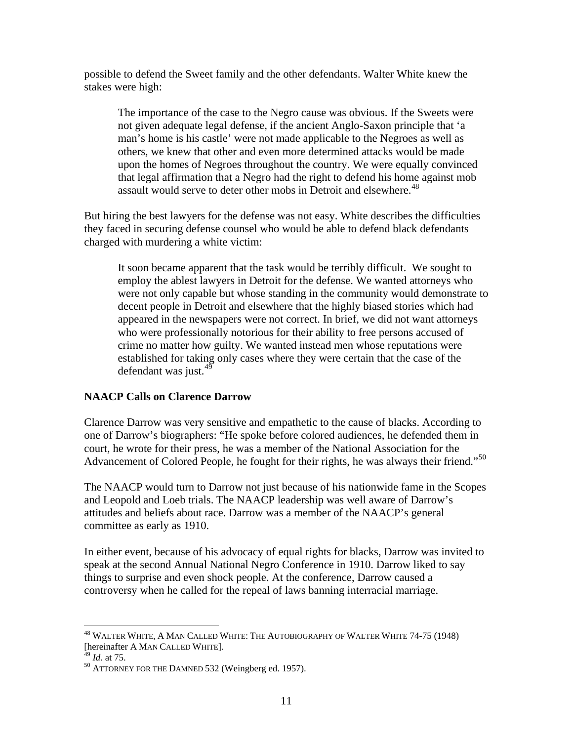possible to defend the Sweet family and the other defendants. Walter White knew the stakes were high:

The importance of the case to the Negro cause was obvious. If the Sweets were not given adequate legal defense, if the ancient Anglo-Saxon principle that 'a man's home is his castle' were not made applicable to the Negroes as well as others, we knew that other and even more determined attacks would be made upon the homes of Negroes throughout the country. We were equally convinced that legal affirmation that a Negro had the right to defend his home against mob assault would serve to deter other mobs in Detroit and elsewhere.<sup>[48](#page-10-0)</sup>

But hiring the best lawyers for the defense was not easy. White describes the difficulties they faced in securing defense counsel who would be able to defend black defendants charged with murdering a white victim:

It soon became apparent that the task would be terribly difficult. We sought to employ the ablest lawyers in Detroit for the defense. We wanted attorneys who were not only capable but whose standing in the community would demonstrate to decent people in Detroit and elsewhere that the highly biased stories which had appeared in the newspapers were not correct. In brief, we did not want attorneys who were professionally notorious for their ability to free persons accused of crime no matter how guilty. We wanted instead men whose reputations were established for taking only cases where they were certain that the case of the defendant was just. $49$ 

# **NAACP Calls on Clarence Darrow**

Clarence Darrow was very sensitive and empathetic to the cause of blacks. According to one of Darrow's biographers: "He spoke before colored audiences, he defended them in court, he wrote for their press, he was a member of the National Association for the Advancement of Colored People, he fought for their rights, he was always their friend."<sup>[50](#page-10-2)</sup>

The NAACP would turn to Darrow not just because of his nationwide fame in the Scopes and Leopold and Loeb trials. The NAACP leadership was well aware of Darrow's attitudes and beliefs about race. Darrow was a member of the NAACP's general committee as early as 1910.

In either event, because of his advocacy of equal rights for blacks, Darrow was invited to speak at the second Annual National Negro Conference in 1910. Darrow liked to say things to surprise and even shock people. At the conference, Darrow caused a controversy when he called for the repeal of laws banning interracial marriage.

<u>.</u>

<span id="page-10-0"></span><sup>48</sup> WALTER WHITE, A MAN CALLED WHITE: THE AUTOBIOGRAPHY OF WALTER WHITE 74-75 (1948) [hereinafter A MAN CALLED WHITE].<br> $^{49}$  *Id.* at 75.

<span id="page-10-2"></span><span id="page-10-1"></span><sup>&</sup>lt;sup>50</sup> ATTORNEY FOR THE DAMNED 532 (Weingberg ed. 1957).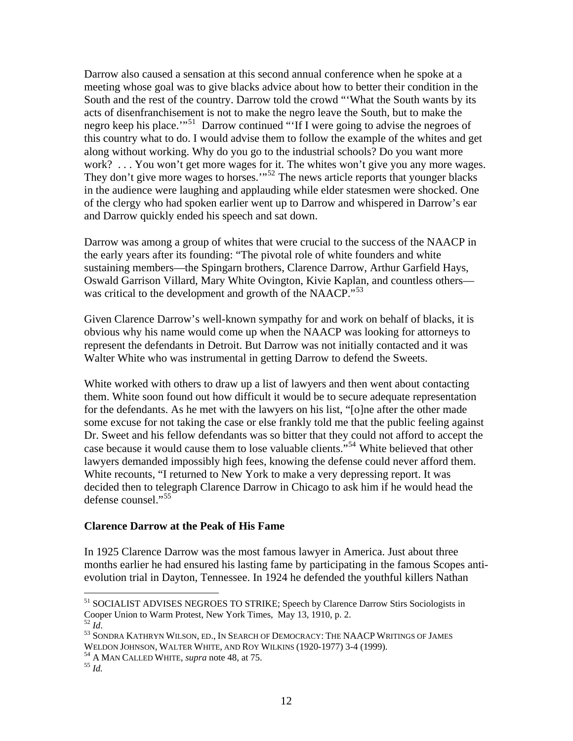Darrow also caused a sensation at this second annual conference when he spoke at a meeting whose goal was to give blacks advice about how to better their condition in the South and the rest of the country. Darrow told the crowd "'What the South wants by its acts of disenfranchisement is not to make the negro leave the South, but to make the negro keep his place.<sup>"[51](#page-11-0)</sup> Darrow continued "If I were going to advise the negroes of this country what to do. I would advise them to follow the example of the whites and get along without working. Why do you go to the industrial schools? Do you want more work? . . . You won't get more wages for it. The whites won't give you any more wages. They don't give more wages to horses."<sup>[52](#page-11-1)</sup> The news article reports that younger blacks in the audience were laughing and applauding while elder statesmen were shocked. One of the clergy who had spoken earlier went up to Darrow and whispered in Darrow's ear and Darrow quickly ended his speech and sat down.

Darrow was among a group of whites that were crucial to the success of the NAACP in the early years after its founding: "The pivotal role of white founders and white sustaining members—the Spingarn brothers, Clarence Darrow, Arthur Garfield Hays, Oswald Garrison Villard, Mary White Ovington, Kivie Kaplan, and countless others— was critical to the development and growth of the NAACP."<sup>[53](#page-11-2)</sup>

Given Clarence Darrow's well-known sympathy for and work on behalf of blacks, it is obvious why his name would come up when the NAACP was looking for attorneys to represent the defendants in Detroit. But Darrow was not initially contacted and it was Walter White who was instrumental in getting Darrow to defend the Sweets.

White worked with others to draw up a list of lawyers and then went about contacting them. White soon found out how difficult it would be to secure adequate representation for the defendants. As he met with the lawyers on his list, "[o]ne after the other made some excuse for not taking the case or else frankly told me that the public feeling against Dr. Sweet and his fellow defendants was so bitter that they could not afford to accept the case because it would cause them to lose valuable clients."[54](#page-11-3) White believed that other lawyers demanded impossibly high fees, knowing the defense could never afford them. White recounts, "I returned to New York to make a very depressing report. It was decided then to telegraph Clarence Darrow in Chicago to ask him if he would head the defense counsel."[55](#page-11-4)

## **Clarence Darrow at the Peak of His Fame**

In 1925 Clarence Darrow was the most famous lawyer in America. Just about three months earlier he had ensured his lasting fame by participating in the famous Scopes antievolution trial in Dayton, Tennessee. In 1924 he defended the youthful killers Nathan

<span id="page-11-0"></span><sup>&</sup>lt;sup>51</sup> SOCIALIST ADVISES NEGROES TO STRIKE; Speech by Clarence Darrow Stirs Sociologists in Cooper Union to Warm Protest, New York Times, May 13, 1910, p. 2.<br> $\frac{52}{1}$ 

<span id="page-11-2"></span><span id="page-11-1"></span><sup>&</sup>lt;sup>53</sup> SONDRA KATHRYN WILSON, ED., IN SEARCH OF DEMOCRACY: THE NAACP WRITINGS OF JAMES WELDON JOHNSON, WALTER WHITE, AND ROY WILKINS (1920-1977) 3-4 (1999).<br><sup>54</sup> A MAN CALLED WHITE, *supra* note 48, at 75.<br><sup>55</sup> *Id.* 

<span id="page-11-4"></span><span id="page-11-3"></span>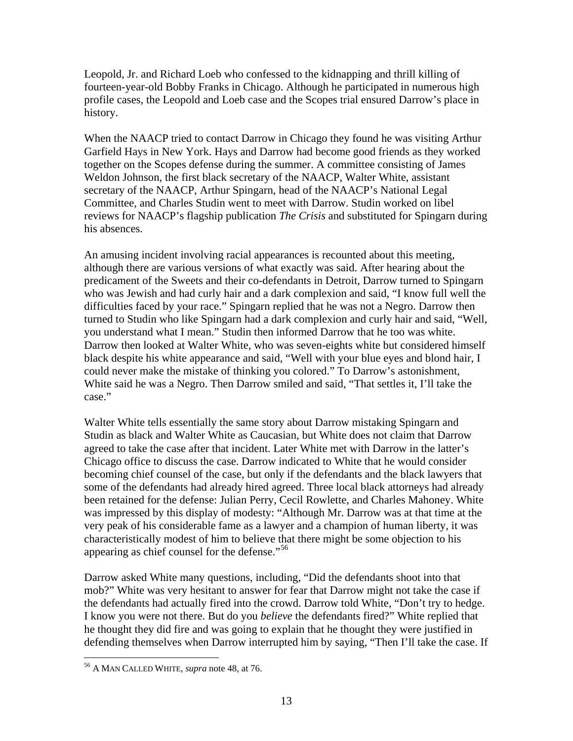Leopold, Jr. and Richard Loeb who confessed to the kidnapping and thrill killing of fourteen-year-old Bobby Franks in Chicago. Although he participated in numerous high profile cases, the Leopold and Loeb case and the Scopes trial ensured Darrow's place in history.

When the NAACP tried to contact Darrow in Chicago they found he was visiting Arthur Garfield Hays in New York. Hays and Darrow had become good friends as they worked together on the Scopes defense during the summer. A committee consisting of James Weldon Johnson, the first black secretary of the NAACP, Walter White, assistant secretary of the NAACP, Arthur Spingarn, head of the NAACP's National Legal Committee, and Charles Studin went to meet with Darrow. Studin worked on libel reviews for NAACP's flagship publication *The Crisis* and substituted for Spingarn during his absences.

An amusing incident involving racial appearances is recounted about this meeting, although there are various versions of what exactly was said. After hearing about the predicament of the Sweets and their co-defendants in Detroit, Darrow turned to Spingarn who was Jewish and had curly hair and a dark complexion and said, "I know full well the difficulties faced by your race." Spingarn replied that he was not a Negro. Darrow then turned to Studin who like Spingarn had a dark complexion and curly hair and said, "Well, you understand what I mean." Studin then informed Darrow that he too was white. Darrow then looked at Walter White, who was seven-eights white but considered himself black despite his white appearance and said, "Well with your blue eyes and blond hair, I could never make the mistake of thinking you colored." To Darrow's astonishment, White said he was a Negro. Then Darrow smiled and said, "That settles it, I'll take the case."

Walter White tells essentially the same story about Darrow mistaking Spingarn and Studin as black and Walter White as Caucasian, but White does not claim that Darrow agreed to take the case after that incident. Later White met with Darrow in the latter's Chicago office to discuss the case. Darrow indicated to White that he would consider becoming chief counsel of the case, but only if the defendants and the black lawyers that some of the defendants had already hired agreed. Three local black attorneys had already been retained for the defense: Julian Perry, Cecil Rowlette, and Charles Mahoney. White was impressed by this display of modesty: "Although Mr. Darrow was at that time at the very peak of his considerable fame as a lawyer and a champion of human liberty, it was characteristically modest of him to believe that there might be some objection to his appearing as chief counsel for the defense."<sup>[56](#page-12-0)</sup>

Darrow asked White many questions, including, "Did the defendants shoot into that mob?" White was very hesitant to answer for fear that Darrow might not take the case if the defendants had actually fired into the crowd. Darrow told White, "Don't try to hedge. I know you were not there. But do you *believe* the defendants fired?" White replied that he thought they did fire and was going to explain that he thought they were justified in defending themselves when Darrow interrupted him by saying, "Then I'll take the case. If

<u>.</u>

<span id="page-12-0"></span><sup>56</sup> A MAN CALLED WHITE, *supra* note 48, at 76.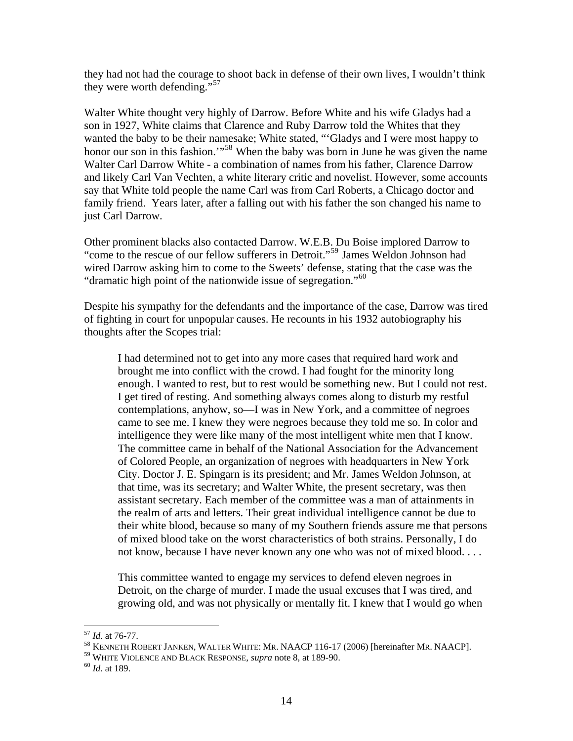they had not had the courage to shoot back in defense of their own lives, I wouldn't think they were worth defending."<sup>[57](#page-13-0)</sup>

Walter White thought very highly of Darrow. Before White and his wife Gladys had a son in 1927, White claims that Clarence and Ruby Darrow told the Whites that they wanted the baby to be their namesake; White stated, "'Gladys and I were most happy to honor our son in this fashion.'"<sup>[58](#page-13-1)</sup> When the baby was born in June he was given the name Walter Carl Darrow White - a combination of names from his father, Clarence Darrow and likely Carl Van Vechten, a white literary critic and novelist. However, some accounts say that White told people the name Carl was from Carl Roberts, a Chicago doctor and family friend. Years later, after a falling out with his father the son changed his name to just Carl Darrow.

Other prominent blacks also contacted Darrow. W.E.B. Du Boise implored Darrow to "come to the rescue of our fellow sufferers in Detroit."[59](#page-13-2) James Weldon Johnson had wired Darrow asking him to come to the Sweets' defense, stating that the case was the "dramatic high point of the nationwide issue of segregation."<sup>[60](#page-13-3)</sup>

Despite his sympathy for the defendants and the importance of the case, Darrow was tired of fighting in court for unpopular causes. He recounts in his 1932 autobiography his thoughts after the Scopes trial:

I had determined not to get into any more cases that required hard work and brought me into conflict with the crowd. I had fought for the minority long enough. I wanted to rest, but to rest would be something new. But I could not rest. I get tired of resting. And something always comes along to disturb my restful contemplations, anyhow, so—I was in New York, and a committee of negroes came to see me. I knew they were negroes because they told me so. In color and intelligence they were like many of the most intelligent white men that I know. The committee came in behalf of the National Association for the Advancement of Colored People, an organization of negroes with headquarters in New York City. Doctor J. E. Spingarn is its president; and Mr. James Weldon Johnson, at that time, was its secretary; and Walter White, the present secretary, was then assistant secretary. Each member of the committee was a man of attainments in the realm of arts and letters. Their great individual intelligence cannot be due to their white blood, because so many of my Southern friends assure me that persons of mixed blood take on the worst characteristics of both strains. Personally, I do not know, because I have never known any one who was not of mixed blood. . . .

This committee wanted to engage my services to defend eleven negroes in Detroit, on the charge of murder. I made the usual excuses that I was tired, and growing old, and was not physically or mentally fit. I knew that I would go when

 $57$  *Id.* at 76-77.

<span id="page-13-1"></span><span id="page-13-0"></span><sup>58</sup> KENNETH ROBERT JANKEN, WALTER WHITE: MR. NAACP 116-17 (2006) [hereinafter MR. NAACP].

<span id="page-13-2"></span><sup>59</sup> WHITE VIOLENCE AND BLACK RESPONSE, *supra* note 8, at 189-90. 60 *Id.* at 189.

<span id="page-13-3"></span>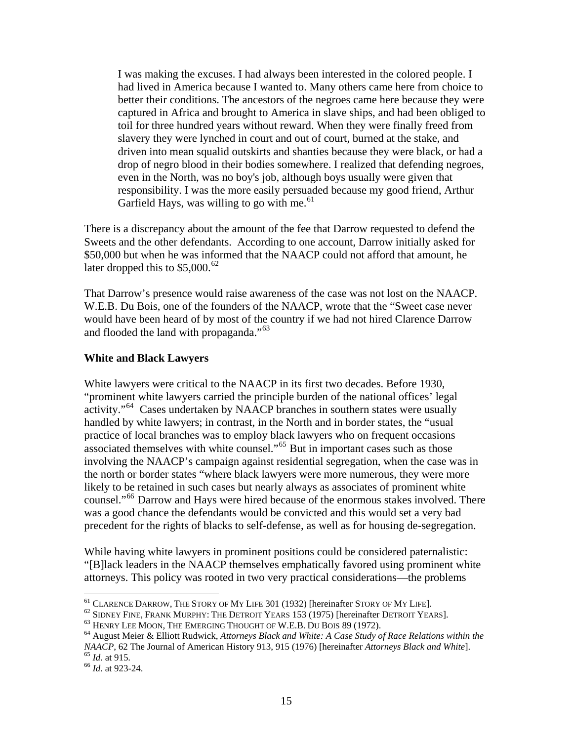I was making the excuses. I had always been interested in the colored people. I had lived in America because I wanted to. Many others came here from choice to better their conditions. The ancestors of the negroes came here because they were captured in Africa and brought to America in slave ships, and had been obliged to toil for three hundred years without reward. When they were finally freed from slavery they were lynched in court and out of court, burned at the stake, and driven into mean squalid outskirts and shanties because they were black, or had a drop of negro blood in their bodies somewhere. I realized that defending negroes, even in the North, was no boy's job, although boys usually were given that responsibility. I was the more easily persuaded because my good friend, Arthur Garfield Hays, was willing to go with me.<sup>[61](#page-14-0)</sup>

There is a discrepancy about the amount of the fee that Darrow requested to defend the Sweets and the other defendants. According to one account, Darrow initially asked for \$50,000 but when he was informed that the NAACP could not afford that amount, he later dropped this to  $$5,000$ .<sup>[62](#page-14-1)</sup>

That Darrow's presence would raise awareness of the case was not lost on the NAACP. W.E.B. Du Bois, one of the founders of the NAACP, wrote that the "Sweet case never would have been heard of by most of the country if we had not hired Clarence Darrow and flooded the land with propaganda."[63](#page-14-2)

## **White and Black Lawyers**

White lawyers were critical to the NAACP in its first two decades. Before 1930, "prominent white lawyers carried the principle burden of the national offices' legal activity."<sup>[64](#page-14-3)</sup> Cases undertaken by NAACP branches in southern states were usually handled by white lawyers; in contrast, in the North and in border states, the "usual practice of local branches was to employ black lawyers who on frequent occasions associated themselves with white counsel."<sup>[65](#page-14-4)</sup> But in important cases such as those involving the NAACP's campaign against residential segregation, when the case was in the north or border states "where black lawyers were more numerous, they were more likely to be retained in such cases but nearly always as associates of prominent white counsel."[66](#page-14-5) Darrow and Hays were hired because of the enormous stakes involved. There was a good chance the defendants would be convicted and this would set a very bad precedent for the rights of blacks to self-defense, as well as for housing de-segregation.

While having white lawyers in prominent positions could be considered paternalistic: "[B]lack leaders in the NAACP themselves emphatically favored using prominent white attorneys. This policy was rooted in two very practical considerations—the problems

<span id="page-14-0"></span><sup>&</sup>lt;sup>61</sup> CLARENCE DARROW, THE STORY OF MY LIFE 301 (1932) [hereinafter STORY OF MY LIFE].

<span id="page-14-1"></span><sup>&</sup>lt;sup>62</sup> SIDNEY FINE, FRANK MURPHY: THE DETROIT YEARS 153 (1975) [hereinafter DETROIT YEARS].<br><sup>63</sup> HENRY LEE MOON, THE EMERGING THOUGHT OF W.E.B. DU BOIS 89 (1972).<br><sup>64</sup> August Meier & Elliott Rudwick, *Attorneys Black and Wh* 

<span id="page-14-3"></span><span id="page-14-2"></span>*NAACP*, 62 The Journal of American History 913, 915 (1976) [hereinafter *Attorneys Black and White*]. <sup>65</sup> *Id.* at 915. *html* at 923-24.

<span id="page-14-5"></span><span id="page-14-4"></span>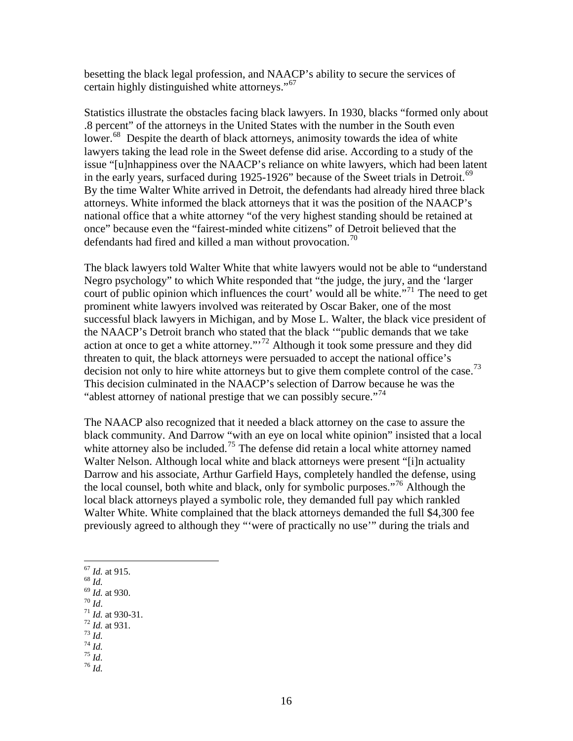besetting the black legal profession, and NAACP's ability to secure the services of certain highly distinguished white attorneys."[67](#page-15-0)

Statistics illustrate the obstacles facing black lawyers. In 1930, blacks "formed only about .8 percent" of the attorneys in the United States with the number in the South even lower.<sup>[68](#page-15-1)</sup> Despite the dearth of black attorneys, animosity towards the idea of white lawyers taking the lead role in the Sweet defense did arise. According to a study of the issue "[u]nhappiness over the NAACP's reliance on white lawyers, which had been latent in the early years, surfaced during 1925-1926" because of the Sweet trials in Detroit.<sup>[69](#page-15-2)</sup> By the time Walter White arrived in Detroit, the defendants had already hired three black attorneys. White informed the black attorneys that it was the position of the NAACP's national office that a white attorney "of the very highest standing should be retained at once" because even the "fairest-minded white citizens" of Detroit believed that the defendants had fired and killed a man without provocation.<sup>[70](#page-15-3)</sup>

The black lawyers told Walter White that white lawyers would not be able to "understand Negro psychology" to which White responded that "the judge, the jury, and the 'larger court of public opinion which influences the court' would all be white."<sup>[71](#page-15-4)</sup> The need to get prominent white lawyers involved was reiterated by Oscar Baker, one of the most successful black lawyers in Michigan, and by Mose L. Walter, the black vice president of the NAACP's Detroit branch who stated that the black '"public demands that we take action at once to get a white attorney."'[72](#page-15-5) Although it took some pressure and they did threaten to quit, the black attorneys were persuaded to accept the national office's decision not only to hire white attorneys but to give them complete control of the case.<sup>[73](#page-15-6)</sup> This decision culminated in the NAACP's selection of Darrow because he was the "ablest attorney of national prestige that we can possibly secure."<sup>[74](#page-15-7)</sup>

The NAACP also recognized that it needed a black attorney on the case to assure the black community. And Darrow "with an eye on local white opinion" insisted that a local white attorney also be included.<sup>[75](#page-15-8)</sup> The defense did retain a local white attorney named Walter Nelson. Although local white and black attorneys were present "[i]n actuality Darrow and his associate, Arthur Garfield Hays, completely handled the defense, using the local counsel, both white and black, only for symbolic purposes."[76](#page-15-9) Although the local black attorneys played a symbolic role, they demanded full pay which rankled Walter White. White complained that the black attorneys demanded the full \$4,300 fee previously agreed to although they "'were of practically no use'" during the trials and

- <span id="page-15-2"></span>
- 
- <span id="page-15-4"></span><span id="page-15-3"></span>
- <span id="page-15-1"></span><span id="page-15-0"></span>68 *Id.* at 930.<br>
<sup>70</sup> *Id.* at 930-31.<br>
<sup>71</sup> *Id.* at 931.<br>
<sup>73</sup> *Id.* at 931.<br>
<sup>74</sup> *Id.*<br>
<sup>75</sup> *Id.* 76 *Id.*
- <span id="page-15-5"></span>
- <span id="page-15-7"></span><span id="page-15-6"></span>
- <span id="page-15-9"></span><span id="page-15-8"></span>
- 

 $67$  *Id.* at 915.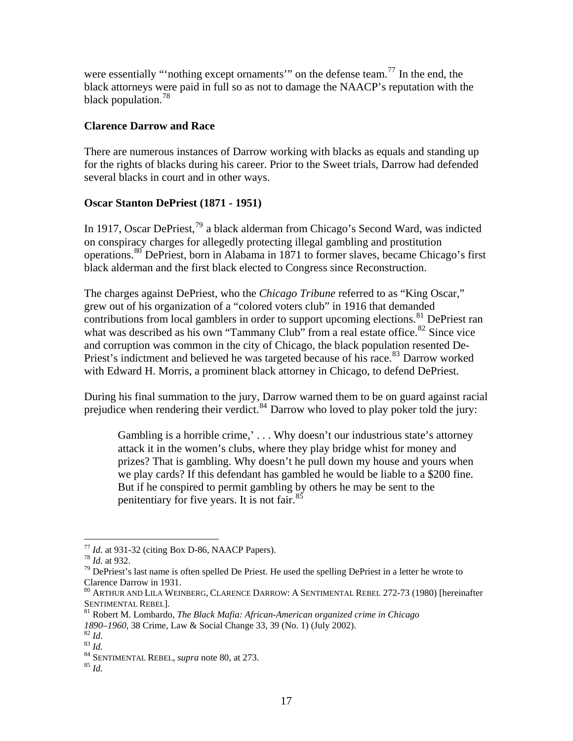were essentially "nothing except ornaments" on the defense team.<sup>[77](#page-16-0)</sup> In the end, the black attorneys were paid in full so as not to damage the NAACP's reputation with the black population.<sup>[78](#page-16-1)</sup>

## **Clarence Darrow and Race**

There are numerous instances of Darrow working with blacks as equals and standing up for the rights of blacks during his career. Prior to the Sweet trials, Darrow had defended several blacks in court and in other ways.

# **Oscar Stanton DePriest (1871 - 1951)**

In 1917, Oscar DePriest,<sup>[79](#page-16-2)</sup> a black alderman from Chicago's Second Ward, was indicted on conspiracy charges for allegedly protecting illegal gambling and prostitution operations.[80](#page-16-3) DePriest, born in Alabama in 1871 to former slaves, became Chicago's first black alderman and the first black elected to Congress since Reconstruction.

The charges against DePriest, who the *Chicago Tribune* referred to as "King Oscar," grew out of his organization of a "colored voters club" in 1916 that demanded contributions from local gamblers in order to support upcoming elections.<sup>[81](#page-16-4)</sup> DePriest ran what was described as his own "Tammany Club" from a real estate office.<sup>[82](#page-16-5)</sup> Since vice and corruption was common in the city of Chicago, the black population resented De-Priest's indictment and believed he was targeted because of his race.<sup>[83](#page-16-6)</sup> Darrow worked with Edward H. Morris, a prominent black attorney in Chicago, to defend DePriest.

During his final summation to the jury, Darrow warned them to be on guard against racial prejudice when rendering their verdict.<sup>[84](#page-16-7)</sup> Darrow who loved to play poker told the jury:

Gambling is a horrible crime,'... Why doesn't our industrious state's attorney attack it in the women's clubs, where they play bridge whist for money and prizes? That is gambling. Why doesn't he pull down my house and yours when we play cards? If this defendant has gambled he would be liable to a \$200 fine. But if he conspired to permit gambling by others he may be sent to the penitentiary for five years. It is not fair.<sup>[85](#page-16-8)</sup>

 $\overline{a}$ 

<span id="page-16-2"></span>

<span id="page-16-1"></span><span id="page-16-0"></span><sup>&</sup>lt;sup>77</sup> *Id.* at 931-32 (citing Box D-86, NAACP Papers).<br><sup>78</sup> *Id.* at 932.<br><sup>79</sup> DePriest's last name is often spelled De Priest. He used the spelling DePriest in a letter he wrote to Clarence Darrow in 1931.

<span id="page-16-3"></span> $^{80}$ ARTHUR AND LILA WEINBERG, CLARENCE DARROW: A SENTIMENTAL REBEL 272-73 (1980) [hereinafter SENTIMENTAL REBEL].

<span id="page-16-4"></span><sup>&</sup>lt;sup>81</sup> Robert M. Lombardo, *The Black Mafia: African-American organized crime in Chicago 1890–1960*, 38 Crime, Law & Social Change 33, 39 (No. 1) (July 2002).<br><sup>82</sup> *Id.* 83 *Id.* 84 SENTIMENTAL REBEL, *supra* note 80, at 273. <sup>85</sup> *Id.* 

<span id="page-16-5"></span>

<span id="page-16-6"></span>

<span id="page-16-7"></span>

<span id="page-16-8"></span>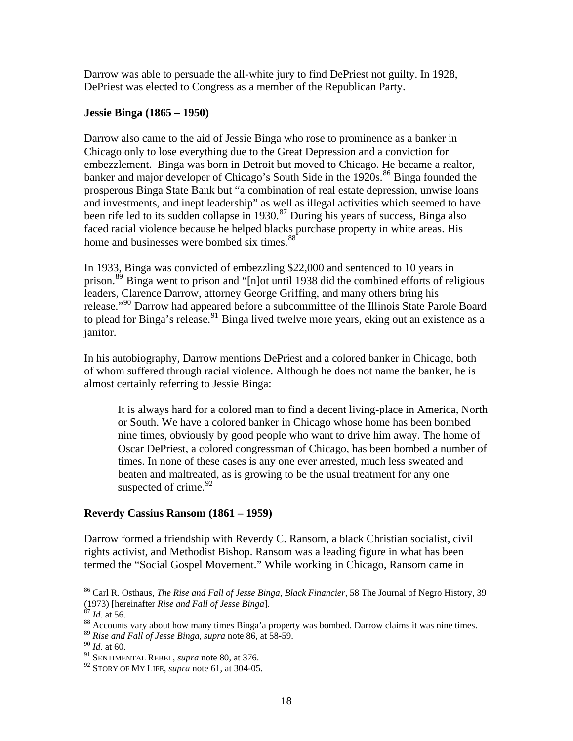Darrow was able to persuade the all-white jury to find DePriest not guilty. In 1928, DePriest was elected to Congress as a member of the Republican Party.

## **Jessie Binga (1865 – 1950)**

Darrow also came to the aid of Jessie Binga who rose to prominence as a banker in Chicago only to lose everything due to the Great Depression and a conviction for embezzlement. Binga was born in Detroit but moved to Chicago. He became a realtor, banker and major developer of Chicago's South Side in the 1920s.<sup>[86](#page-17-0)</sup> Binga founded the prosperous Binga State Bank but "a combination of real estate depression, unwise loans and investments, and inept leadership" as well as illegal activities which seemed to have been rife led to its sudden collapse in 1930.<sup>[87](#page-17-1)</sup> During his years of success, Binga also faced racial violence because he helped blacks purchase property in white areas. His home and businesses were bombed six times.<sup>[88](#page-17-2)</sup>

In 1933, Binga was convicted of embezzling \$22,000 and sentenced to 10 years in prison.<sup>[89](#page-17-3)</sup> Binga went to prison and "[n]ot until 1938 did the combined efforts of religious leaders, Clarence Darrow, attorney George Griffing, and many others bring his release."<sup>[90](#page-17-4)</sup> Darrow had appeared before a subcommittee of the Illinois State Parole Board to plead for Binga's release.<sup>[91](#page-17-5)</sup> Binga lived twelve more years, eking out an existence as a janitor.

of whom suffered through racial violence. Although he does not name the banker, he is almost certainly referring to Jessie Binga: In his autobiography, Darrow mentions DePriest and a colored banker in Chicago, both

It is always hard for a colored man to find a decent living-place in America, North times. In none of these cases is any one ever arrested, much less sweated and beaten and maltreated, as is growing to be the usual treatment for any one suspected of crime. $92$ or South. We have a colored banker in Chicago whose home has been bombed nine times, obviously by good people who want to drive him away. The home of Oscar DePriest, a colored congressman of Chicago, has been bombed a number of

# **everdy Cassius Ransom (1861 – 1959) R**

Darrow formed a friendship with Reverdy C. Ransom, a black Christian socialist, civil rights activist, and Methodist Bishop. Ransom was a leading figure in what has been termed the "Social Gospel Movement." While working in Chicago, Ransom came in

<span id="page-17-0"></span><sup>&</sup>lt;sup>86</sup> Carl R. Osthaus, *The Rise and Fall of Jesse Binga, Black Financier*, 58 The Journal of Negro History, 39 (1973) [hereinafter *Rise and Fall of Jesse Binga*].

<span id="page-17-1"></span><sup>&</sup>lt;sup>87</sup> *Id.* at 56. 88 Accounts vary about how many times Binga'a property was bombed. Darrow claims it was nine times.

<span id="page-17-3"></span><span id="page-17-2"></span><sup>89</sup> *Rise and Fall of Jesse Binga*, *supra* note 86, at 58-59.

<span id="page-17-4"></span><sup>90</sup> *Id.* at 60.

<span id="page-17-5"></span><sup>91</sup> SENTIMENTAL REBEL, *supra* note 80, at 376.

<sup>92</sup> STORY OF MY LIFE, *supra* note 61, at 304-05.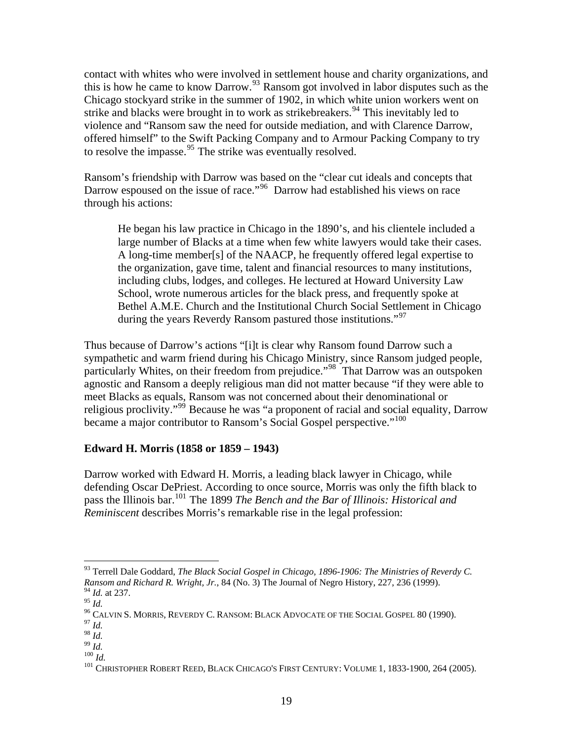contact with whites who were involved in settlement house and charity organizations, and this is how he came to know Darrow.<sup>[93](#page-18-0)</sup> Ransom got involved in labor disputes such as the Chicago stockyard strike in the summer of 1902, in which white union workers went on strike and blacks were brought in to work as strikebreakers.<sup>[94](#page-18-1)</sup> This inevitably led to offered himself" to the Swift Packing Company and to Armour Packing Company to try to resolve the impasse.  $95$  The strike was eventually resolved. violence and "Ransom saw the need for outside mediation, and with Clarence Darrow,

Ransom's friendship with Darrow was based on the "clear cut ideals and concepts that Darrow espoused on the issue of race."<sup>96</sup> Darrow had established his views on race through his actions:

large number of Blacks at a time when few white lawyers would take their cases. the organization, gave time, talent and financial resources to many institutions, Bethel A.M.E. Church and the Institutional Church Social Settlement in Chicago during the years Reverdy Ransom pastured those institutions."<sup>97</sup> He began his law practice in Chicago in the 1890's, and his clientele included a A long-time member[s] of the NAACP, he frequently offered legal expertise to including clubs, lodges, and colleges. He lectured at Howard University Law School, wrote numerous articles for the black press, and frequently spoke at

agnostic and Ransom a deeply religious man did not matter because "if they were able to religious proclivity."<sup>[99](#page-18-3)</sup> Because he was "a proponent of racial and social equality, Darrow became a major contributor to Ransom's Social Gospel perspective."<sup>100</sup> Thus because of Darrow's actions "[i]t is clear why Ransom found Darrow such a sympathetic and warm friend during his Chicago Ministry, since Ransom judged people, particularly Whites, on their freedom from prejudice."[98](#page-18-2) That Darrow was an outspoken meet Blacks as equals, Ransom was not concerned about their denominational or

# **dward H. Morris (1858 or 1859 – 1943) E**

defending Oscar DePriest. According to once source, Morris was only the fifth black to pass the Illinois bar.<sup>[101](#page-18-4)</sup> The 1899 *The Bench and the Bar of Illinois: Historical and* Reminiscent describes Morris's remarkable rise in the legal profession: Darrow worked with Edward H. Morris, a leading black lawyer in Chicago, while

<span id="page-18-4"></span>

<span id="page-18-0"></span><sup>93</sup> Terrell Dale Goddard, *The Black Social Gospel in Chicago, 1896-1906: The Ministries of Reverdy C. Ransom and Richard R. Wright, Jr.*, 84 (No. 3) The Journal of Negro History, 227, 236 (1999).  $\frac{94}{95}$  *Id.* at 237.

<span id="page-18-1"></span><sup>&</sup>lt;sup>96</sup> CALVIN S. MORRIS, REVERDY C. RANSOM: BLACK ADVOCATE OF THE SOCIAL GOSPEL 80 (1990).<br><sup>97</sup> Id.<br><sup>98</sup> Id.<br><sup>99</sup> Id.<br><sup>100</sup> Id.<br><sup>100</sup> Id.

<span id="page-18-2"></span>

<span id="page-18-3"></span>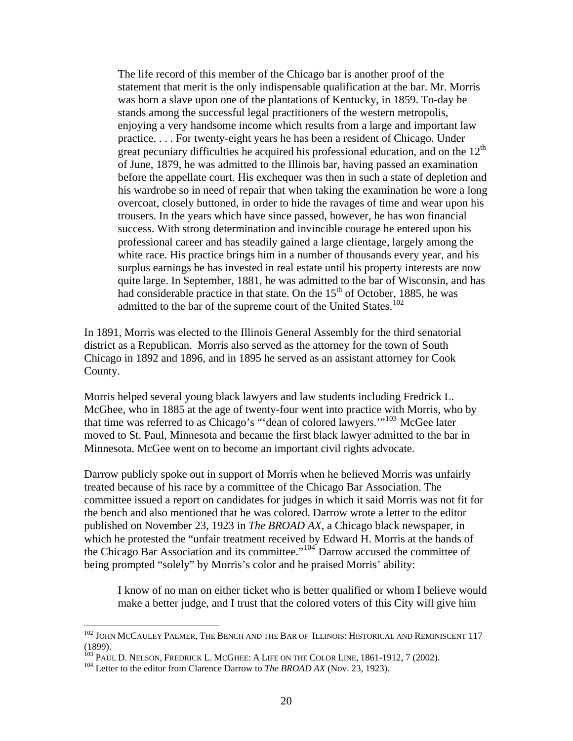The life record of this member of the Chicago bar is another proof of the statement that merit is the only indispensable qualification at the bar. Mr. M orris was born a slave upon one of the plantations of Kentucky, in 1859. To-day he stands among the successful legal practitioners of the western metropolis, enjoying a very handsome income which results from a large and important law practice. . . . For twenty-eight years he has been a resident of Chicago. Under great pecuniary difficulties he acquired his professional education, and on the  $12<sup>th</sup>$ of June, 1879, he was admitted to the Illinois bar, having passed an examination before the appellate court. His exchequer was then in such a state of depletion and his wardrobe so in need of repair that when taking the examination he wore a lo ng overcoat, closely buttoned, in order to hide the ravages of time and wear upon h is trousers. In the years which have since passed, however, he has won financial success. With strong determination and invincible courage he entered upon his professional career and has steadily gained a large clientage, largely among the white race. His practice brings him in a number of thousands every year, and his surplus earnings he has invested in real estate until his property interests are n ow quite large. In September, 1881, he was admitted to the bar of Wi sconsin, and has had considerable practice in that state. On the 15<sup>th</sup> of October, 1885, he was admitted to the bar of the supreme court of the United States.<sup>102</sup>

district as a Republican. Morris also served as the attorney for the town of South Chicago in 1892 and 1896, and in 1895 he served as an assistant attorney for Cook In 1891, Morris was elected to the Illinois General Assembly for the third senatorial County.

McGhee, who in 1885 at the age of twenty-four went into practice with Morris, who by that time was referred to as Chicago's "'dean of colored lawyers."<sup>[103](#page-19-0)</sup> McGee later moved to St. Paul, Minnesota and became the first black lawyer admitted to the bar in Morris helped several young black lawyers and law students including Fredrick L. Minnesota. McGee went on to become an important civil rights advocate.

committee issued a report on candidates for judges in which it said Morris was not fit for which he protested the "unfair treatment received by Edward H. Morris at the hands of the Chicago Bar Association and its committee."<sup>104</sup> Darrow accused the committee of being p rompted "solely" by Morris's color and he praised Morris' ability: Darrow publicly spoke out in support of Morris when he believed Morris was unfairly treated because of his race by a committee of the Chicago Bar Association. The the bench and also mentioned that he was colored. Darrow wrote a letter to the editor published on November 23, 1923 in *The BROAD AX*, a Chicago black newspaper, in

make a better judge, and I trust that the colored voters of this City will give him I know of no man on either ticket who is better qualified or whom I believe would

 $^{102}$  JOHN MCCAULEY PALMER, THE BENCH AND THE BAR OF ILLINOIS: HISTORICAL AND REMINISCENT 117 (1899).

<span id="page-19-0"></span><sup>&</sup>lt;sup>103</sup> PAUL D. NELSON, FREDRICK L. MCGHEE: A LIFE ON THE COLOR LINE, 1861-1912, 7 (2002).<br><sup>104</sup> Letter to the editor from Clarence Darrow to *The BROAD AX* (Nov. 23, 1923).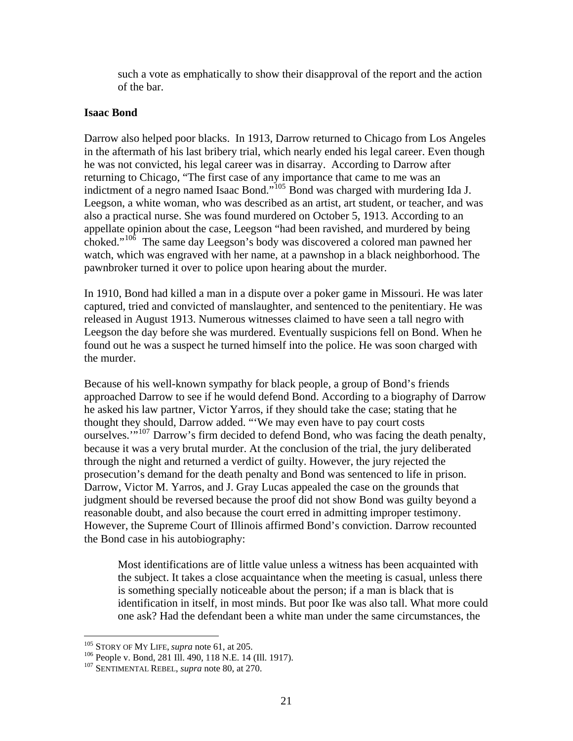such a vote as emphatically to show their disapproval of the report and the action of the bar.

## **Isaac Bond**

Darrow also helped poor blacks. In 1913, Darrow returned to Chicago from Los Angeles in the aftermath of his last bribery trial, which nearly ended his legal career. Even though indictment of a negro named Isaac Bond."<sup>[105](#page-20-0)</sup> Bond was charged with murdering Ida J. Leegson, a white woman, who was described as an artist, art student, or teacher, and was choked."<sup>[106](#page-20-1)</sup> The same day Leegson's body was discovered a colored man pawned her watch, which was engraved with her name, at a pawnshop in a black neighborhood. The he was not convicted, his legal career was in disarray. According to Darrow after returning to Chicago, "The first case of any importance that came to me was an also a practical nurse. She was found murdered on October 5, 1913. According to an appellate opinion about the case, Leegson "had been ravished, and murdered by being pawnbroker turned it over to police upon hearing about the murder.

In 1910, Bond had killed a man in a dispute over a poker game in Missouri. He was later Leegson the day before she was murdered. Eventually suspicions fell on Bond. When he found out he was a suspect he turned himself into the police. He was soon charged with captured, tried and convicted of manslaughter, and sentenced to the penitentiary. He was released in August 1913. Numerous witnesses claimed to have seen a tall negro with the murder.

approached Darrow to see if he would defend Bond. According to a biography of Darrow ourselves."<sup>[107](#page-20-2)</sup> Darrow's firm decided to defend Bond, who was facing the death penalty, reasonable doubt, and also because the court erred in admitting improper testimony. However, the Supreme Court of Illinois affirmed Bond's conviction. Darrow recounted the Bon d case in his autobiography: Because of his well-known sympathy for black people, a group of Bond's friends he asked his law partner, Victor Yarros, if they should take the case; stating that he thought they should, Darrow added. "'We may even have to pay court costs because it was a very brutal murder. At the conclusion of the trial, the jury deliberated through the night and returned a verdict of guilty. However, the jury rejected the prosecution's demand for the death penalty and Bond was sentenced to life in prison. Darrow, Victor M. Yarros, and J. Gray Lucas appealed the case on the grounds that judgment should be reversed because the proof did not show Bond was guilty beyond a

Most identifications are of little value unless a witness has been acquainted with one ask? Had the defendant been a white man under the same circumstances, the the subject. It takes a close acquaintance when the meeting is casual, unless there is something specially noticeable about the person; if a man is black that is identification in itself, in most minds. But poor Ike was also tall. What more could

<span id="page-20-0"></span><sup>&</sup>lt;sup>105</sup> STORY OF MY LIFE, *supra* note 61, at 205.

<span id="page-20-2"></span><span id="page-20-1"></span><sup>&</sup>lt;sup>106</sup> People v. Bond, 281 Ill. 490, 118 N.E. 14 (Ill. 1917).<br><sup>107</sup> SENTIMENTAL REBEL, *supra* note 80, at 270.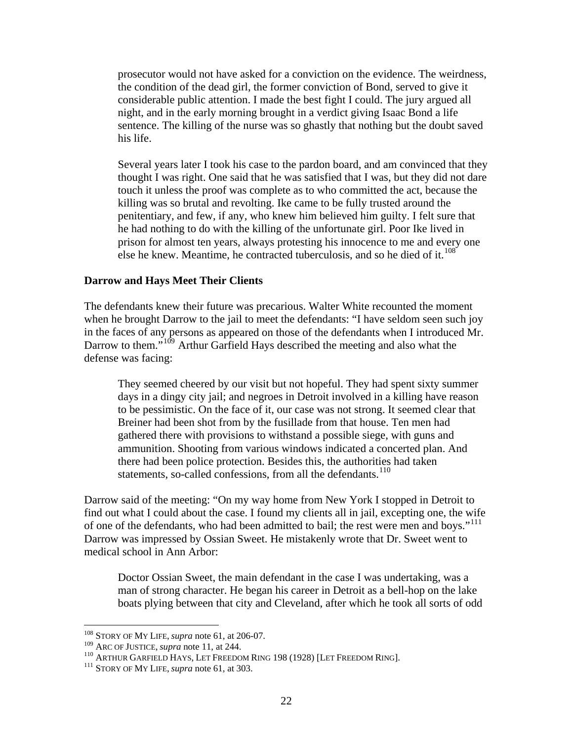prosecutor would not have asked for a conviction on the evidence. The weirdnes s, the condition of the dead girl, the former conviction of Bond, served to give i t considerable public attention. I made the best fight I could. The jury argued all night, an d in the early morning brought in a verdict giving Isaac Bond a life sentence. The killing of the nurse was so ghastly that nothing but the doubt saved his life.

Several years later I took his case to the pardon board, and am convinced that they thought I was right. One said that he was satisfied that I was, but they did not dare prison for almost ten years, always protesting his innocence to me and every one else he knew. Meantime, he contracted tuberculosis, and so he died of it. $^{108}$ touch it unless the proof was complete as to who committed the act, because the killing was so brutal and revolting. Ike came to be fully trusted around the penitentiary, and few, if any, who knew him believed him guilty. I felt sure that he had nothing to do with the killing of the unfortunate girl. Poor Ike lived in

#### **Darrow and Hays Meet Their Clients**

when he brought Darrow to the jail to meet the defendants: "I have seldom seen such joy in the faces of any persons as appeared on those of the defendants when I introduced Mr. Darrow to them."  $109$  Arthur Garfield Hays described the meeting and also what the defense was facing: The defendants knew their future was precarious. Walter White recounted the moment

days in a dingy city jail; and negroes in Detroit involved in a killing have reason to be pessimistic. On the face of it, our case was not strong. It seemed clear that gathered there with provisions to withstand a possible siege, with guns and ammunition. Shooting from various windows indicated a concerted plan. And there had been police protection. Besides this, the authorities had taken They seemed cheered by our visit but not hopeful. They had spent sixty summer Breiner had been shot from by the fusillade from that house. Ten men had statements, so-called confessions, from all the defendants. $110$ 

[find out what I could about the case. I found my clients all in jail, excepting one, the w](#page-21-0)ife [of one of the defendants, who h](#page-21-0)ad been admitted to bail; the rest were men and boys."<sup>111</sup> Darrow was impressed by Ossian Sweet. He mistakenly wrote that Dr. Sweet went to medica l school in Ann Arbor: [Darrow said of the meeting: "On my way home from New York I stopped in Detroit to](#page-21-0) 

boats plying between that city and Cleveland, after which he took all sorts of odd Doctor Ossian Sweet, the main defendant in the case I was undertaking, was a man of strong character. He began his career in Detroit as a bell-hop on the lake

<sup>108</sup> STORY OF MY LIFE, *supra* note 61, at 206-07.

<sup>109</sup> ARC OF JUSTICE, *supra* note 11, at 244.<br><sup>110</sup> ARTHUR GARFIELD HAYS, LET FREEDOM RING 198 (1928) [LET FREEDOM RING].<br><sup>111</sup> STORY OF MY LIFE, *supra* note 61, at 303.

<span id="page-21-0"></span>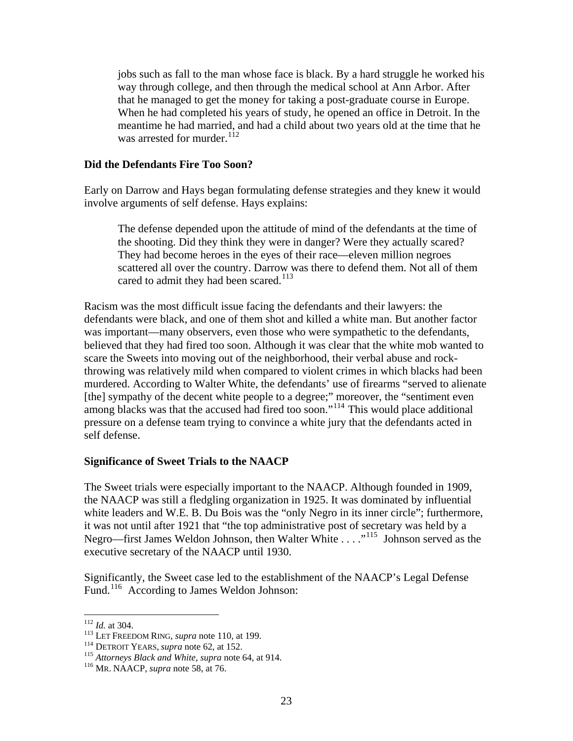jobs such as fall to the man whose face is black. By a hard struggle he worked h is way through college, and then through the medical school at Ann Arbor. After that he managed to get the money for taking a post-graduate course in Europe. When he had completed his years of study, he opened an office in Detroit. In the meantime he had married, and had a child about two years old at the time that he was arrested for murder.  $^{112}$ 

## **Did the Defendants Fire Too Soon?**

Early on Darrow and Hays began formulating defense strategies and they knew it would involve arguments of self defense. Hays explains:

The defense depended upon the attitude of mind of the defendants at the time of They had become heroes in the eyes of their race—eleven million negroes scattered all over the country. Darrow was there to defend them. Not all of them the shooting. Did they think they were in danger? Were they actually scared? cared to admit they had been scared.<sup>[113](#page-22-0)</sup>

[was important—many observers, even those who were sympathetic to the defendant](#page-22-0)s, [murdered. According to Walter White, the defendants' use of firearms "served to aliena](#page-22-0)te among blacks [was that the accused had fired too soon."](#page-22-0)<sup> $114$ </sup> This would place additional pressure on a defense team trying to convince a white jury that the defendants acted in [Racism was the most difficult issue facing the defendants and their lawyers: the](#page-22-0)  [defendants were black, and one of them shot and killed a white man. But another factor](#page-22-0)  [believed that they had fired too soon. Although it was clear that the white mob wanted to](#page-22-0)  [scare the Sweets into moving out of the neighborhood, their verbal abuse and rock](#page-22-0)[throwing was relatively mild when compared to violent crimes in which blacks had been](#page-22-0) [the] sympathy of the decent white people to a degree;" moreover, the "sentiment even self defense.

#### **Significance of Sweet Trials to the NAACP**

it was not until after 1921 that "the top administrative post of secretary was held by a Negro—first James Weldon Johnson, then Walter White . . . .<sup>115</sup> Johnson served as the The Sweet trials were especially important to the NAACP. Although founded in 1909, the NAACP was still a fledgling organization in 1925. It was dominated by influential white leaders and W.E. B. Du Bois was the "only Negro in its inner circle"; furthermore, executive secretary of the NAACP until 1930.

Significantly, the Sweet case led to the establishment of the NAACP's Legal Defense Fund.<sup>116</sup> According to James Weldon Johnson:

 $112$  *Id.* at 304.

<span id="page-22-0"></span><sup>&</sup>lt;sup>113</sup> LET FREEDOM RING, *supra* note 110, at 199.<br><sup>114</sup> DETROIT YEARS, *supra* note 62, at 152.<br><sup>115</sup> Attorneys Black and White, *supra* note 64, at 914.<br><sup>116</sup> MR. NAACP, *supra* note 58, at 76.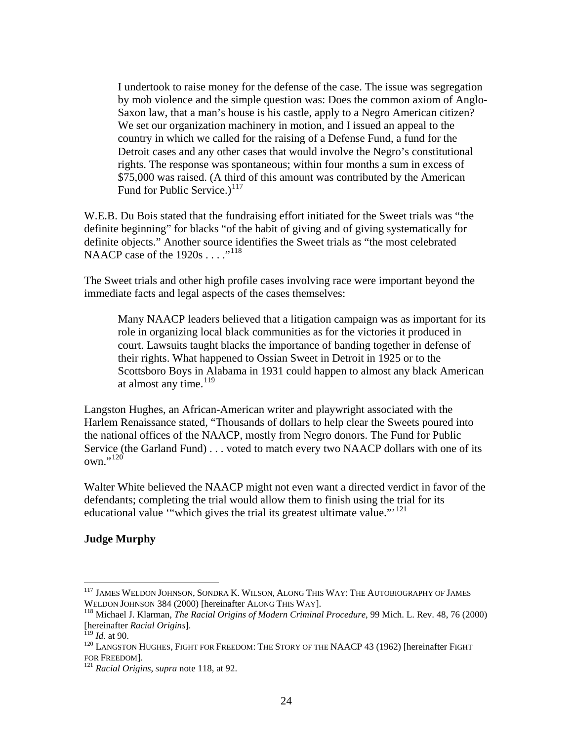by mob violence and the simple question was: Does the common axiom of Anglo-Saxon law, that a man's house is his castle, apply to a Negro American citizen? Detroit cases and any other cases that would involve the Negro's constitutional \$75,000 was raised. (A third of this amount was contributed by the American Fund for Public Service.)<sup>117</sup> I undertook to raise money for the defense of the case. The issue was segregation We set our organization machinery in motion, and I issued an appeal to the country in which we called for the raising of a Defense Fund, a fund for the rights. The response was spontaneous; within four months a sum in excess of

definite beginning" for blacks "of the habit of giving and of giving systematically for definite objects." Another source identifies the Sweet trials as "the most celebrated NAACP case of the  $1920s...$ <sup>118</sup> W.E.B. Du Bois stated that the fundraising effort initiated for the Sweet trials was "the

The Sweet trials and other high profile cases involving race were important beyond the immediate facts and legal aspects of the cases themselves:

Many NAACP leaders believed that a litigation campaign was as important for its court. Lawsuits taught blacks the importance of banding together in defense of Scottsboro Boys in Alabama in 1931 could happen to almost any black American at almost any time. $119$ role in organizing local black communities as for the victories it produced in their rights. What happened to Ossian Sweet in Detroit in 1925 or to the

Harlem Renaissance stated, "Thousands of dollars to help clear the Sweets poured into Service (the Garland Fund) . . . voted to match every two NAACP dollars with one of its own."<sup>120</sup> Langston Hughes, an African-American writer and playwright associated with the the national offices of the NAACP, mostly from Negro donors. The Fund for Public

Walter White believed the NAACP might not even want a directed verdict in favor of the defendants; completing the trial would allow them to finish using the trial for its educational value "which gives the trial its greatest ultimate value."<sup>121</sup>

## **udge Murphy J**

<sup>&</sup>lt;sup>117</sup> JAMES WELDON JOHNSON, SONDRA K. WILSON, ALONG THIS WAY: THE AUTOBIOGRAPHY OF JAMES WELDON JOHNSON 384 (2000) [hereinafter ALONG THIS WAY].<br><sup>118</sup> Michael J. Klarman, *The Racial Origins of Modern Criminal Procedure*, 99 Mich. L. Rev. 48, 76 (2000)

<sup>[</sup>hereinafter *Racial Origins*].

<sup>11.</sup> at 90.<br><sup>120</sup> LANGSTON HUGHES, FIGHT FOR FREEDOM: THE STORY OF THE NAACP 43 (1962) [hereinafter FIGHT FOR FREEDOM].

<sup>&</sup>lt;sup>121</sup> *Racial Origins, supra* note 118, at 92.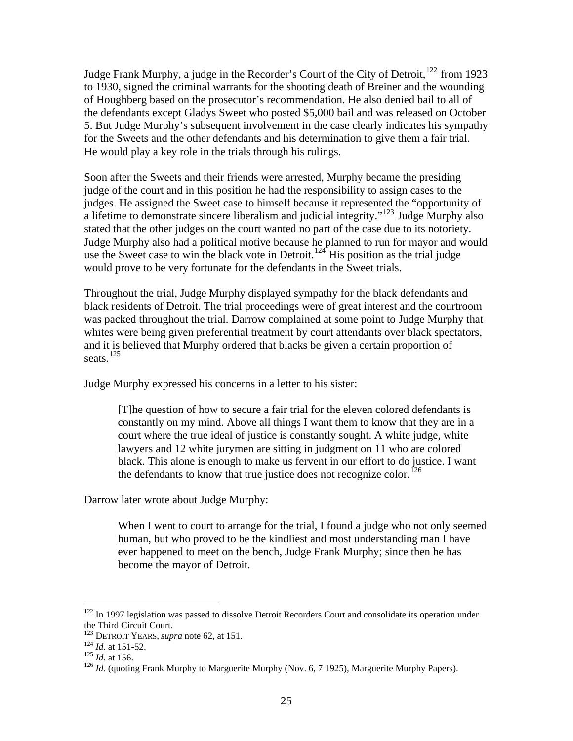Judge Frank Murphy, a judge in the Recorder's Court of the City of Detroit, <sup>[122](#page-24-0)</sup> from 1923 to 1930, signed the criminal warrants for the shooting death of Breiner and the wounding of Houghberg based on the prosecutor's recommendation. He also denied bail to all of the defendants except Gladys Sweet who posted \$5,000 bail and was released on Octobe r 5. But Judge Murphy's subsequent involvement in the case clearly indicates his sympathy for the Sweets and the other defendants and his determination to give them a fair trial. He would play a key role in the trials through his rulings.

judges. He assigned the Sweet case to himself because it represented the "opportunity of stated that the other judges on the court wanted no part of the case due to its notoriety. Judge Murphy also had a political motive because he planned to run for mayor and would use the Sweet case to win the black vote in Detroit.<sup>124</sup> His position as the trial judge Soon after the Sweets and their friends were arrested, Murphy became the presiding judge of the court and in this position he had the responsibility to assign cases to the a lifetime to demonstrate sincere liberalism and judicial integrity."[123](#page-24-1) Judge Murphy also would prove to be very fortunate for the defendants in the Sweet trials.

was packed throughout the trial. Darrow complained at some point to Judge Murphy that whites were being given preferential treatment by court attendants over black spectators, and it is believed that Murphy ordered that blacks be given a certain proportion of Throughout the trial, Judge Murphy displayed sympathy for the black defendants and black residents of Detroit. The trial proceedings were of great interest and the courtroom seats.<sup>125</sup>

Judge M urphy expressed his concerns in a letter to his sister:

constantly on my mind. Above all things I want them to know that they are in a lawyers and 12 white jurymen are sitting in judgment on 11 who are colored black. This alone is enough to make us fervent in our effort to do justice. I want the defendants to know that true justice does not recognize color.<sup>126</sup> [T]he question of how to secure a fair trial for the eleven colored defendants is court where the true ideal of justice is constantly sought. A white judge, white

Darrow later wrote about Judge Murphy:

When I went to court to arrange for the trial, I found a judge who not only seemed human, but who proved to be the kindliest and most understanding man I have ever happened to meet on the bench, Judge Frank Murphy; since then he has become the mayor of Detroit.

<span id="page-24-0"></span><sup>1</sup>  $122$  In 1997 legislation was passed to dissolve Detroit Recorders Court and consolidate its operation under the Third Circuit Court.<br><sup>123</sup> DETROIT YEARS, *supra* note 62, at 151.

<span id="page-24-1"></span><sup>124</sup> DETROIT YEARS, *supera note 62, at 151-52*.<br><sup>125</sup> *Id.* at 151-52.<br><sup>126</sup> *Id.* (quoting Frank Murphy to Marguerite Murphy (Nov. 6, 7 1925), Marguerite Murphy Papers).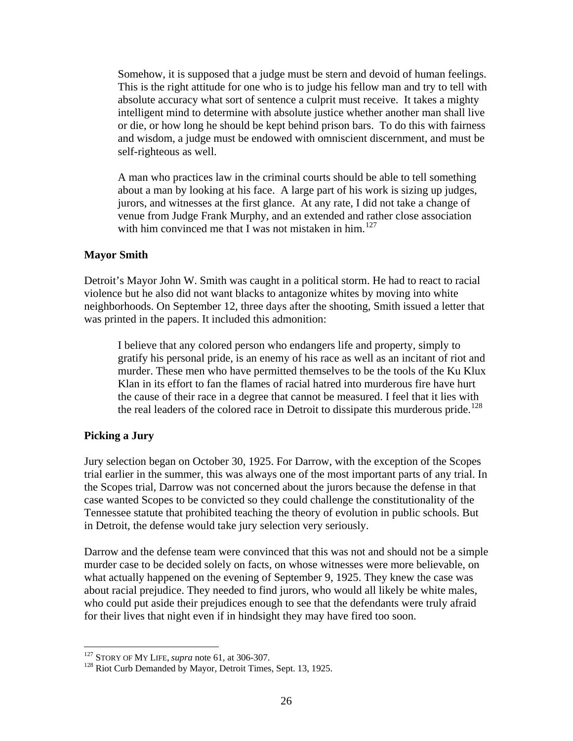Somehow, it is supposed that a judge must be stern and devoid of human feelings. This is the right attitude for one who is to judge his fellow man and try to tell with absolute accuracy what sort of sentence a culprit must receive. It takes a mighty intelligent mind to determine with absolute justice whether another man shall live or die, or how long he s hould be kept behind prison bars. To do this with fairness and wisdom, a judge must be endowed with omniscient discernment, and must be self-righteous as well.

jurors, and witnesses at the first glance. At any rate, I did not take a change of venue from Judge Frank Murphy, and an extended and rather close association with him convinced me that I was not mistaken in him.<sup>127</sup> A man who practices law in the criminal courts should be able to tell something about a man by looking at his face. A large part of his work is sizing up judges,

### **Mayor Smith**

violence but he also did not want blacks to antagonize whites by moving into white neighborhoods. On September 12, three days after the shooting, Smith issued a letter that was pri nted in the papers. It included this admonition: Detroit's Mayor John W. Smith was caught in a political storm. He had to react to racial

the cause of their race in a degree that cannot be measured. I feel that it lies with the real leaders of the colored race in Detroit to dissipate this murderous pride.<sup>128</sup> I believe that any colored person who endangers life and property, simply to gratify his personal pride, is an enemy of his race as well as an incitant of riot and murder. These men who have permitted themselves to be the tools of the Ku Klux Klan in its effort to fan the flames of racial hatred into murderous fire have hurt

## **Picking a Jury**

trial earlier in the summer, this was always one of the most important parts of any trial. In case wanted Scopes to be convicted so they could challenge the constitutionality of the Tennessee statute that prohibited teaching the theory of evolution in public schools. But Jury selection began on October 30, 1925. For Darrow, with the exception of the Scopes the Scopes trial, Darrow was not concerned about the jurors because the defense in that in Detroit, the defense would take jury selection very seriously.

Darrow and the defense team were convinced that this was not and should not be a simple about racial prejudice. They needed to find jurors, who would all likely be white males, who could put aside their prejudices enough to see that the defendants were truly afraid murder case to be decided solely on facts, on whose witnesses were more believable, on what actually happened on the evening of September 9, 1925. They knew the case was for their lives that night even if in hindsight they may have fired too soon.

<sup>&</sup>lt;sup>127</sup> STORY OF MY LIFE, *supra* note 61, at 306-307.

<sup>&</sup>lt;sup>128</sup> Riot Curb Demanded by Mayor, Detroit Times, Sept. 13, 1925.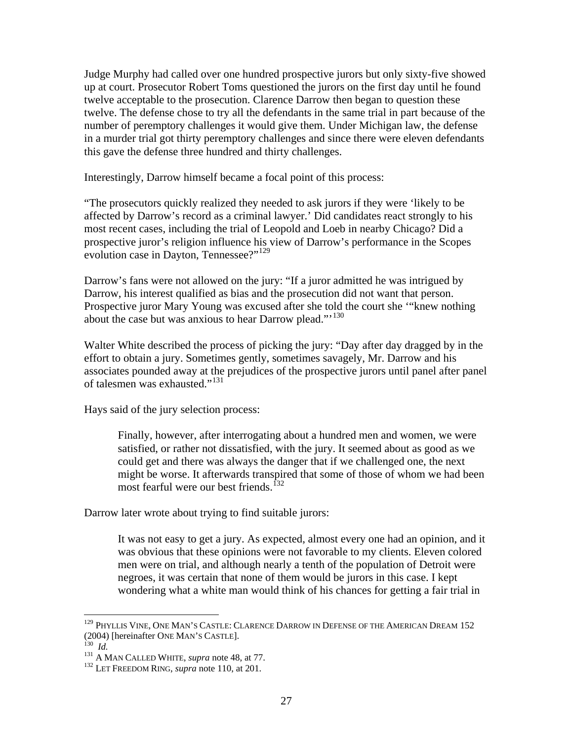Judge Murphy had called over one hundred prospective jurors but only sixty-five sho wed up at court. Prosecutor Robert Toms questioned the jurors on the first day until he found twelve acceptable to the prosecution. Clarence Darrow then began to question these twelve. The defense chose to try all the defendants in the same trial in part because of the number of peremptory challenges it would give them. Unde r Michigan law, the defense in a murder trial got thirty peremptory challenges and since there were eleven defendants this gave the defense three hundred and thirty challenges.

Interestingly, Darrow himself became a focal point of this process:

most recent cases, including the trial of Leopold and Loeb in nearby Chicago? Did a prospective juror's religion influence his view of Darrow's performance in the Scopes "The prosecutors quickly realized they needed to ask jurors if they were 'likely to be affected by Darrow's record as a criminal lawyer.' Did candidates react strongly to his evolution case in Dayton, Tennessee?"<sup>[129](#page-26-0)</sup>

Darrow, his interest qualified as bias and the prosecution did not want that person. Prospective juror Mary Young was excused after she told the court she "'knew nothing Darrow's fans were not allowed on the jury: "If a juror admitted he was intrigued by [a](#page-26-1)bout the case but was anxious to hear Darrow plead."<sup>[130](#page-26-1)</sup>

[effort to obtain a jury. Sometime](#page-26-1)s gently, sometimes savagely, Mr. Darrow and his ssociates pounded away at the prejudices of the prospective jurors until panel after panel a [Walter White described the process of picking the jury: "Day after day dragged by in the](#page-26-1)  of talesmen was exhausted."131

Hays sa id of the jury selection process:

Finally, however, after interrogating about a hundred men and women, we were could get and there was always the danger that if we challenged one, the next might be worse. It afterwards transpired that some of those of whom we had been satisfied, or rather not dissatisfied, with the jury. It seemed about as good as we most fearful were our best friends.<sup> $132$ </sup>

Darrow later wrote about trying to find suitable jurors:

It was not easy to get a jury. As expected, almost every one had an opinion, and it was obvious that these opinions were not favorable to my clients. Eleven colored men were on trial, and although nearly a tenth of the population of Detroit were negroes, it was certain that none of them would be jurors in this case. I kept wondering what a white man would think of his chances for getting a fair trial in

 $^{129}$  Phyllis Vine, One Man's Castle: Clarence Darrow in Defense of the American Dream 152 (2004) [hereinafter ONE MAN'S CASTLE]. 130 *Id.* 131 A MAN CALLED WHITE, *supra* note 48, at 77. 132 LET FREEDOM RING, *supra* note 110, at 201.

<span id="page-26-0"></span>

<span id="page-26-1"></span>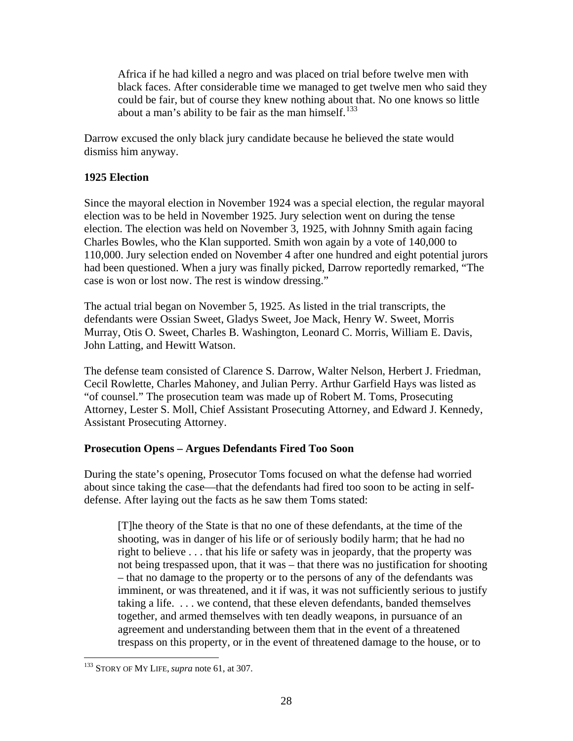Africa if he had killed a negro and was placed on trial before twelve men with black faces. After considerable time we managed to get twelve men who said they could be fair, but of course they knew nothing about that. No one knows so little about a man's ability to be fair as the man himself.<sup>133</sup>

Darrow excused the only black jury candidate because he believed the state would dismiss him anyway.

# **1925 Election**

Since the mayoral election in November 1924 was a special election, the regular mayoral 110,000. Jury selection ended on November 4 after one hundred and eight potential jurors had been questioned. When a jury was finally picked, Darrow reportedly remarked, "The election was to be held in November 1925. Jury selection went on during the tense election. The election was held on November 3, 1925, with Johnny Smith again facing Charles Bowles, who the Klan supported. Smith won again by a vote of 140,000 to case is won or lost now. The rest is window dressing."

defendants were Ossian Sweet, Gladys Sweet, Joe Mack, Henry W. Sweet, Morris Murray, Otis O. Sweet, Charles B. Washington, Leonard C. Morris, William E. Davis, The actual trial began on November 5, 1925. As listed in the trial transcripts, the John Latting, and Hewitt Watson.

The defense team consisted of Clarence S. Darrow, Walter Nelson, Herbert J. Friedman, "of counsel." The prosecution team was made up of Robert M. Toms, Prosecuting Attorney, Lester S. Moll, Chief Assistant Prosecuting Attorney, and Edward J. Kennedy, Cecil Rowlette, Charles Mahoney, and Julian Perry. Arthur Garfield Hays was listed as Assistant Prosecuting Attorney.

## **Prosecution Opens – Argues Defendants Fired Too Soon**

During the state's opening, Prosecutor Toms focused on what the defense had worried about since taking the case—that the defendants had fired too soon to be acting in selfdefense . After laying out the facts as he saw them Toms stated:

imminent, or was threatened, and it if was, it was not sufficiently serious to justify taking a life. . . . we contend, that these eleven defendants, banded themselves [T]he theory of the State is that no one of these defendants, at the time of the shooting, was in danger of his life or of seriously bodily harm; that he had no right to believe . . . that his life or safety was in jeopardy, that the property was not being trespassed upon, that it was – that there was no justification for shooting – that no damage to the property or to the persons of any of the defendants was together, and armed themselves with ten deadly weapons, in pursuance of an agreement and understanding between them that in the event of a threatened trespass on this property, or in the event of threatened damage to the house, or to

<u>.</u>

<sup>133</sup> STORY OF MY LIFE, *supra* note 61, at 307.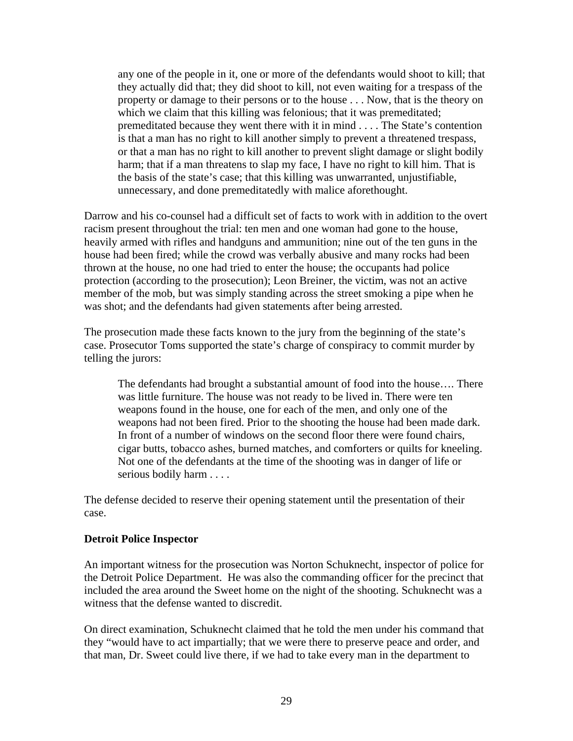any one of the people in it, one or more of the defendants would shoot to kill; that they actually did that; they did shoot to kill, not even waiting for a trespas s of the property or damage to their persons or to the house . . . Now, that is the theory on which we claim that this killing was felonious; that it was premeditated; premeditated because they went there with it in mind . . . . The State's contention is that a man has no right to kill another simply to prevent a threatened trespass, or that a man has no right to kill another to prevent slight damage or slight bo dily harm; that if a man threatens to slap my face, I have no right to ki ll him. That is the basis of the state's case; that this killing was unwarranted, unjustifiable, unnecessary, and done premeditatedly with malice aforethought.

Darrow and his co-counsel had a difficult set of facts to work with in addition to the overt heavily armed with rifles and handguns and ammunition; nine out of the ten guns in the protection (according to the prosecution); Leon Breiner, the victim, was not an active member of the mob, but was simply standing across the street smoking a pipe when he racism present throughout the trial: ten men and one woman had gone to the house, house had been fired; while the crowd was verbally abusive and many rocks had been thrown at the house, no one had tried to enter the house; the occupants had police was shot; and the defendants had given statements after being arrested.

The prosecution made these facts known to the jury from the beginning of the state's case. Prosecutor Toms supported the state's charge of conspiracy to commit murder by telling the jurors:

The defendants had brought a substantial amount of food into the house.... There cigar butts, tobacco ashes, burned matches, and comforters or quilts for kneeling. Not one of the defendants at the time of the shooting was in danger of life or was little furniture. The house was not ready to be lived in. There were ten weapons found in the house, one for each of the men, and only one of the weapons had not been fired. Prior to the shooting the house had been made dark. In front of a number of windows on the second floor there were found chairs, serious bodily harm . . . .

The defense decided to reserve their opening statement until the presentation of their case.

## **Detroit Police Inspector**

the Detroit Police Department. He was also the commanding officer for the precinct that included the area around the Sweet home on the night of the shooting. Schuknecht was a An important witness for the prosecution was Norton Schuknecht, inspector of police for witness that the defense wanted to discredit.

On direct examination, Schuknecht claimed that he told the men under his command that they "would have to act impartially; that we were there to preserve peace and order, and that man, Dr. Sweet could live there, if we had to take every man in the department to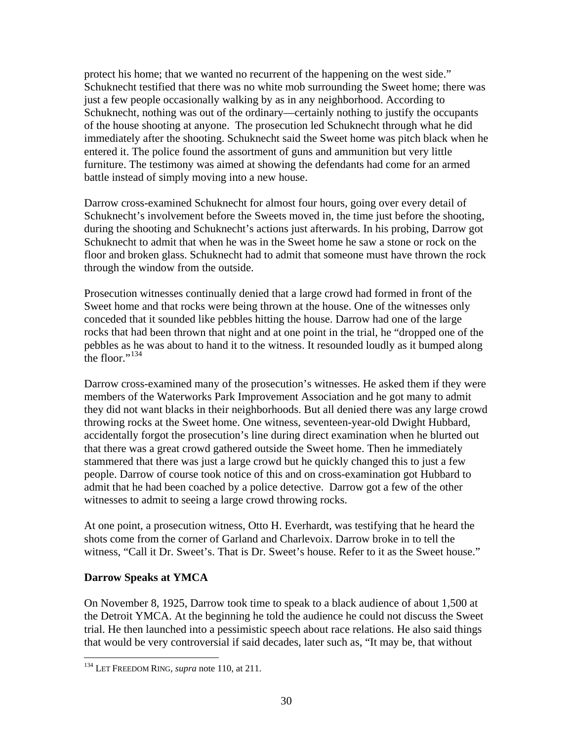protect his home; that we wanted no recurrent of the happening on the west side." Schuknecht testified that there was no white mob surrounding the Sweet home; there was just a few people occasionally walking by as in any neighborhood. According to Schuknecht, nothing was out of the ordinary—certainly nothing to justify the occupants of the house shooting at anyone. The prosecution led Schuknecht through what he did immediately after the shooting. Schuknecht said the Sweet home was pitch black when he entered it. The police found the assortment of guns and ammunition but very little furniture. The testimony was aimed at showing the defendants had come for an armed battle instead of simply moving into a new house.

Schuknecht's involvement before the Sweets moved in, the time just before the shooting, Schuknecht to admit that when he was in the Sweet home he saw a stone or rock on the floor and broken glass. Schuknecht had to admit that someone must have thrown the rock Darrow cross-examined Schuknecht for almost four hours, going over every detail of during the shooting and Schuknecht's actions just afterwards. In his probing, Darrow got through the window from the outside.

Prosecution witnesses continually denied that a large crowd had formed in front of the rocks that had been thrown that night and at one point in the trial, he "dropped one of the ebbles as he was about to hand it to the witness. It resounded loudly as it bumped along p Sweet home and that rocks were being thrown at the house. One of the witnesses only conceded that it sounded like pebbles hitting the house. Darrow had one of the large the floor."<sup>134</sup>

, throwing rocks at the Sweet home. One witness, seventeen-year-old Dwight Hubbard accidentally forgot the prosecution's line during direct examination when he blurted out people. Darrow of course took notice of this and on cross-examination got Hubbard to dmit that he had been coached by a police detective. Darrow got a few of the other a Darrow cross-examined many of the prosecution's witnesses. He asked them if they were members of the Waterworks Park Improvement Association and he got many to admit they did not want blacks in their neighborhoods. But all denied there was any large crowd that there was a great crowd gathered outside the Sweet home. Then he immediately stammered that there was just a large crowd but he quickly changed this to just a few witnesses to admit to seeing a large crowd throwing rocks.

shots come from the corner of Garland and Charlevoix. Darrow broke in to tell the witness, "Call it Dr. Sweet's. That is Dr. Sweet's house. Refer to it as the Sweet house." At one point, a prosecution witness, Otto H. Everhardt, was testifying that he heard the

# **Darrow Speaks at YMCA**

<u>.</u>

the Detroit YMCA. At the beginning he told the audience he could not discuss the Sweet trial. He then launched into a pessimistic speech about race relations. He also said things that would be very controversial if said decades, later such as, "It may be, that without On November 8, 1925, Darrow took time to speak to a black audience of about 1,500 at

<sup>134</sup> LET FREEDOM RING, *supra* note 110, at 211.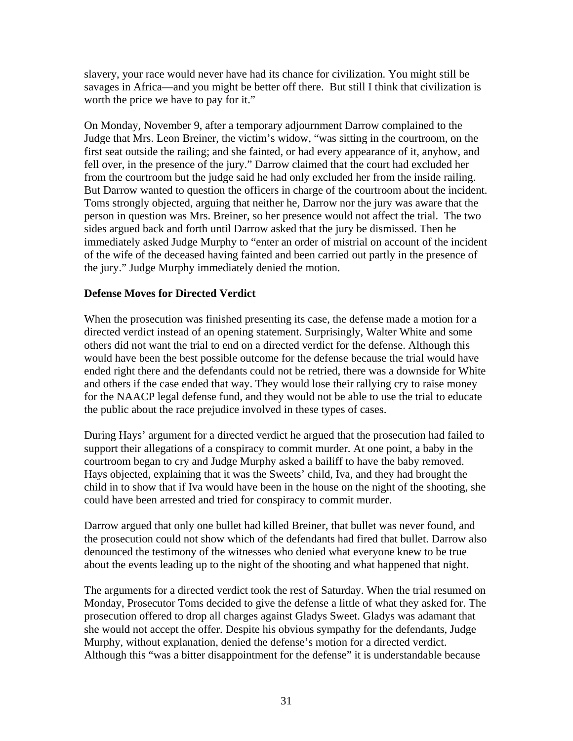slavery, your race would never have had its chance for civilization. You might still be savages in Africa—and you might be better off there. But still I think that civilization is worth the price we have to pay for it."

first seat outside the railing; and she fainted, or had every appearance of it, anyhow, and . But Darrow wanted to question the officers in charge of the courtroom about the incident person in question was Mrs. Breiner, so her presence would not affect the trial. The two immediately asked Judge Murphy to "enter an order of mistrial on account of the incident of the wife of the deceased having fainted and been carried out partly in the presence of the jury." Judge Murphy immediately denied the motion. On Monday, November 9, after a temporary adjournment Darrow complained to the Judge that Mrs. Leon Breiner, the victim's widow, "was sitting in the courtroom, on the fell over, in the presence of the jury." Darrow claimed that the court had excluded her from the courtroom but the judge said he had only excluded her from the inside railing. Toms strongly objected, arguing that neither he, Darrow nor the jury was aware that the sides argued back and forth until Darrow asked that the jury be dismissed. Then he

# Defense Moves for Directed Verdict

for the NAACP legal defense fund, and they would not be able to use the trial to educate the public about the race prejudice involved in these types of cases. When the prosecution was finished presenting its case, the defense made a motion for a directed verdict instead of an opening statement. Surprisingly, Walter White and some others did not want the trial to end on a directed verdict for the defense. Although this would have been the best possible outcome for the defense because the trial would have ended right there and the defendants could not be retried, there was a downside for White and others if the case ended that way. They would lose their rallying cry to raise money

During Hays' argument for a directed verdict he argued that the prosecution had failed to child in to show that if Iva would have been in the house on the night of the shooting, she could have been arrested and tried for conspiracy to commit murder. support their allegations of a conspiracy to commit murder. At one point, a baby in the courtroom began to cry and Judge Murphy asked a bailiff to have the baby removed. Hays objected, explaining that it was the Sweets' child, Iva, and they had brought the

the prosecution could not show which of the defendants had fired that bullet. Darrow also about the events leading up to the night of the shooting and what happened that night. Darrow argued that only one bullet had killed Breiner, that bullet was never found, and denounced the testimony of the witnesses who denied what everyone knew to be true

Monday, Prosecutor Toms decided to give the defense a little of what they asked for. The she would not accept the offer. Despite his obvious sympathy for the defendants, Judge The arguments for a directed verdict took the rest of Saturday. When the trial resumed on prosecution offered to drop all charges against Gladys Sweet. Gladys was adamant that Murphy, without explanation, denied the defense's motion for a directed verdict. Although this "was a bitter disappointment for the defense" it is understandable because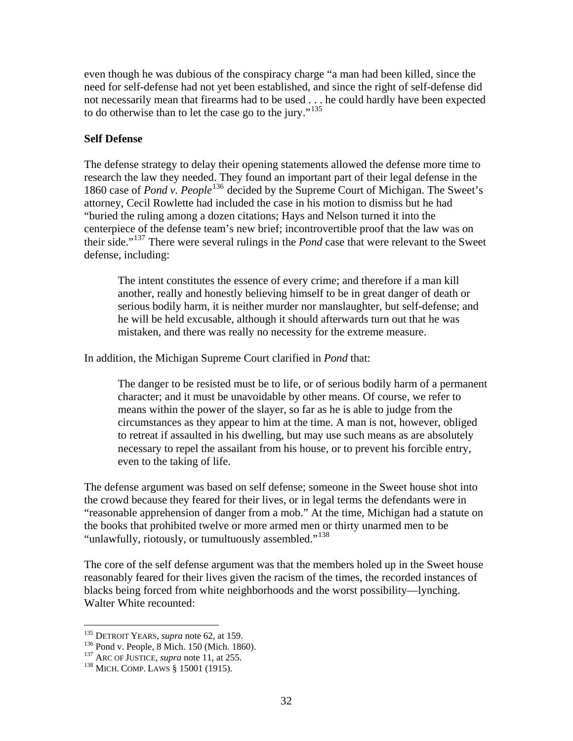even though he was dubious of the conspiracy charge "a man had been killed, since the need for self-defense had not yet been established, and since the right of self-defense did not necessarily mean that firearms had to be used . . . he could hardly have been expected to do otherwise than to let the case go to the jury." $135$ 

## **elf Defense S**

1860 case of *Pond v. People*<sup>[136](#page-31-0)</sup> decided by the Supreme Court of Michigan. The Sweet's attorney, Cecil Rowlette had included the case in his motion to dismiss but he had their side."<sup>[137](#page-31-1)</sup> There were several rulings in the *Pond* case that were relevant to the Sweet defense, including: The defense strategy to delay their opening statements allowed the defense more time to research the law they needed. They found an important part of their legal defense in the "buried the ruling among a dozen citations; Hays and Nelson turned it into the centerpiece of the defense team's new brief; incontrovertible proof that the law was on

serious bodily harm, it is neither murder nor manslaughter, but self-defense; and he will be held excusable, although it should afterwards turn out that he was mistaken, and there was really no necessity for the extreme measure. The intent constitutes the essence of every crime; and therefore if a man kill another, really and honestly believing himself to be in great danger of death or

In addition, the Michigan Supreme Court clarified in *Pond* that:

necessary to repel the assailant from his house, or to prevent his forcible entry, even to the taking of life. The danger to be resisted must be to life, or of serious bodily harm of a permanent character; and it must be unavoidable by other means. Of course, we refer to means within the power of the slayer, so far as he is able to judge from the circumstances as they appear to him at the time. A man is not, however, obliged to retreat if assaulted in his dwelling, but may use such means as are absolutely

The defense argument was based on self defense; someone in the Sweet house shot into "reasonable apprehension of danger from a mob." At the time, Michigan had a statute on the books that prohibited twelve or more armed men or thirty unarmed men to be "unlawfully, riotously, or tumultuously assembled."<sup>138</sup> the crowd because they feared for their lives, or in legal terms the defendants were in

reasonably feared for their lives given the racism of the times, the recorded instances of blacks being forced from white neighborhoods and the worst possibility—lynching. Walter White recounted: The core of the self defense argument was that the members holed up in the Sweet house

<sup>&</sup>lt;sup>135</sup> DETROIT YEARS, *supra* note 62, at 159.

<span id="page-31-1"></span><span id="page-31-0"></span><sup>&</sup>lt;sup>136</sup> Pond v. People, 8 Mich. 150 (Mich. 1860).<br><sup>137</sup> ARC OF JUSTICE, *supra* note 11, at 255.<br><sup>138</sup> MICH. COMP. LAWS § 15001 (1915).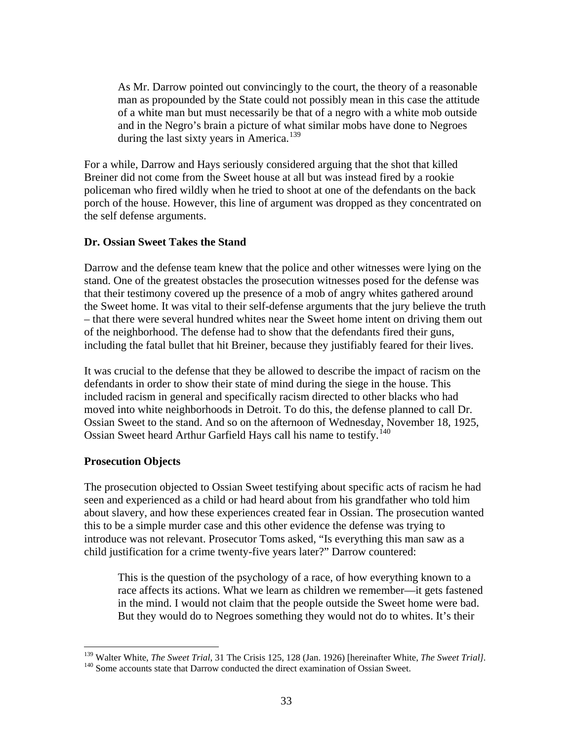of a white man but must necessarily be that of a negro with a white mob outside and in the Negro's brain a picture of what similar mobs have done to Negroes during the last sixty years in America.<sup>139</sup> As Mr. Darrow pointed out convincingly to the court, the theory of a reasonable man as propounded by the State could not possibly mean in this case the attitude

porch of the house. However, this line of argument was dropped as they concentrated on the self defense arguments. For a while, Darrow and Hays seriously considered arguing that the shot that killed Breiner did not come from the Sweet house at all but was instead fired by a rookie policeman who fired wildly when he tried to shoot at one of the defendants on the back

## **r. Ossian Sweet Takes the Stand D**

– that there were several hundred whites near the Sweet home intent on driving them out including the fatal bullet that hit Breiner, because they justifiably feared for their lives. Darrow and the defense team knew that the police and other witnesses were lying on the stand. One of the greatest obstacles the prosecution witnesses posed for the defense was that their testimony covered up the presence of a mob of angry whites gathered around the Sweet home. It was vital to their self-defense arguments that the jury believe the truth of the neighborhood. The defense had to show that the defendants fired their guns,

It was crucial to the defense that they be allowed to describe the impact of racism on the Ossian Sweet to the stand. And so on the afternoon of Wednesday, November 18, 1925, Ossian Sweet heard Arthur Garfield Hays call his name to testify.<sup>140</sup> defendants in order to show their state of mind during the siege in the house. This included racism in general and specifically racism directed to other blacks who had moved into white neighborhoods in Detroit. To do this, the defense planned to call Dr.

## **rosecution Objects P**

 $\overline{a}$ 

The prosecution objected to Ossian Sweet testifying about specific acts of racism he had about slavery, and how these experiences created fear in Ossian. The prosecution wanted introduce was not relevant. Prosecutor Toms asked, "Is everything this man saw as a child justification for a crime twenty-five years later?" Darrow countered: seen and experienced as a child or had heard about from his grandfather who told him this to be a simple murder case and this other evidence the defense was trying to

But they would do to Negroes something they would not do to whites. It's their This is the question of the psychology of a race, of how everything known to a race affects its actions. What we learn as children we remember—it gets fastened in the mind. I would not claim that the people outside the Sweet home were bad.

<sup>&</sup>lt;sup>139</sup> Walter White, *The Sweet Trial*, 31 The Crisis 125, 128 (Jan. 1926) [hereinafter White, *The Sweet Trial]*.<br><sup>140</sup> Some accounts state that Darrow conducted the direct examination of Ossian Sweet.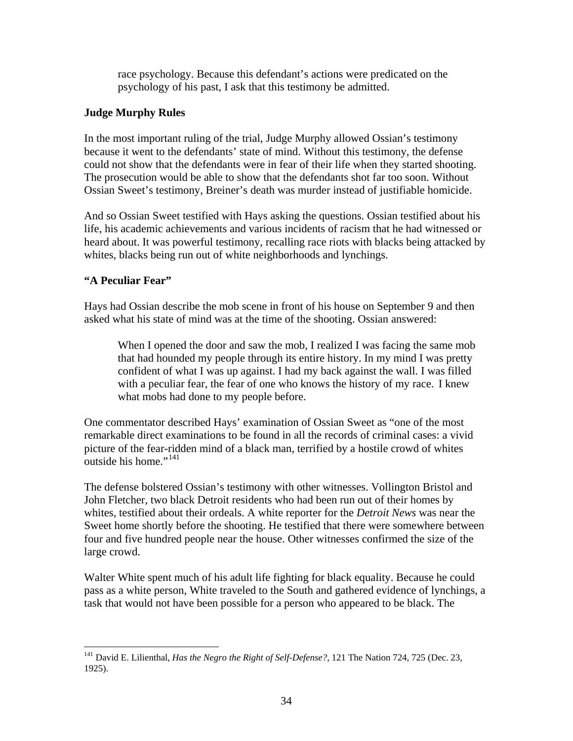race psychology. Because this defendant's actions were predicated on the psychology of his past, I ask that this testimony be admitted.

# **Judge Murphy Rules**

The prosecution would be able to show that the defendants shot far too soon. Without In the most important ruling of the trial, Judge Murphy allowed Ossian's testimony because it went to the defendants' state of mind. Without this testimony, the defense could not show that the defendants were in fear of their life when they started shooting. Ossian Sweet's testimony, Breiner's death was murder instead of justifiable homicide.

life, his academic achievements and various incidents of racism that he had witnessed or heard about. It was powerful testimony, recalling race riots with blacks being attacked by whites, blacks being run out of white neighborhoods and lynchings. And so Ossian Sweet testified with Hays asking the questions. Ossian testified about his

## **"A Peculiar Fear"**

Hays had Ossian describe the mob scene in front of his house on September 9 and then asked w hat his state of mind was at the time of the shooting. Ossian answered:

confident of what I was up against. I had my back against the wall. I was filled with a peculiar fear, the fear of one who knows the history of my race. I knew When I opened the door and saw the mob, I realized I was facing the same mob that had hounded my people through its entire history. In my mind I was pretty what mobs had done to my people before.

remarkable direct examinations to be found in all the records of criminal cases: a vivid picture of the fear-ridden mind of a black man, terrified by a hostile crowd of whites One commentator described Hays' examination of Ossian Sweet as "one of the most outside his home."<sup>141</sup>

Sweet home shortly before the shooting. He testified that there were somewhere between four and five hundred people near the house. Other witnesses confirmed the size of the The defense bolstered Ossian's testimony with other witnesses. Vollington Bristol and John Fletcher, two black Detroit residents who had been run out of their homes by whites, testified about their ordeals. A white reporter for the *Detroit News* was near the large crowd.

Walter White spent much of his adult life fighting for black equality. Because he could task that would not have been possible for a person who appeared to be black. The pass as a white person, White traveled to the South and gathered evidence of lynchings, a

<sup>1</sup> <sup>141</sup> David E. Lilienthal, *Has the Negro the Right of Self-Defense?*, 121 The Nation 724, 725 (Dec. 23, 1925).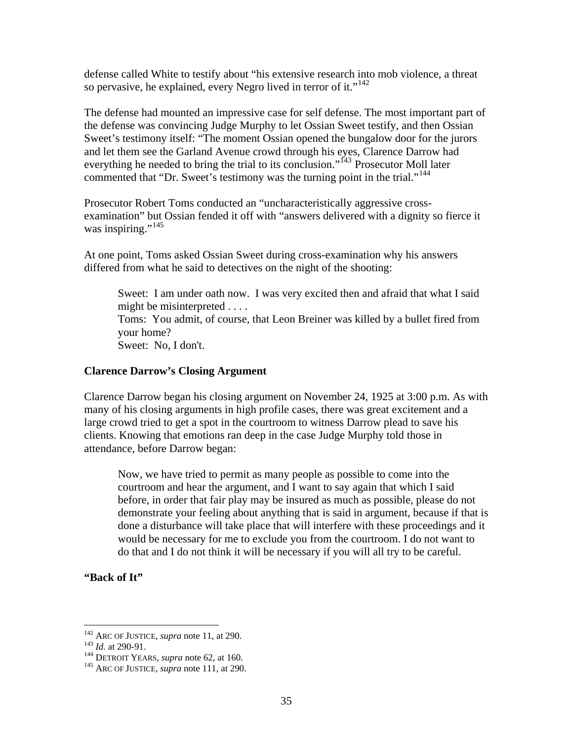defense called White to testify about "his extensive research into mob violence, a threat [s](#page-34-0)o pervasive, he explained, every Negro lived in terror of it."<sup>[142](#page-34-0)</sup>

[The defense had mounted an impressive case for self defense. The most important pa](#page-34-0)rt of [the defense was convincing Judge Murphy to let Ossian Sweet testify, and then Os](#page-34-0) sian [Sweet's testimony itself: "The moment Ossian opened the bungalow door for t](#page-34-0) he jurors and let them see the Garland Avenue crowd through his eyes, Clarence Darrow had everything he needed to bring the trial to its conclusion."<sup>[143](#page-34-1)</sup> Prosecutor Moll later commented that "Dr. Sweet's testimony was the turning point in the trial."<sup>[144](#page-34-1)</sup>

Prosecutor Robert Toms conducted an "uncharacteristically aggressive crossexamination" but Ossian fended it off with "answers delivered with a dignity so fierce it was inspiring."<sup>145</sup>

At one point, Toms asked Ossian Sweet during cross-examination why his answers differed from what he said to detectives on the night of the shooting:

might be misinterpreted  $\dots$ . Toms: You admit, of course, that Leon Breiner was killed by a bullet fired from Sweet: I am under oath now. I was very excited then and afraid that what I said your home?

Sweet: No, I don't.

#### **Clarence Darrow's Closing Argument**

Clarence Darrow began his closing argument on November 24, 1925 at 3:00 p.m. As with many of his closing arguments in high profile cases, there was great excitement and a large crowd tried to get a spot in the courtroom to witness Darrow plead to save his clients. Knowing that emotions ran deep in the case Judge Murphy told those in attenda nce, before Darrow began:

demonstrate your feeling about anything that is said in argument, because if that is done a disturbance will take place that will interfere with these proceedings and it would be necessary for me to exclude you from the courtroom. I do not want to do that and I do not think it will be necessary if you will all try to be careful. Now, we have tried to permit as many people as possible to come into the courtroom and hear the argument, and I want to say again that which I said before, in order that fair play may be insured as much as possible, please do not

**"Back of It"** 

 $142$  ARC OF JUSTICE, *supra* note 11, at 290.

<span id="page-34-0"></span><sup>143</sup> *Id.* at 290-91.<br>
<sup>143</sup> *Id.* at 290-91.<br>
<sup>145</sup> ARC OF JUSTICE, *supra* note 111, at 290.

<span id="page-34-1"></span>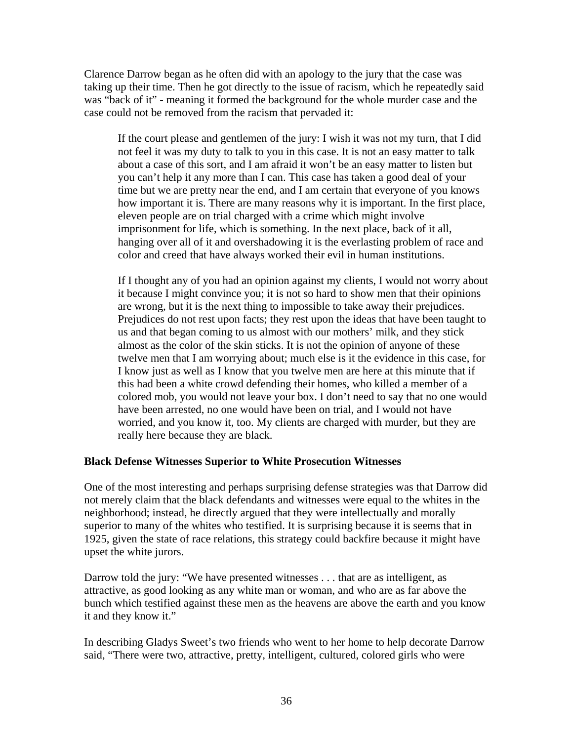Clarenc e Darrow began as he often did with an apology to the jury that the case was taking up their time. Then he got directly to the issue of racism, which he repeatedly said was "b ack of it" - meaning it formed the background for the whole murder case and the case co uld not be removed from the racism that pervaded it:

not feel it was my duty to talk to you in this case. It is not an easy matter to talk about a case of this sort, and I am afraid it won't be an easy matter to listen but time but we are pretty near the end, and I am certain that everyone of you knows how important it is. There are many reasons why it is important. In the first place, hanging over all of it and overshadowing it is the everlasting problem of race and If the court please and gentlemen of the jury: I wish it was not my turn, that I did you can't help it any more than I can. This case has taken a good deal of your eleven people are on trial charged with a crime which might involve imprisonment for life, which is something. In the next place, back of it all, color and creed that have always worked their evil in human institutions.

If I thought any of you had an opinion against my clients, I would not worry about Prejudices do not rest upon facts; they rest upon the ideas that have been taught to twelve men that I am worrying about; much else is it the evidence in this case, for I know just as well as I know that you twelve men are here at this minute that if this had been a white crowd defending their homes, who killed a member of a colored mob, you would not leave your box. I don't need to say that no one would have been arrested, no one would have been on trial, and I would not have it because I might convince you; it is not so hard to show men that their opinions are wrong, but it is the next thing to impossible to take away their prejudices. us and that began coming to us almost with our mothers' milk, and they stick almost as the color of the skin sticks. It is not the opinion of anyone of these worried, and you know it, too. My clients are charged with murder, but they are really here because they are black.

## **Black Defense Witnesses Superior to White Prosecution Witnesses**

One of the most interesting and perhaps surprising defense strategies was that Darrow did not merely claim that the black defendants and witnesses were equal to the whites in the upset the white jurors. neighborhood; instead, he directly argued that they were intellectually and morally superior to many of the whites who testified. It is surprising because it is seems that in 1925, given the state of race relations, this strategy could backfire because it might have

Darrow told the jury: "We have presented witnesses . . . that are as intelligent, as attractive, as good looking as any white man or woman, and who are as far above the bunch which testified against these men as the heavens are above the earth and you know it and they know it."

In describing Gladys Sweet's two friends who went to her home to help decorate Darrow said, "There were two, attractive, pretty, intelligent, cultured, colored girls who were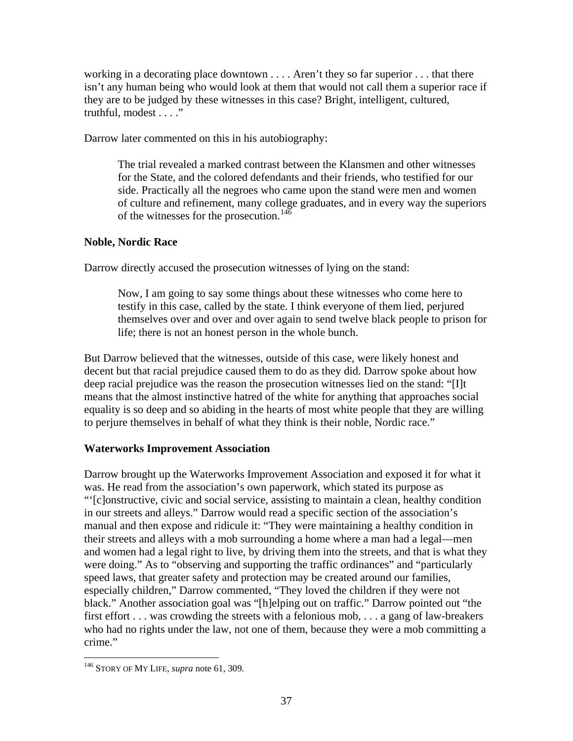working in a decorating place downtown . . . . Aren't they so far superior . . . that there isn't any human being who would look at them that would not call them a superior race if they ar e to be judged by these witnesses in this case? Bright, intelligent, cultured, truthful, modest . . . ."

Darrow later commented on this in his autobiography:

The trial revealed a marked contrast between the Klansmen and other witnesses for the State, and the colored defendants and their friends, who testified for our side. Practically all the negroes who came upon the stand were men and women of culture and refinement, many college graduates, and in every way the superiors of the witnesses for the prosecution.  $14\overline{6}$ 

## **Noble, Nordic Race**

Darrow directly accused the prosecution witnesses of lying on the stand:

themselves over and over and over again to send twelve black people to prison for Now, I am going to say some things about these witnesses who come here to testify in this case, called by the state. I think everyone of them lied, perjured life; there is not an honest person in the whole bunch.

But Darrow believed that the witnesses, outside of this case, were likely honest and decent but that racial prejudice caused them to do as they did. Darrow spoke about how deep racial prejudice was the reason the prosecution witnesses lied on the stand: "[I]t means that the almost instinctive hatred of the white for anything that approaches social equality is so deep and so abiding in the hearts of most white people that they are willing to perjure themselves in behalf of what they think is their noble, Nordic race."

# **Waterworks Improvement Association**

Darrow brought up the Waterworks Improvement Association and exposed it for what it manual and then expose and ridicule it: "They were maintaining a healthy condition in speed laws, that greater safety and protection may be created around our families, especially children," Darrow commented, "They loved the children if they were not black." Another association goal was "[h]elping out on traffic." Darrow pointed out "the first effort  $\dots$  was crowding the streets with a felonious mob,  $\dots$  a gang of law-breakers who had no rights under the law, not one of them, because they were a mob committing a was. He read from the association's own paperwork, which stated its purpose as "'[c]onstructive, civic and social service, assisting to maintain a clean, healthy condition in our streets and alleys." Darrow would read a specific section of the association's their streets and alleys with a mob surrounding a home where a man had a legal—men and women had a legal right to live, by driving them into the streets, and that is what they were doing." As to "observing and supporting the traffic ordinances" and "particularly crime."

<sup>146</sup> STORY OF MY LIFE, *supra* note 61, 309.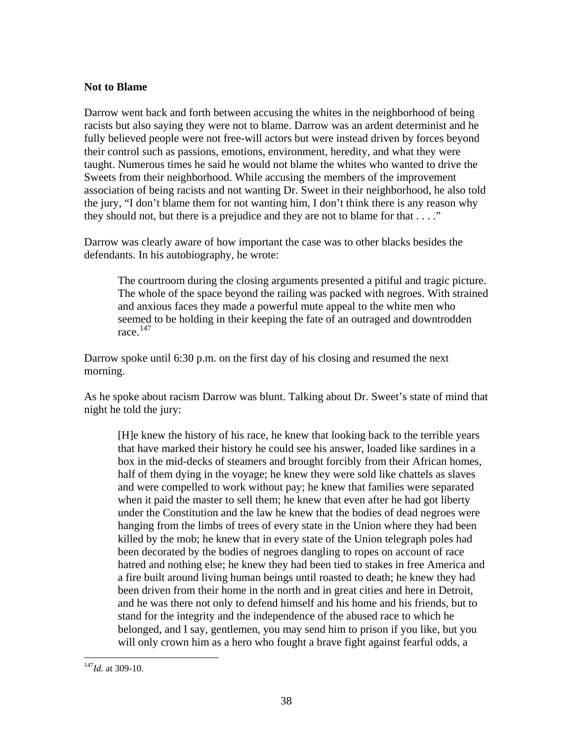#### **Not to Blame**

Darrow went back and forth between accusing the whites in the neighborhood of be ing racists but also saying they were not to blame. Darrow was an ardent determinist and he fully believed people were not free-will actors but were instead driven by forces beyond their control such as passions, emotions, environment, heredity, and what they w ere taught. Numerous times he said he would not blame the whites who wanted to drive the association of being racists and not wanting Dr. Sweet in their neighborhood, he also told the jury, "I don't blame them for not wanting him, I don't think there is any reason why they sh ould not, but there is a prejudice and they are not to blame for that . . . ." Sweets from their neighborhood. While accusing the members of the improvement

Darrow was clearly aware of how important the case was to other blacks besides the defenda nts. In his autobiography, he wrote:

The courtroom during the closing arguments presented a pitiful and tragic picture. The whole of the space beyond the railing was packed with negroes. With strained and anxious faces they made a powerful mute appeal to the white men who seemed to be holding in their keeping the fate of an outraged and downtrodden race. $147$ 

Darrow spoke until 6:30 p.m. on the first day of his closing and resumed the next mornin g.

As he s poke about racism Darrow was blunt. Talking about Dr. Sweet's state of mind that night h e told the jury:

[H]e knew the history of his race, he knew that looking back to the terrible years been decorated by the bodies of negroes dangling to ropes on account of race and he was there not only to defend himself and his home and his friends, but to stand for the integrity and the independence of the abused race to which he belonged, and I say, gentlemen, you may send him to prison if you like, but you will only crown him as a hero who fought a brave fight against fearful odds, a that have marked their history he could see his answer, loaded like sardines in a box in the mid-decks of steamers and brought forcibly from their African homes, half of them dying in the voyage; he knew they were sold like chattels as slaves and were compelled to work without pay; he knew that families were separated when it paid the master to sell them; he knew that even after he had got liberty under the Constitution and the law he knew that the bodies of dead negroes were hanging from the limbs of trees of every state in the Union where they had been killed by the mob; he knew that in every state of the Union telegraph poles had hatred and nothing else; he knew they had been tied to stakes in free America and a fire built around living human beings until roasted to death; he knew they had been driven from their home in the north and in great cities and here in Detroit,

 $\overline{a}$ <sup>147</sup>*Id.* at 309-10.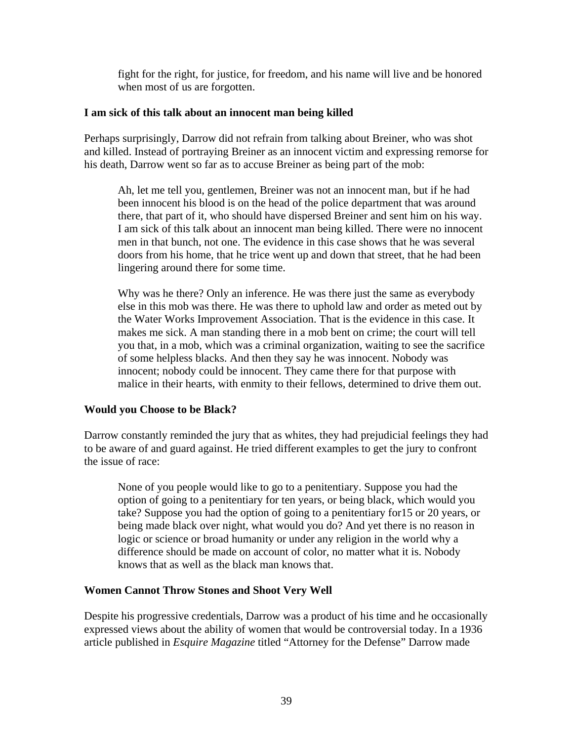fight for the right, for justice, for freedom, and his name will live and be honored when most of us are forgotten.

#### I am sick of this talk about an innocent man being killed

Perhap s surprisingly, Darrow did not refrain from talking about Breiner, who was shot and kil led. Instead of portraying Breiner as an innocent victim and expressing remorse for his dea th, Darrow went so far as to accuse Breiner as being part of the mob:

been innocent his blood is on the head of the police department that was around there, that part of it, who should have dispersed Breiner and sent him on his way. I am sick of this talk about an innocent man being killed. There were no innocent Ah, let me tell you, gentlemen, Breiner was not an innocent man, but if he had men in that bunch, not one. The evidence in this case shows that he was several doors from his home, that he trice went up and down that street, that he had been lingering around there for some time.

Why was he there? Only an inference. He was there just the same as everybody else in this mob was there. He was there to uphold law and order as meted out by makes me sick. A man standing there in a mob bent on crime; the court will tell you that, in a mob, which was a criminal organization, waiting to see the sacrifice of some helpless blacks. And then they say he was innocent. Nobody was the Water Works Improvement Association. That is the evidence in this case. It innocent; nobody could be innocent. They came there for that purpose with malice in their hearts, with enmity to their fellows, determined to drive them out.

## **ould you Choose to be Black? W**

Darrow constantly reminded the jury that as whites, they had prejudicial feelings they had to be aw are of and guard against. He tried different examples to get the jury to confront the issu e of race:

option of going to a penitentiary for ten years, or being black, which would you take? Suppose you had the option of going to a penitentiary for15 or 20 years, or being made black over night, what would you do? And yet there is no reason in logic or science or broad humanity or under any religion in the world why a None of you people would like to go to a penitentiary. Suppose you had the difference should be made on account of color, no matter what it is. Nobody knows that as well as the black man knows that.

#### **Women Cannot Throw Stones and Shoot Very Well**

Despite his progressive credentials, Darrow was a product of his time and he occasionally expressed views about the ability of women that would be controversial today. In a 1936 article published in *Esquire Magazine* titled "Attorney for the Defense" Darrow made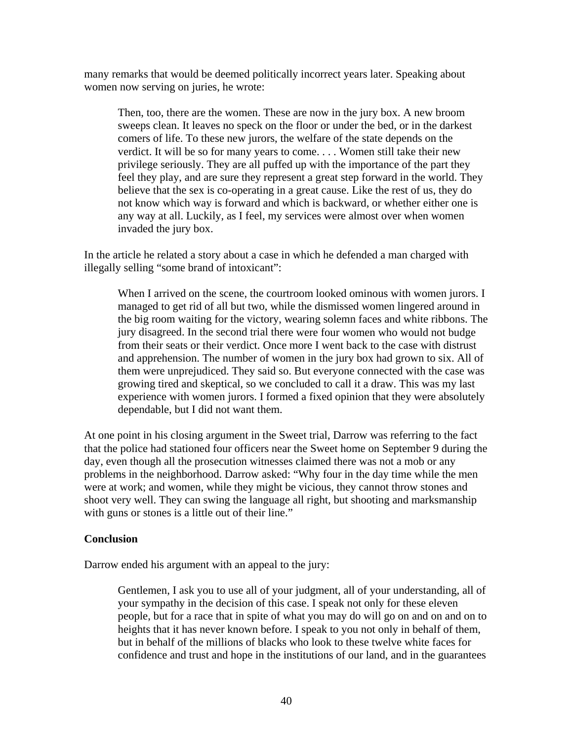many r emarks that would be deemed politically incorrect years later. Speaking about women now serving on juries, he wrote:

verdict. It will be so for many years to come.... Women still take their new privilege seriously. They are all puffed up with the importance of the part they feel they play, and are sure they represent a great step forward in the world. They believe that the sex is co-operating in a great cause. Like the rest of us, they do not know which way is forward and which is backward, or whether either one is Then, too, there are the women. These are now in the jury box. A new broom sweeps clean. It leaves no speck on the floor or under the bed, or in the darkest comers of life. To these new jurors, the welfare of the state depends on the any way at all. Luckily, as I feel, my services were almost over when women invaded the jury box.

In the a rticle he related a story about a case in which he defended a man charged with illegall y selling "some brand of intoxicant":

jury disagreed. In the second trial there were four women who would not budge from their seats or their verdict. Once more I went back to the case with distrust growing tired and skeptical, so we concluded to call it a draw. This was my last When I arrived on the scene, the courtroom looked ominous with women jurors. I managed to get rid of all but two, while the dismissed women lingered around in the big room waiting for the victory, wearing solemn faces and white ribbons. The and apprehension. The number of women in the jury box had grown to six. All of them were unprejudiced. They said so. But everyone connected with the case was experience with women jurors. I formed a fixed opinion that they were absolutely dependable, but I did not want them.

At one point in his closing argument in the Sweet trial, Darrow was referring to the fact that the police had stationed four officers near the Sweet home on September 9 during the day, even though all the prosecution witnesses claimed there was not a mob or any problems in the neighborhood. Darrow asked: "Why four in the day time while the men were at work; and women, while they might be vicious, they cannot throw stones and shoot very well. They can swing the language all right, but shooting and marksmanship with guns or stones is a little out of their line."

### **Conclu sion**

Darrow ended his argument with an appeal to the jury:

people, but for a race that in spite of what you may do will go on and on and on to heights that it has never known before. I speak to you not only in behalf of them, confidence and trust and hope in the institutions of our land, and in the guarantees Gentlemen, I ask you to use all of your judgment, all of your understanding, all of your sympathy in the decision of this case. I speak not only for these eleven but in behalf of the millions of blacks who look to these twelve white faces for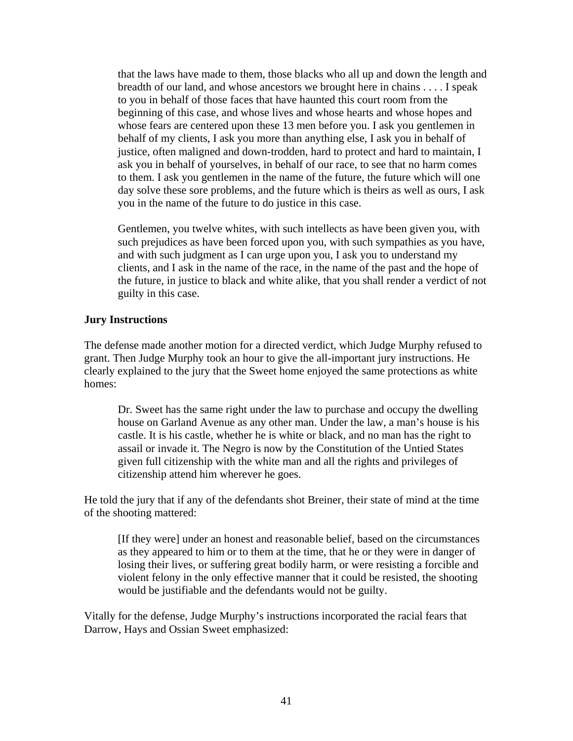that the laws have made to them, those blacks who all up and down the length and breadth of our land, and whose ancestors we brought here in chains . . . . I speak to you in behalf of those faces that have haunted this court room from the beginning of this case, and whose lives and whose hearts and whose hopes and whose fears are centered upon these 13 men before you. I ask you gentlemen in behalf of my clients, I ask you more than anything else, I ask you in behalf of to them. I ask you gentlemen in the name of the future, the future which will one justice, often maligned and down-trodden, hard to protect and hard to maintain, I ask you in behalf of yourselves, in behalf of our race, to see that no harm comes day solve these sore problems, and the future which is theirs as well as ours, I ask you in the name of the future to do justice in this case.

Gentlemen, you twelve whites, with such intellects as have been given you, with such prejudices as have been forced upon you, with such sympathies as you have, and with such judgment as I can urge upon you, I ask you to understand my the future, in justice to black and white alike, that you shall render a verdict of not clients, and I ask in the name of the race, in the name of the past and the hope of guilty in this case.

## **ury Instructions J**

The de fense made another motion for a directed verdict, which Judge Murphy refused to grant. T hen Judge Murphy took an hour to give the all-important jury instructions. He clearly explained to the jury that the Sweet home enjoyed the same protections as white homes:

Dr. Sweet has the same right under the law to purchase and occupy the dwelling castle. It is his castle, whether he is white or black, and no man has the right to assail or invade it. The Negro is now by the Constitution of the Untied States house on Garland Avenue as any other man. Under the law, a man's house is his given full citizenship with the white man and all the rights and privileges of citizenship attend him wherever he goes.

He told the jury that if any of the defendants shot Breiner, their state of mind at the time of the s hooting mattered:

[If they were] under an honest and reasonable belief, based on the circumstances as they appeared to him or to them at the time, that he or they were in danger of losing their lives, or suffering great bodily harm, or were resisting a forcible and violent felony in the only effective manner that it could be resisted, the shooting would be justifiable and the defendants would not be guilty.

Vitally for the defense, Judge Murphy's instructions incorporated the racial fears that Darrow, Hays and Ossian Sweet emphasized: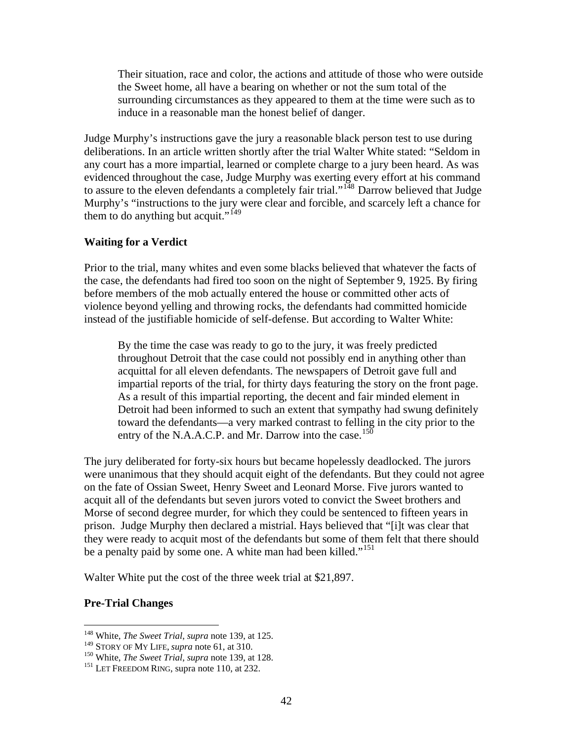Their situation, race and color, the actions and attitude of those who were outside the Sweet home, all have a bearing on whether or not the sum total of the surrounding circumstances as they appeared to them at the time were such as to induce in a reasonable man the honest belief of danger.

Judge Murphy's instructions gave the jury a reasonable black person test to use during deliberations. In an article written shortly after the trial Walter White stated: "Seldom in ny court has a more impartial, learned or complete charge to a jury been heard. As was a Murphy's "instructions to the jury were clear and forcible, and scarcely left a chance for evidenced throughout the case, Judge Murphy was exerting every effort at his command to assure to the eleven defendants a completely fair trial."<sup>148</sup> Darrow believed that Judge them to do anything but acquit."<sup>149</sup>

#### **aiting for a Verdict W**

Prior to the trial, many whites and even some blacks believed that whatever the facts of the case, the defendants had fired too soon on the night of September 9, 1925. By firing before members of the mob actually entered the house or committed other acts of violenc e beyond yelling and throwing rocks, the defendants had committed homicide instead of the justifiable homicide of self-defense. But according to Walter White:

By the time the case was ready to go to the jury, it was freely predicted throughout Detroit that the case could not possibly end in anything other than Detroit had been informed to such an extent that sympathy had swung definitely acquittal for all eleven defendants. The newspapers of Detroit gave full and impartial reports of the trial, for thirty days featuring the story on the front page. As a result of this impartial reporting, the decent and fair minded element in toward the defendants—a very marked contrast to felling in the city prior to the entry of the N.A.A.C.P. and Mr. Darrow into the case.<sup>[150](#page-41-0)</sup>

The jury deliberated for forty-six hours but became hopelessly deadlocked. The jurors were unanimous that they should acquit eight of the defendants. But they could not agree on the fate of Ossian Sweet, Henry Sweet and Leonard Morse. Five jurors wanted to acquit all of the defendants but seven jurors voted to convict the Sweet brothers and Morse of second degree murder, for which they could be sentenced to fifteen years in prison. Judge Murphy then declared a mistrial. Hays believed that "[i]t was clear that they were ready to acquit most of the defendants but some of them felt that there should be a penalty paid by some one. A white man had been killed."<sup>151</sup>

Walter White put the cost of the three week trial at \$21,897.

#### **re-Trial Changes P**

<u>.</u>

<sup>&</sup>lt;sup>148</sup> White, *The Sweet Trial*, *supra* note 139, at 125.<br><sup>149</sup> STORY OF MY LIFE, *supra* note 61, at 310.

<span id="page-41-0"></span><sup>&</sup>lt;sup>150</sup> White, *The Sweet Trial*, *supra* note 139, at 128.<br><sup>151</sup> LET FREEDOM RING, supra note 110, at 232.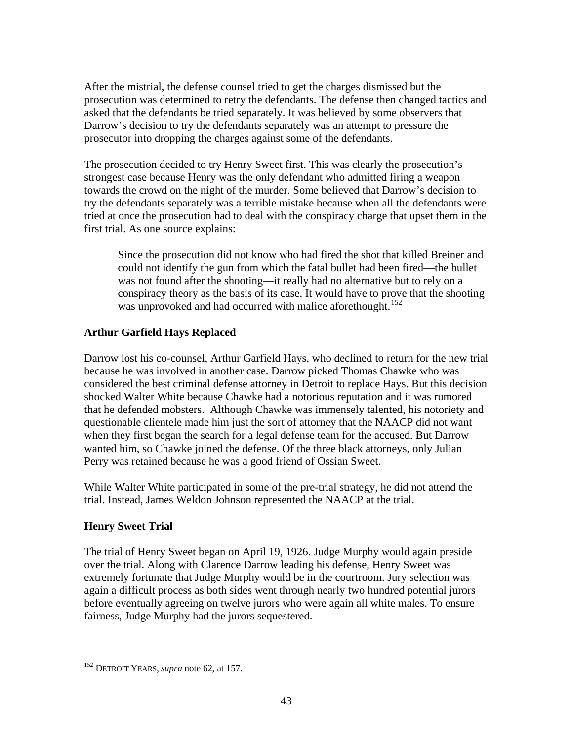After the mistrial, the defense counsel tried to get the charges dismissed but the prosecution was determined to retry the defendants. The defense then changed tactics an d asked that the defendants be tried separately. It was believed by some observers that Darrow's decision to try the defendants separately was an attempt to pressure the prosecutor into dropping the charg es against some of the defendants.

The pro secution decided to try Henry Sweet first. This was clearly the prosecution's stronge st case because Henry was the only defendant who admitted firing a weapon towards the crowd on the night of the murder. Some believed that Darrow's decision to try the defendants separately was a terrible mistake because when all the defendants were tried at once the prosecution had to deal with the conspiracy charge that upset them in the first trial. As one source explains:

Since the prosecution did not know who had fired the shot that killed Breiner and could not identify the gun from which the fatal bullet had been fired—the bullet was not found after the shooting—it really had no alternative but to rely on a conspiracy theory as the basis of its case. It would have to prove that the shooting was unprovoked and had occurred with malice aforethought.<sup>152</sup>

# **Arthur Garfield Hays Replaced**

Darrow lost his co-counsel, Arthur Garfield Hays, who declined to return for the new trial because he was involved in another case. Darrow picked Thomas Chawke who was considered the best criminal defense attorney in Detroit to replace Hays. But this decision that he defended mobsters. Although Chawke was immensely talented, his notoriety and questionable clientele made him just the sort of attorney that the NAACP did not want when they first began the search for a legal defense team for the accused. But Darrow wanted him, so Chawke joined the defense. Of the three black attorneys, only Julian shocked Walter White because Chawke had a notorious reputation and it was rumored Perry was retained because he was a good friend of Ossian Sweet.

While Walter White participated in some of the pre-trial strategy, he did not attend the trial. Instead, James Weldon Johnson represented the NAACP at the trial.

# **Henry Sweet Trial**

 $\overline{a}$ 

extremely fortunate that Judge Murphy would be in the courtroom. Jury selection was gain a difficult process as both sides went through nearly two hundred potential jurors a before eventually agreeing on twelve jurors who were again all white males. To ensure fairness, Judge Murphy had the jurors sequestered. The trial of Henry Sweet began on April 19, 1926. Judge Murphy would again preside over the trial. Along with Clarence Darrow leading his defense, Henry Sweet was

<sup>152</sup> DETROIT YEARS, *supra* note 62, at 157.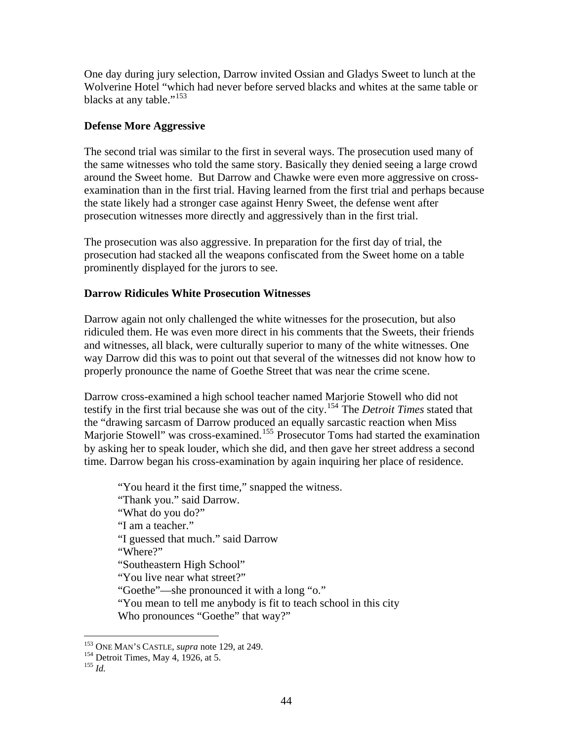One day during jury selection, Darrow invited Ossian and Gladys Sweet to lunch at the Wolverine Hotel "which had never before served blacks and whites at the same table or blacks at any table."<sup>153</sup>

## **Defense More Aggressive**

The second trial was similar to the first in several ways. The prosecution used many of the same witnesses who told the same story. Basically they denied seeing a large crowd around the Sweet home. But Darrow and Chawke were even more aggressive on crossexamination than in the first trial. Having learned from the first trial and perhaps because the state likely had a stronger case against Henry Sweet, the defense went after prosecution witnesses more directly and aggressively than in the first trial.

The prosecution was also aggressive. In preparation for the first day of trial, the prosecution had stacked all the weapons confiscated from the Sweet home on a table prominently displayed for the jurors to see.

# **Darrow Ridicules White Prosecution Witnesses**

Darrow again not only challenged the white witnesses for the prosecution, but also ridiculed them. He was even more direct in his comments that the Sweets, their friends and witnesses, all black, were culturally superior to many of the white witnesses. One way Darrow did this was to point out that several of the witnesses did not know how to properly pronounce the name of Goethe Street that was near the crime scene.

Darrow cross-examined a high school teacher named Marjorie Stowell who did not testify in the first trial because she was out of the city.<sup>154</sup> The *Detroit Times* stated that the "drawing sarcasm of Darrow produced an equally sarcastic reaction when Miss Marjorie Stowell" was cross-examined.<sup>155</sup> Prosecutor Toms had started the examination by asking her to speak louder, which she did, and then gave her street address a second time. Darrow began his cross-examination by again inquiring her place of residence.

"You heard it the first time," snapped the witness. "You live near what street?" "Thank you." said Darrow. "What do you do?" "I am a teacher." "I guessed that much." said Darrow "Where?" "Southeastern High School" "Goethe"—she pronounced it with a long "o." "You mean to tell me anybody is fit to teach school in this city Who pronounces "Goethe" that way?"

 $\overline{a}$ 9, at 249.

oit Times, May 4, 1926, at 5. <sup>153</sup> ONE MAN'S CASTLE, *supra* note 12<br><sup>154</sup> Detroit Times, May 4, 1926, at 5.<br><sup>155</sup> *Id.*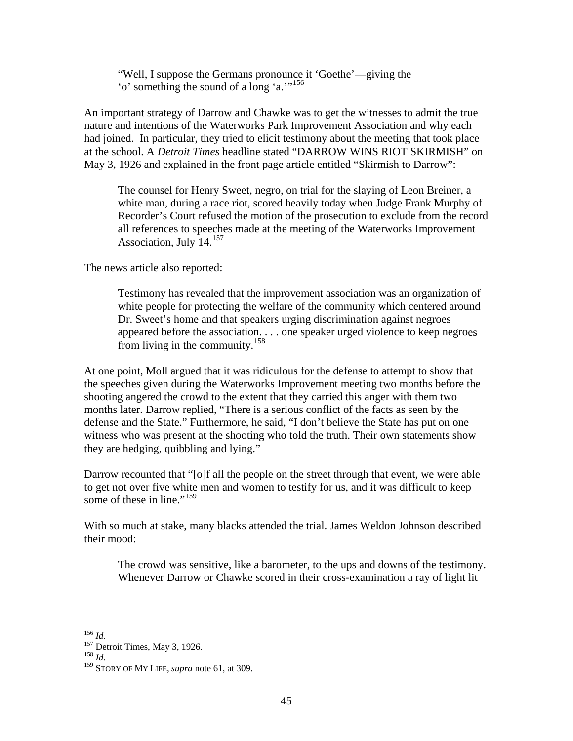"Well, I suppose the Germans pronounce it 'Goethe'—giving the 'o' something the sound of a long 'a.'"<sup>156</sup>

An imp ortant strategy of Darrow and Chawke was to get the witnesses to admit the true nature a nd intentions of the Waterworks Park Improvement Association and why each had join ed. In particular, they tried to elicit testimony about the meeting that took place at the s chool. A *Detroit Times* headline stated "DARROW WINS RIOT SKIRMISH" on May 3, 1926 and explained in the front page article entitled "Skirmish to Darrow":

The counsel for Henry Sweet, negro, on trial for the slaying of Leon Breiner, a white man, during a race riot, scored heavily today when Judge Frank Murphy of Recorder's Court refused the motion of the prosecution to exclude from the record all references to speeches made at the meeting of the Waterworks Improvement Association, July  $14.^{157}$  $14.^{157}$  $14.^{157}$ 

The new [s article also reported:](#page-44-0) 

appeared before the association. . . . one speaker urged violence to keep negroes Testimony has revealed that the improvement association was an organization of white people for protecting the welfare of the community which centered around Dr. Sweet's home and that speakers urging discrimination against negroes from living in the community.<sup>158</sup>

At one point, Moll argued that it was ridiculous for the defense to attempt to show that the speeches given during the Waterworks Improvement meeting two months before the defense and the State." Furthermore, he said, "I don't believe the State has put on one witness who was present at the shooting who told the truth. Their own statements show shooting angered the crowd to the extent that they carried this anger with them two months later. Darrow replied, "There is a serious conflict of the facts as seen by the they are hedging, quibbling and lying."

Darrow recounted that "[o]f all the people on the street through that event, we were able to get n ot over five white men and women to testify for us, and it was difficult to keep some of these in line."<sup>[159](#page-45-0)</sup>

With so [much at stake, many](#page-45-0) blacks attended the trial. James Weldon Johnson described their mood:

The crowd was sensitive, like a barometer, to the ups and downs of the testimony. Whenever Darrow or Chawke scored in their cross-examination a ray of light lit

 $^{156}$   $Id.$ 

<span id="page-44-0"></span>

<sup>&</sup>lt;sup>157</sup> Detroit Times, May 3, 1926.<br><sup>158</sup> *Id.* 159 STORY OF MY LIFE, *supra* note 61, at 309.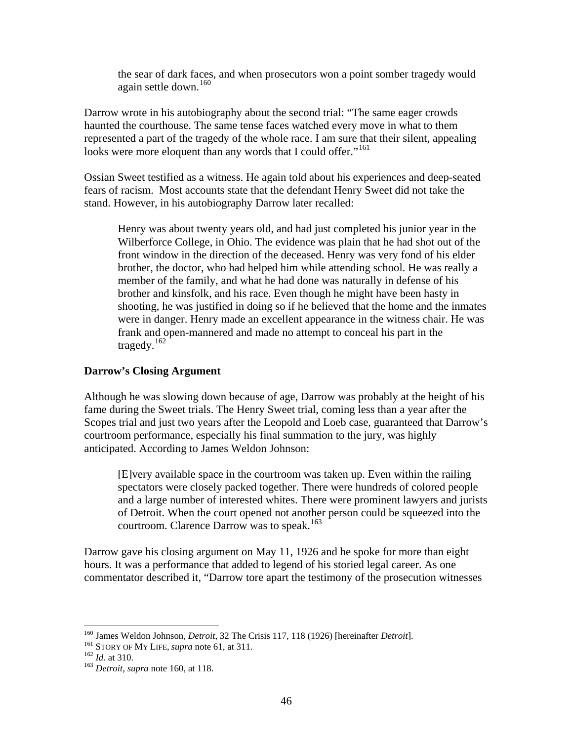the sear of dark faces, and when prosecutors won a point somber tragedy would again settle down.<sup>160</sup>

Darrow wrote in his autobiography about the second trial: "The same eager crowds haunted the courthouse. The same tense faces watched every move in what to them represe nted a part of the tragedy of the whole race. I am sure that their silent, appealing looks were more eloquent than any words that I could offer."<sup>[161](#page-45-1)</sup>

Ossian [Sweet testified as a witness. He again told about his experiences and deep-seated](#page-45-1)  fears of  [racism. Most accounts state that the defendant Henry Sweet did not take the](#page-45-1) stand. H [owever, in his autobiography Darrow later recalled:](#page-45-1) 

[Wilberforce College, in Ohio. The evidence was plain that he had shot ou](#page-45-1)t of the [front windo](#page-45-1)w in the direction of the deceased. Henry was very fond of his elder brother, the doctor, who had helped him while attending school. He was really a member of the family, and what he had done was naturally in defense of his brother and kinsfolk, and his race. Even though he might have been hasty in were in danger. Henry made an excellent appearance in the witness chair. He was [Henry was about twenty years old, and had just completed his junior year in the](#page-45-1)  shooting, he was justified in doing so if he believed that the home and the inmates frank and open-mannered and made no attempt to conceal his part in the tragedy. $162$ 

#### **Darrow's Closing Argument**

Althou gh he was slowing down because of age, Darrow was probably at the height of his fame during the Sweet trials. The Henry Sweet trial, coming less than a year after the Scopes trial and just two years after the Leopold and Loeb case, guaranteed that Darrow's courtroom performance, especially his final summation to the jury, was highly nticipated. According to James Weldon Johnson: a

[E]very available space in the courtroom was taken up. Even within the railing and a large number of interested whites. There were prominent lawyers and jurists of Detroit. When the court opened not another person could be squeezed into the courtroom. Clarence Darrow was to speak. 163 spectators were closely packed together. There were hundreds of colored people

Darrow gave his closing argument on May 11, 1926 and he spoke for more than eight hours. It was a performance that added to legend of his storied legal career. As one commentator described it, "Darrow tore apart the testimony of the prosecution witnesses

<span id="page-45-0"></span>on Johnson, *Detroit*, 32 The Crisis 117, 118 (1926) [hereinafter *Detroit*]. <sup>160</sup> James Weldon Johnson, *Detroit*, 3<br><sup>161</sup> STORY OF MY LIFE, *supra* note 61<br><sup>162</sup> *Id.* at 310. 163 *Detroit*, *supra* note 160, at 118.

<sup>,</sup> at 311.

<span id="page-45-1"></span> $163$  Detroit, supra note 160, at 118.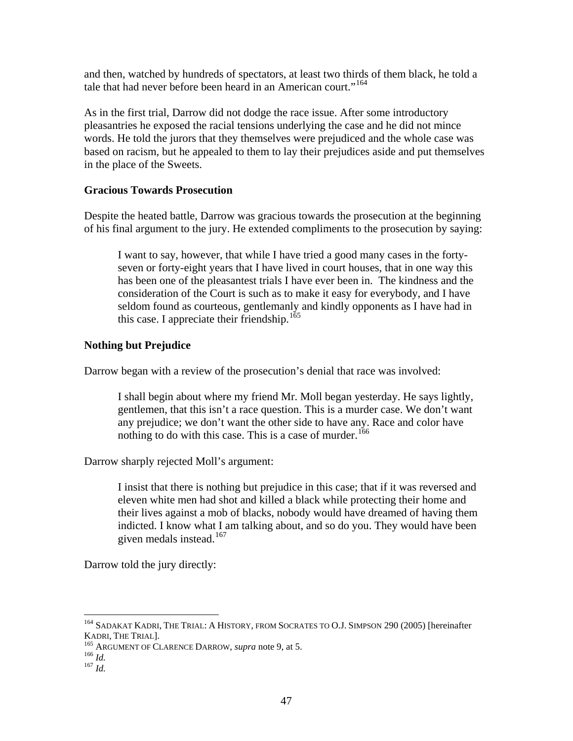and then, watched by hundreds of spectators, at least two thirds of them black, he told a tale that had never before been heard in an American court."<sup>164</sup>

pleasantries he exposed the racial tensions underlying the case and he did not mince words. He told the jurors that they themselves were prejudiced and the whole case was based on racism, but he appealed to them to lay their prejudices aside and put themselves in the p lace of the Sweets. As in the first trial, Darrow did not dodge the race issue. After some introductory

### **Gracio us Towards Prosecution**

Despite the heated battle, Darrow was gracious towards the prosecution at the beginning of his final argument to the jury. He extended compliments to the prosecution by saying:

I want to say, however, that while I have tried a good many cases in the fortyseven or forty-eight years that I have lived in court houses, that in one way this has been one of the pleasantest trials I have ever been in. The kindness and the consideration of the Court is such as to make it easy for everybody, and I have seldom found as courteous, gentlemanly and kindly opponents as I have had in this case. I appreciate their friendship.<sup>[165](#page-46-0)</sup>

# **Nothing but Prejudice**

Darrow began with a review of the prosecution's denial that race was involved:

any prejudice; we don't want the other side to have any. Race and color have nothing to do with this case. This is a case of murder.<sup>166</sup> I shall begin about where my friend Mr. Moll began yesterday. He says lightly, gentlemen, that this isn't a race question. This is a murder case. We don't want

Darrow sharply rejected Moll's argument:

I insist that there is nothing but prejudice in this case; that if it was reversed and indicted. I know what I am talking about, and so do you. They would have been given medals instead. 167 eleven white men had shot and killed a black while protecting their home and their lives against a mob of blacks, nobody would have dreamed of having them

Darrow told the jury directly:

1

<sup>&</sup>lt;sup>164</sup> SADAKAT KADRI, THE TRIAL: A HISTORY, FROM SOCRATES TO O.J. SIMPSON 290 (2005) [hereinafter KADRI, THE TRIAL].<br><sup>165</sup> ARGUMENT OF CI<br><sup>166</sup> *Id.*<br><sup>167</sup> *Id.* 

UMENT OF CLARENCE DARROW, *supra* note 9, at 5.

<span id="page-46-0"></span>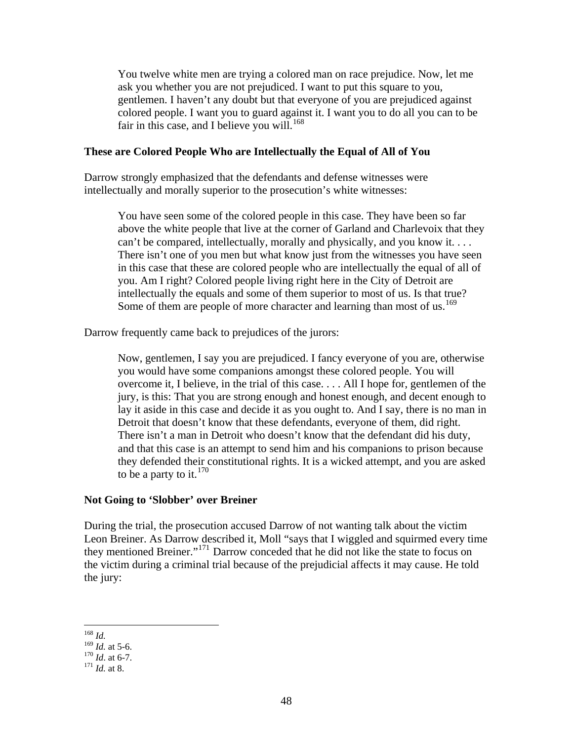You twelve white men are trying a colored man on race prejudice. Now, let me ask you whether you are not prejudiced. I want to put this square to you, gentlemen. I haven't any doubt but that everyone of you are prejudiced against colored people. I want you to guard against it. I want you to do all you can to be fair in this case, and I believe you will.<sup>[168](#page-47-0)</sup>

#### **These [are Colored People Who are Intellectually the Equal of All of You](#page-47-0)**

Darrow strongly emphasized that the defendants and defense witnesses were intellectually and morally superior to the prosecution's white witnesses:

above the white people that live at the corner of Garland and Charlevoix that they You have seen some of the colored people in this case. They have been so far can't be compared, intellectually, morally and physically, and you know it. . . . There isn't one of you men but what know just from the witnesses you have seen in this case that these are colored people who are intellectually the equal of all of you. Am I right? Colored people living right here in the City of Detroit are intellectually the equals and some of them superior to most of us. Is that true? Some of them are people of more character and learning than most of us.<sup>[169](#page-47-1)</sup>

Darrow frequently came back to prejudices of the jurors:

Now, gentlemen, I say you are prejudiced. I fancy everyone of you are, otherwise you would have some companions amongst these colored people. You will overcome it, I believe, in the trial of this case.  $\dots$  All I hope for, gentlemen of the There isn't a man in Detroit who doesn't know that the defendant did his duty, and that this case is an attempt to send him and his companions to prison because they defended their constitutional rights. It is a wicked attempt, and you are asked jury, is this: That you are strong enough and honest enough, and decent enough to lay it aside in this case and decide it as you ought to. And I say, there is no man in Detroit that doesn't know that these defendants, everyone of them, did right. to be a party to it.<sup>[170](#page-48-0)</sup>

#### **Not Go [ing to 'Slobber' over Breiner](#page-48-0)**

During  [the trial, the prosecution accused Darrow of not wanting talk about the victim](#page-48-0)  Leon Breiner. As Darrow described it, Moll "says that I wiggled and squirmed every time they mentioned Breiner."<sup>[171](#page-48-0)</sup> Darrow conceded that he did not like the state to focus on the victim during a criminal trial because of the prejudicial affects it may cause. He told the jury:

 $\overline{a}$ <sup>168</sup> *Id.*

<span id="page-47-0"></span>

<sup>.</sup>  <sup>169</sup> *Id.* at 5-6.<br><sup>170</sup> *Id.* at 6-7.<br><sup>171</sup> *Id.* at 8.

<span id="page-47-1"></span> $171$  *Id.* at 8.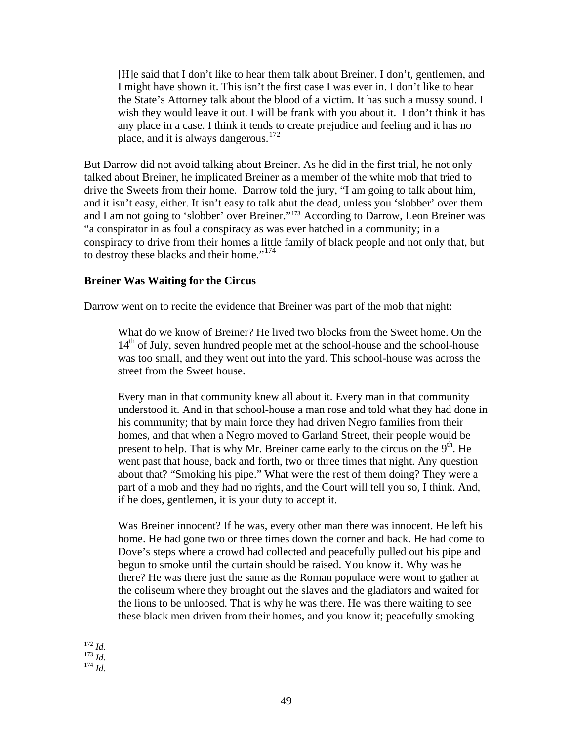[H]e said that I don't like to hear them talk about Breiner. I don't, gentlemen, and I might have shown it. This isn't the first case I was ever in. I don't like to hear the State's Attorney talk about the blood of a victim. It has such a mussy sound. I wish they would leave it out. I will b e frank with you about it. I don't think it has any place in a case. I think it tends to create prejudice and feeling and it has no place, and it is always dangerous. $172$ 

But Darrow did not avoid talking about Breiner. As he did in the first trial, he not only talked about Breiner, he implicated Breiner as a member of the white mob that tried to drive th e Sweets from their home. Darrow told the jury, "I am going to talk about him, and it i sn't easy, either. It isn't easy to talk abut the dead, unless you 'slobber' over them and I am not going to 'slobber' over Breiner."<sup>173</sup> According to Darrow, Leon Breiner was "a conspirator in as foul a conspiracy as was ever hatched in a community; in a conspiracy to drive from their homes a little family of black people and not only that, but to destroy these blacks and their home."<sup>174</sup>

#### **Breine r Was Waiting for the Circus**

Darrow went on to recite the evidence that Breiner was part of the mob that night:

was too small, and they went out into the yard. This school-house was across the street from the Sweet house. What do we know of Breiner? He lived two blocks from the Sweet home. On the  $14<sup>th</sup>$  of July, seven hundred people met at the school-house and the school-house

Every man in that community knew all about it. Every man in that community understood it. And in that school-house a man rose and told what they had done in his community; that by main force they had driven Negro families from their homes, and that when a Negro moved to Garland Street, their people would be present to help. That is why Mr. Breiner came early to the circus on the  $9<sup>th</sup>$ . He went past that house, back and forth, two or three times that night. Any question about that? "Smoking his pipe." What were the rest of them doing? They were a part of a mob and they had no rights, and the Court will tell you so, I think. And, if he does, gentlemen, it is your duty to accept it.

home. He had gone two or three times down the corner and back. He had come to Dove's steps where a crowd had collected and peacefully pulled out his pipe and there? He was there just the same as the Roman populace were wont to gather at the coliseum where they brought out the slaves and the gladiators and waited for Was Breiner innocent? If he was, every other man there was innocent. He left his begun to smoke until the curtain should be raised. You know it. Why was he the lions to be unloosed. That is why he was there. He was there waiting to see these black men driven from their homes, and you know it; peacefully smoking

<span id="page-48-0"></span> $172$  *Id.* 

<sup>172</sup> *Id.* 173 *Id.* 174 *Id.*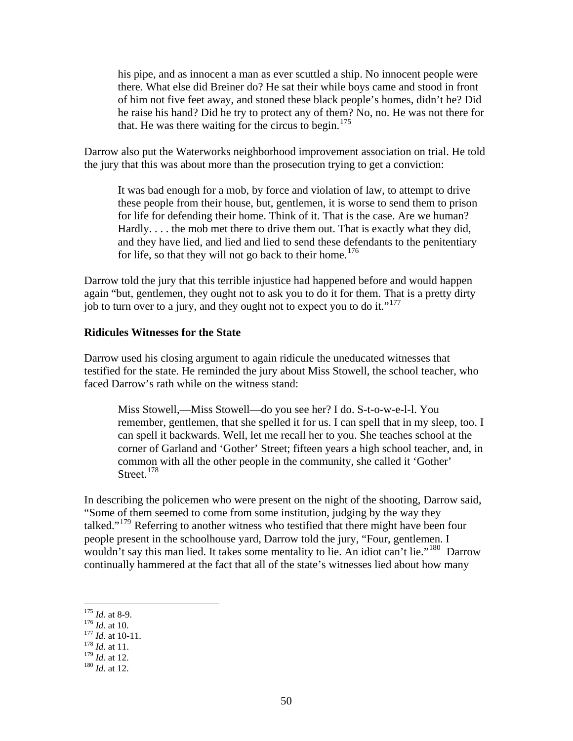his pipe, and as innocent a man as ever scuttled a ship. No innocent people were there. What else did Breiner do? He sat their while boys came and stood in front of him not five feet away, and stoned these black people's homes, didn't he? Did he raise his hand? Did he try to protect any of them? N o, no. He was not there for that. He was there waiting for the circus to begin.  $175$ 

the jury that this was about more than the prosecution trying to get a conviction: Darrow also put the Waterworks neighborhood improvement association on trial. He told

It was bad enough for a mob, by force and violation of law, to attempt to drive these people from their house, but, gentlemen, it is worse to send them to prison and they have lied, and lied and lied to send these defendants to the penitentiary for life, so that they will not go back to their home.<sup>176</sup> for life for defending their home. Think of it. That is the case. Are we human? Hardly. . . . the mob met there to drive them out. That is exactly what they did,

Darrow told the jury that this terrible injustice had happened before and would happen again " but, gentlemen, they ought not to ask you to do it for them. That is a pretty dirty job to turn over to a jury, and they ought not to expect you to do it."<sup>[177](#page-49-0)</sup>

#### **Ridicules Witnesses for the State**

testified for the state. He reminded the jury about Miss Stowell, the school teacher, who Darrow used his closing argument to again ridicule the uneducated witnesses that faced Darrow's rath while on the witness stand:

remember, gentlemen, that she spelled it for us. I can spell that in my sleep, too. I can spell it backwards. Well, let me recall her to you. She teaches school at the corner of Garland and 'Gother' Street; fifteen years a high school teacher, and, in common with all the other people in the community, she called it 'Gother' Street. $178$ Miss Stowell,—Miss Stowell—do you see her? I do. S-t-o-w-e-l-l. You

In describing the policemen who were present on the night of the shooting, Darrow said, "Some of them seemed to come from some institution, judging by the way they talked."<sup>[179](#page-50-0)</sup> Referring to another witness who testified that there might have been four people present in the schoolhouse yard, Darrow told the jury, "Four, gentlemen. I wouldn't say this man lied. It takes some mentality to lie. An idiot can't lie."<sup>[180](#page-50-1)</sup> Darrow continually hammered at the fact that all of the state's witnesses lied about how many

 $175$  *Id.* at 8-9.

 $177$  *Id.* at 10-11. <sup>176</sup> *Id.* at 10.<br><sup>177</sup> *Id.* at 10-1<br><sup>178</sup> *Id.* at 11.<br><sup>179</sup> *Id.* at 12.

<span id="page-49-0"></span>

 $180$  *Id.* at 12.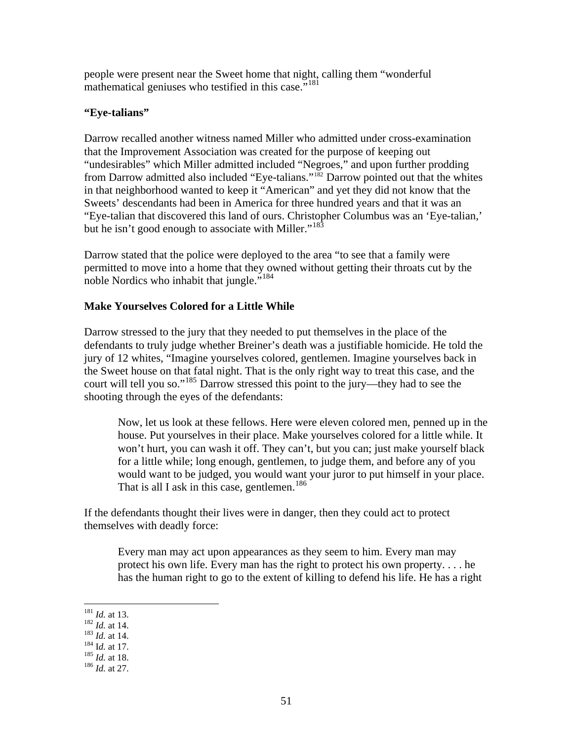people were present near the Sweet home that night, calling them "wonderful mathematical geniuses who testified in this case."<sup>[181](#page-50-1)</sup>

### **"Eye-talians"**

Darrow recalled another witness named Miller who admitted under cross-examination that the Improvement Association was created for the purpose of keeping out "undesirables" which Miller admitted included "Negroes," and upon further prodding from Darrow admitted also included "Eye-talians."<sup>182</sup> Darrow pointed out that the whites in that neighborhood wanted to keep it "American" and yet they did not know that the Sweets' descendants had been in America for three hundred years and that it was an "Eye-talian that discovered this land of ours. Christopher Columbus was an 'Eye-talian,' [b](#page-50-2)ut he isn't good enough to associate with Miller."<sup>[183](#page-50-2)</sup>

[Darrow stated that the police were deployed to the area "to s](#page-50-2)ee that a family were permitted to move into a home that they owned without getting their throats cut by the noble Nordics who inhabit that jungle."<sup>[184](#page-50-3)</sup>

## **Make Y [ourselves Colored for a Little While](#page-50-3)**

Darrow  [stressed to the jury that they needed to put themselves in the place of the](#page-50-3)  defenda[nts to truly judge whether Breiner's death w](#page-50-3)as a justifiable homicide. He told the jury of 12 whites, "Imagine yourselves colored, gentlemen. Imagine yourselves back in the Sweet house on that fatal night. That is the only right way to treat this case, and the court will tell you so."<sup>185</sup> Darrow stressed this point to the jury—they had to see the shooting through the eyes of the defendants:

Now, let us look at these fellows. Here were eleven colored men, penned up in the would want to be judged, you would want your juror to put himself in your place. That is all I ask in this case, gentlemen.<sup>186</sup> house. Put yourselves in their place. Make yourselves colored for a little while. It won't hurt, you can wash it off. They can't, but you can; just make yourself black for a little while; long enough, gentlemen, to judge them, and before any of you

If the defendants thought their lives were in danger, then they could act to protect themselves with deadly force:

Every man may act upon appearances as they seem to him. Every man may protect his own life. Every man has the right to protect his own property. . . . he has the human right to go to the extent of killing to defend his life. He has a right

 $181$  *Id.* at 13.

<span id="page-50-3"></span><span id="page-50-2"></span>

<span id="page-50-1"></span><span id="page-50-0"></span><sup>182</sup> *Id.* at 14.<br>
<sup>183</sup> *Id.* at 14.<br>
<sup>184</sup> *Id.* at 17.<br>
<sup>185</sup> *Id.* at 18.<br>
<sup>186</sup> *Id.* at 27.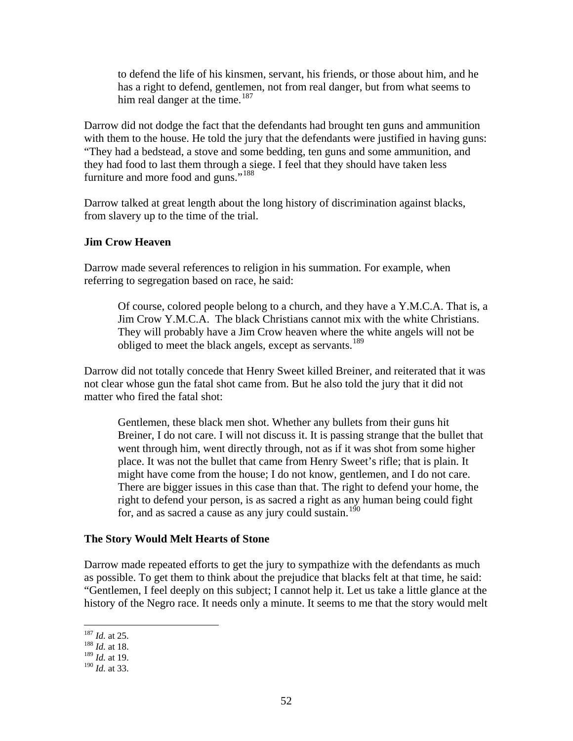to defend the life of his kinsmen, servant, his friends, or those about him, and h e has a right to defend, gentlemen, not from real danger, but from what seems to him real danger at the time.<sup>187</sup>

Darrow did not dodge the fact that the defendants had brought ten guns and ammunition with them to the house. He told the jury that the defendants were justified in having guns: "They had a bedstead, a stove and some bedding, ten guns and some ammunition, and they had food to last them through a siege. I feel that they should have taken less furniture and more food and guns."<sup>[188](#page-51-0)</sup>

Darrow  [talked at great length about the long history of discrimination against blacks,](#page-51-0)  from sl [avery up to the time of the trial.](#page-51-0) 

## **Jim Crow Heaven**

Darrow made several references to religion in his summation. For example, when referring to segregation based on race, he said:

Of course, colored people belong to a church, and they have a Y.M.C.A. That is, a Jim Crow Y.M.C.A. The black Christians cannot mix with the white Christians. They will probably have a Jim Crow heaven where the white angels will not be obliged to meet the black angels, except as servants.<sup>[189](#page-51-1)</sup>

Darrow did not totally concede that Henry Sweet killed Breiner, and reiterated that it was not clear whose gun the fatal shot came from. But he also told the jury that it did not matter who fired the fatal shot:

Gentlemen, these black men shot. Whether any bullets from their guns hit There are bigger issues in this case than that. The right to defend your home, the right to defend your person, is as sacred a right as any human being could fight for, and as sacred a cause as any jury could sustain.<sup>190</sup> Breiner, I do not care. I will not discuss it. It is passing strange that the bullet that went through him, went directly through, not as if it was shot from some higher place. It was not the bullet that came from Henry Sweet's rifle; that is plain. It might have come from the house; I do not know, gentlemen, and I do not care.

### **The St ory Would Melt Hearts of Stone**

Darrow made repeated efforts to get the jury to sympathize with the defendants as much as poss ible. To get them to think about the prejudice that blacks felt at that time, he said: "Gentlemen, I feel deeply on this subject; I cannot help it. Let us take a little glance at the history of the Negro race. It needs only a minute. It seems to me that the story would melt

 $187$  *Id.* at 25.

 $188$  *Id.* at 18.

<span id="page-51-0"></span><sup>189</sup> *Id.* at 19.

<span id="page-51-1"></span><sup>190</sup> *Id.* at 33.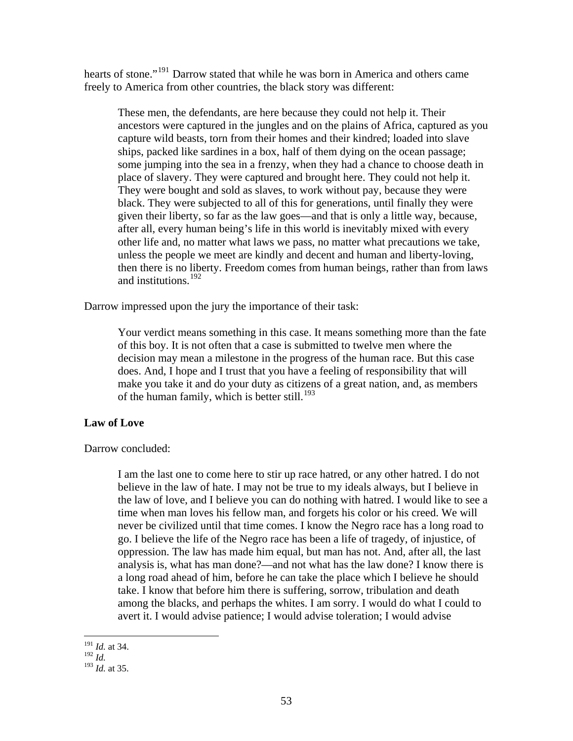hearts of stone."<sup>[191](#page-52-0)</sup> Darrow stated that while he was born in America and others came freely t o America from other countries, the black story was different:

capture wild beasts, torn from their homes and their kindred; loaded into slave ships, packed like sardines in a box, half of them dying on the ocean passage; some jumping into the sea in a frenzy, when they had a chance to choose death in place of slavery. They were captured and brought here. They could not help it. black. They were subjected to all of this for generations, until finally they were unless the people we meet are kindly and decent and human and liberty-loving, then there is no liberty. Freedom comes from human beings, rather than from laws and institutions.<sup>192</sup> These men, the defendants, are here because they could not help it. Their ancestors were captured in the jungles and on the plains of Africa, captured as you They were bought and sold as slaves, to work without pay, because they were given their liberty, so far as the law goes—and that is only a little way, because, after all, every human being's life in this world is inevitably mixed with every other life and, no matter what laws we pass, no matter what precautions we take,

Darrow impressed upon the jury the importance of their task:

Your verdict means something in this case. It means something more than the fate of this boy. It is not often that a case is submitted to twelve men where the decision may mean a milestone in the progress of the human race. But this case does. And, I hope and I trust that you have a feeling of responsibility that will make you take it and do your duty as citizens of a great nation, and, as members of the human family, which is better still.<sup>193</sup>

#### **Law of Love**

Darrow concluded:

I am the last one to come here to stir up race hatred, or any other hatred. I do not believe in the law of hate. I may not be true to my ideals always, but I believe in the law of love, and I believe you can do nothing with hatred. I would like to see a time when man loves his fellow man, and forgets his color or his creed. We will analysis is, what has man done?—and not what has the law done? I know there is a long road ahead of him, before he can take the place which I believe he should avert it. I would advise patience; I would advise toleration; I would advise never be civilized until that time comes. I know the Negro race has a long road to go. I believe the life of the Negro race has been a life of tragedy, of injustice, of oppression. The law has made him equal, but man has not. And, after all, the last take. I know that before him there is suffering, sorrow, tribulation and death among the blacks, and perhaps the whites. I am sorry. I would do what I could to

1

<sup>191</sup> *Id.* at 34.

<span id="page-52-0"></span><sup>192</sup> *Id.*

<sup>193</sup> *Id.* at 35.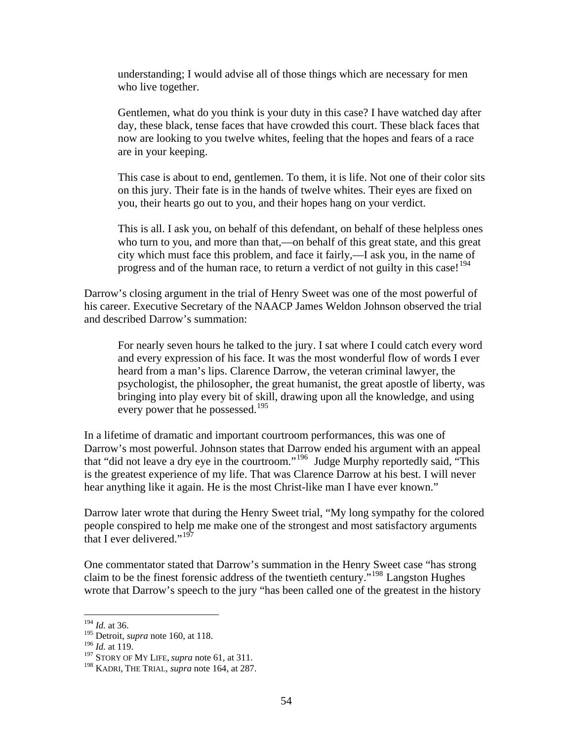understanding; I would advise all of those things which are necessary for men who live together.

Gentlemen, what do you think is your duty in this case? I have watched day after day, these black, tense faces that have crowded this court. These black faces that now are looking to you twelve whites, feeling that the hopes and fears of a race are in your keeping.

This case is about to end, gentlemen. To them, it is life. Not one of their color sits on this jury. Their fate is in the hands of twelve whites. Their eyes are fixed on you, their hearts go out to you, and their hopes hang on your verdict.

city which must face this problem, and face it fairly,—I ask you, in the name of progress and of the human race, to return a verdict of not guilty in this case!<sup>194</sup> This is all. I ask you, on behalf of this defendant, on behalf of these helpless ones who turn to you, and more than that,—on behalf of this great state, and this great

Darrow's closing argument in the trial of Henry Sweet was one of the most powerful of his career. Executive Secretary of the NAACP James Weldon Johnson observed the trial and described Darrow's summation:

For nearly seven hours he talked to the jury. I sat where I could catch every word psychologist, the philosopher, the great humanist, the great apostle of liberty, was bringing into play every bit of skill, drawing upon all the knowledge, and using and every expression of his face. It was the most wonderful flow of words I ever heard from a man's lips. Clarence Darrow, the veteran criminal lawyer, the every power that he possessed.<sup>[195](#page-53-0)</sup>

[that "did not leave a dry eye in the courtroom."](#page-53-0)<sup>196</sup> [Judge Murphy reportedly said, "Th](#page-54-0)is [is the greatest experience of my life. That wa](#page-54-0)s Clarence Darrow at his best. I will never hear anything like it again. He is the most Christ-like man I have ever known." [In a lifetime of dramatic and important courtroom performances, this was one of](#page-53-0)  [Darrow's most powerful. Johnson states that Darrow ended his argument with an appeal](#page-53-0)

Darrow later wrote that during the Henry Sweet trial, "My long sympathy for the colored people conspired to help me make one of the strongest and most satisfactory arguments that I ever delivered."<sup>197</sup>

One commentator stated that Darrow's summation in the Henry Sweet case "has strong wrote that Darrow's speech to the jury "has been called one of the greatest in the history claim to be the finest forensic address of the twentieth century."198 Langston Hughes

 $\overline{a}$ 

<sup>194</sup> *Id.* at 36.

<sup>&</sup>lt;sup>195</sup> Detroit, *supra* note 160, at 118.

<sup>196</sup> *Id.* at 119.

<sup>&</sup>lt;sup>197</sup> STORY OF MY LIFE, *supra* note 61, at 311.

<span id="page-53-0"></span><sup>198</sup> KADRI, THE TRIAL, *supra* note 164, at 287.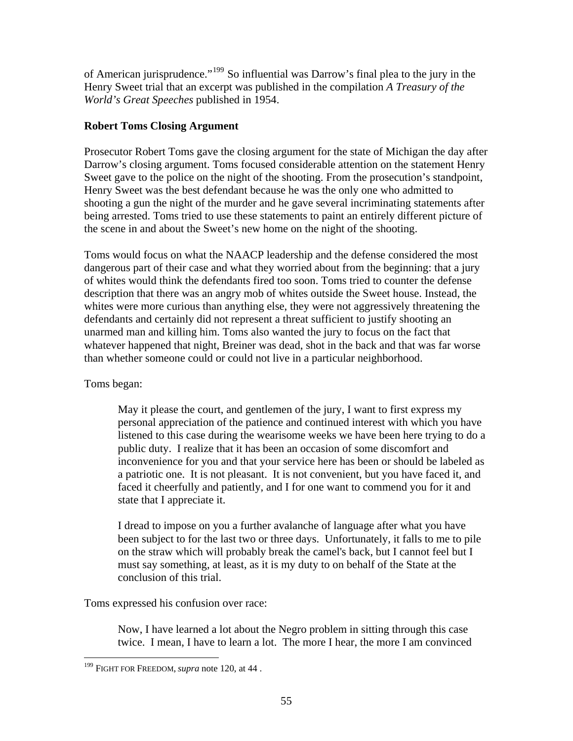of American jurisprudence."199 So influential was Darrow's final plea to the jury in the Henry Sweet trial that an excerpt was published in the compilation *A Treasury of the*  World's Great Speeches published in 1954.

# **Robert Toms Closing Argument**

Prosecutor Robert Toms gave the closing argument for the state of Michigan the day after Sweet gave to the police on the night of the shooting. From the prosecution's standpoint, being arrested. Toms tried to use these statements to paint an entirely different picture of the scene in and about the Sweet's new home on the night of the shooting. Darrow's closing argument. Toms focused considerable attention on the statement Henry Henry Sweet was the best defendant because he was the only one who admitted to shooting a gun the night of the murder and he gave several incriminating statements after

Toms would focus on what the NAACP leadership and the defense considered the most dangerous part of their case and what they worried about from the beginning: that a jury of whit es would think the defendants fired too soon. Toms tried to counter the defense descrip tion that there was an angry mob of whites outside the Sweet house. Instead, the whites were more curious than anything else, they were not aggressively threatening the defenda nts and certainly did not represent a threat sufficient to justify shooting an unarme d man and killing him. Toms also wanted the jury to focus on the fact that whatever happened that night, Breiner was dead, shot in the back and that was far worse than whether someone could or could not live in a particular neighborhood.

Toms b egan:

 $\overline{a}$ 

personal appreciation of the patience and continued interest with which you have listened to this case during the wearisome weeks we have been here trying to do a public duty. I realize that it has been an occasion of some discomfort and inconvenience for you and that your service here has been or should be labeled as a patriotic one. It is not pleasant. It is not convenient, but you have faced it, and May it please the court, and gentlemen of the jury, I want to first express my faced it cheerfully and patiently, and I for one want to commend you for it and state that I appreciate it.

I dread to impose on you a further avalanche of language after what you have been subject to for the last two or three days. Unfortunately, it falls to me to pile on the straw which will probably break the camel's back, but I cannot feel but I must say something, at least, as it is my duty to on behalf of the State at the conclusion of this trial.

Toms e xpressed his confusion over race:

Now, I have learned a lot about the Negro problem in sitting through this case twice. I mean, I have to learn a lot. The more I hear, the more I am convinced

<span id="page-54-0"></span><sup>199</sup> FIGHT FOR FREEDOM, *supra* note 120, at 44 .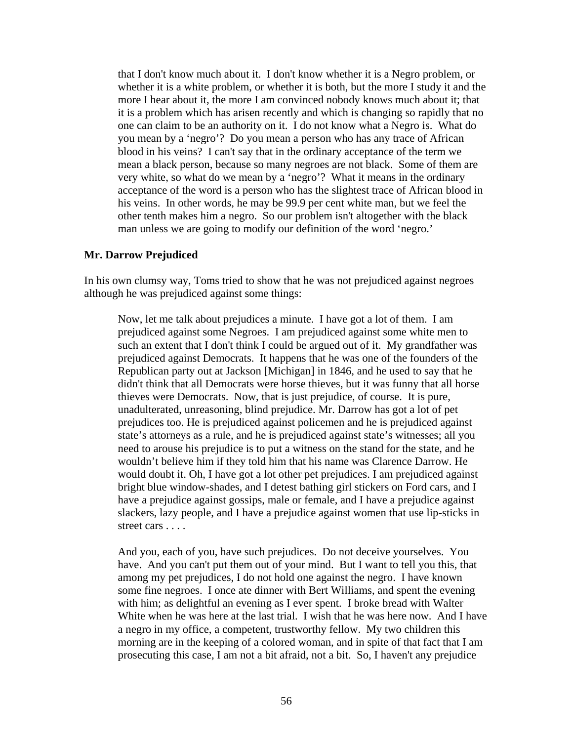that I don't know much about it. I don't know whether it is a Negro problem, or whether it is a white problem, or whether it is both, but the more I study it and the more I hear about it, the more I am convinced nobody knows much about it; that it is a problem which has arisen recently and which is changing so rapidly that no one can claim to be an authority on it. I do not know what a Negro is. What do blood in his veins? I can't say that in the ordinary acceptance of the term we mean a black person, because so many negroes are not black. Some of them are very white, so what do we mean by a 'negro'? What it means in the ordinary acceptance of the word is a person who has the slightest trace of African blood in you mean by a 'negro'? Do you mean a person who has any trace of African his veins. In other words, he may be 99.9 per cent white man, but we feel the other tenth makes him a negro. So our problem isn't altogether with the black man unless we are going to modify our definition of the word 'negro.'

## **Mr. Da rrow Prejudiced**

In his o wn clumsy way, Toms tried to show that he was not prejudiced against negroes althoug h he was prejudiced against some things:

didn't think that all Democrats were horse thieves, but it was funny that all horse thieves were Democrats. Now, that is just prejudice, of course. It is pure, state's attorneys as a rule, and he is prejudiced against state's witnesses; all you bright blue window-shades, and I detest bathing girl stickers on Ford cars, and I Now, let me talk about prejudices a minute. I have got a lot of them. I am prejudiced against some Negroes. I am prejudiced against some white men to such an extent that I don't think I could be argued out of it. My grandfather was prejudiced against Democrats. It happens that he was one of the founders of the Republican party out at Jackson [Michigan] in 1846, and he used to say that he unadulterated, unreasoning, blind prejudice. Mr. Darrow has got a lot of pet prejudices too. He is prejudiced against policemen and he is prejudiced against need to arouse his prejudice is to put a witness on the stand for the state, and he wouldn't believe him if they told him that his name was Clarence Darrow. He would doubt it. Oh, I have got a lot other pet prejudices. I am prejudiced against have a prejudice against gossips, male or female, and I have a prejudice against slackers, lazy people, and I have a prejudice against women that use lip-sticks in street cars . . . .

And you, each of you, have such prejudices. Do not deceive yourselves. You have. And you can't put them out of your mind. But I want to tell you this, that some fine negroes. I once ate dinner with Bert Williams, and spent the evening with him; as delightful an evening as I ever spent. I broke bread with Walter White when he was here at the last trial. I wish that he was here now. And I have a negro in my office, a competent, trustworthy fellow. My two children this morning are in the keeping of a colored woman, and in spite of that fact that I am prosecuting this case, I am not a bit afraid, not a bit. So, I haven't any prejudice among my pet prejudices, I do not hold one against the negro. I have known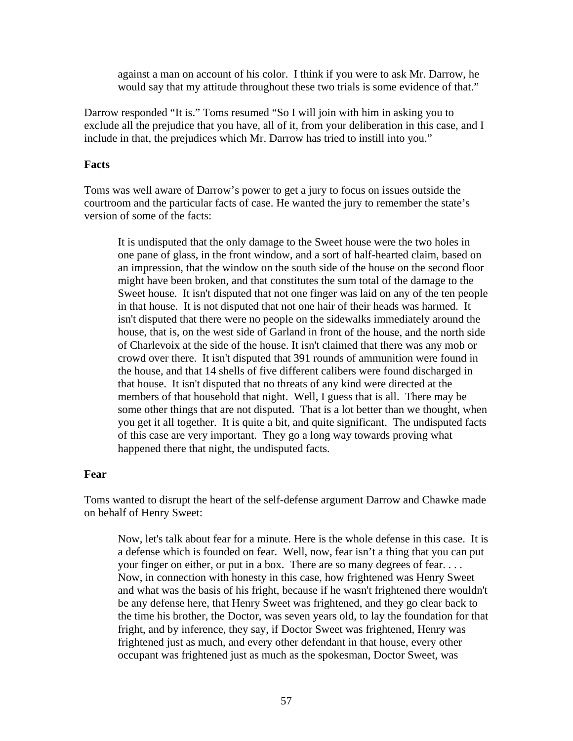against a man on account of his color. I think if you were to ask Mr. Darrow, he would say that my attitude throughout these two trials is some evidence of that."

Darrow responded "It is." Toms resumed "So I will join with him in asking you to exclude all the prejudice that you have, all of it, from your deliberation in this case, and I include in that, the prejudices which Mr. Darrow has tried to instill into you."

#### **Facts**

Toms w as well aware of Darrow's power to get a jury to focus on issues outside the courtro om and the particular facts of case. He wanted the jury to remember the state's version of some of the facts:

an impression, that the window on the south side of the house on the second floor isn't disputed that there were no people on the sidewalks immediately around the house, that is, on the west side of Garland in front of the house, and the north side of Charlevoix at the side of the house. It isn't claimed that there was any mob or crowd over there. It isn't disputed that 391 rounds of ammunition were found in the house, and that 14 shells of five different calibers were found discharged in members of that household that night. Well, I guess that is all. There may be some other things that are not disputed. That is a lot better than we thought, when It is undisputed that the only damage to the Sweet house were the two holes in one pane of glass, in the front window, and a sort of half-hearted claim, based on might have been broken, and that constitutes the sum total of the damage to the Sweet house. It isn't disputed that not one finger was laid on any of the ten people in that house. It is not disputed that not one hair of their heads was harmed. It that house. It isn't disputed that no threats of any kind were directed at the you get it all together. It is quite a bit, and quite significant. The undisputed facts of this case are very important. They go a long way towards proving what happened there that night, the undisputed facts.

#### **Fear**

Toms w anted to disrupt the heart of the self-defense argument Darrow and Chawke made on beha lf of Henry Sweet:

Now, let's talk about fear for a minute. Here is the whole defense in this case. It is and what was the basis of his fright, because if he wasn't frightened there wouldn't be any defense here, that Henry Sweet was frightened, and they go clear back to the time his brother, the Doctor, was seven years old, to lay the foundation for that fright, and by inference, they say, if Doctor Sweet was frightened, Henry was frightened just as much, and every other defendant in that house, every other occupant was frightened just as much as the spokesman, Doctor Sweet, was a defense which is founded on fear. Well, now, fear isn't a thing that you can put your finger on either, or put in a box. There are so many degrees of fear. . . . Now, in connection with honesty in this case, how frightened was Henry Sweet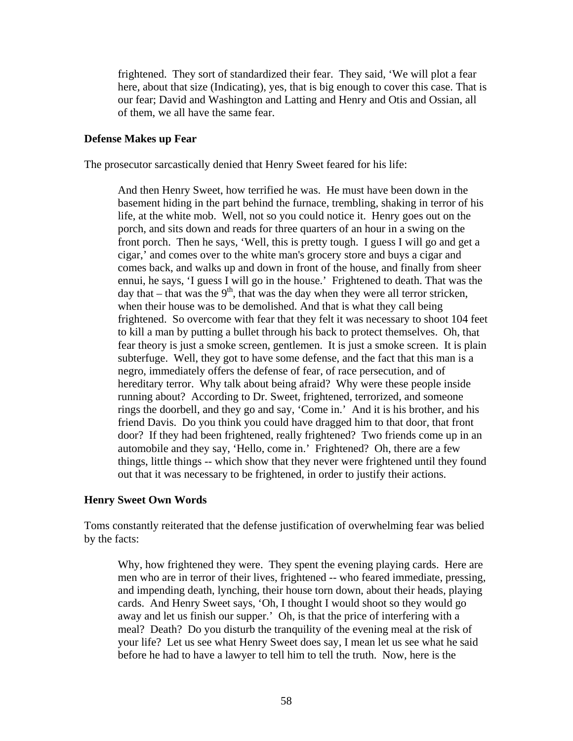frightened. They sort of standardized their fear. They said, 'We will plot a fea r here, about that size (Indicating), yes, that is big enough to cover this case. That is our fear; David and Washington and Latting and Henry and Otis and Ossian, all of them, we all have the same fear.

#### **Defense Makes up Fear**

The prosecutor sarcastically denied that Henry Sweet feared for his life:

And then Henry Sweet, how terrified he was. He must have been down in the basement hiding in the part behind the furnace, trembling, shaking in terror of his life, at the white mob. Well, not so you could notice it. Henry goes out on the porch, and sits down and reads for three quarters of an hour in a swing on the front porch. Then he says, 'Well, this is pretty tough. I guess I will go and get a cigar,' and comes over to the white man's grocery store and buys a cigar a nd comes back, and walks up and down in front of the house, and finally from shee r ennui, he says, 'I guess I will go in the house.' Frightened to death. That was the day that – that was the  $9<sup>th</sup>$ , that was the day when they were all terror stricken, when their house was to be demolished. And that is what they call being frightened. So overcome with fear that they felt it was necessary to shoot 104 feet to kill a man by putting a bullet through his back to protect themselves. Oh, t hat fear theory is just a smoke screen, gentlemen. It is just a smoke screen. It is plain subterfuge. Well, they got to have some defense, and the fact that this man is a negro, immediately offers the defense of fear, of race persecution, and of hereditary terror. Why talk about being afraid? Why were these people inside running about? According to Dr. Sweet, frightened, terrorized, and someone friend Davis. Do you think you could have dragged him to that door, that front door? If they had been frightened, really frightened? Two friends come up in an rings the doorbell, and they go and say, 'Come in.' And it is his brother, and his automobile and they say, 'Hello, come in.' Frightened? Oh, there are a few things, little things -- which show that they never were frightened until they found out that it was necessary to be frightened, in order to justify their actions.

#### **Henry Sweet Own Words**

Toms c onstantly reiterated that the defense justification of overwhelming fear was belied by the f acts:

men who are in terror of their lives, frightened -- who feared immediate, pressing, and impending death, lynching, their house torn down, about their heads, playing your life? Let us see what Henry Sweet does say, I mean let us see what he said before he had to have a lawyer to tell him to tell the truth. Now, here is the Why, how frightened they were. They spent the evening playing cards. Here are cards. And Henry Sweet says, 'Oh, I thought I would shoot so they would go away and let us finish our supper.' Oh, is that the price of interfering with a meal? Death? Do you disturb the tranquility of the evening meal at the risk of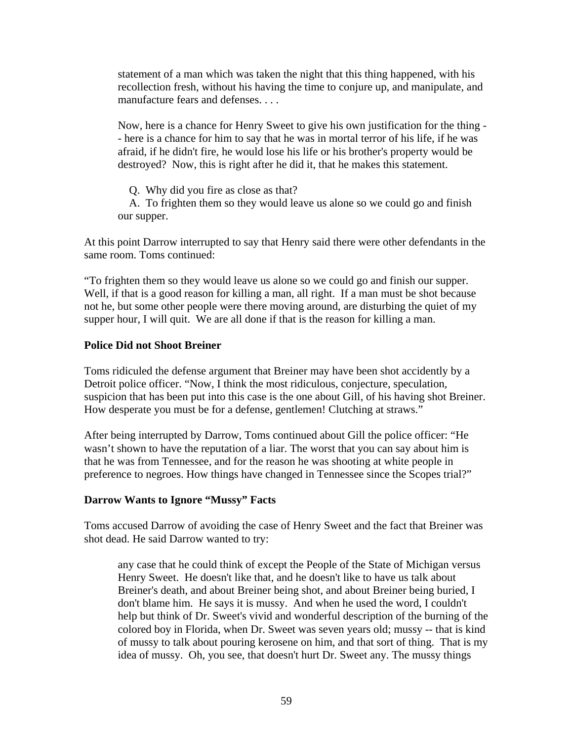statement of a man which was taken the night that this thing happened, with his recollection fresh, without his having the time to conjure up, and manipulate, and manufacture fears and defenses. . . .

- here is a chance for him to say that he was in mortal terror of his life, if he was afraid, if he didn't fire, he would lose his life or his brother's property would be Now, here is a chance for Henry Sweet to give his own justification for the thing destroyed? Now, this is right after he did it, that he makes this statement.

Q. Why did you fire as close as that?

A. To frighten them so they would leave us alone so we could go and finish our supper.

At this point Darrow interrupted to say that Henry said there were other defendants in the same room. Toms continued:

Well, if that is a good reason for killing a man, all right. If a man must be shot because not he, but some other people were there moving around, are disturbing the quiet of my "To frighten them so they would leave us alone so we could go and finish our supper. supper hour, I will quit. We are all done if that is the reason for killing a man.

#### **Police Did not Shoot Breiner**

Toms ridiculed the defense argument that Breiner may have been shot accidently by a Detroit police officer. "Now, I think the most ridiculous, conjecture, speculation, suspicion that has been put into this case is the one about Gill, of his having shot Breiner. How desperate you must be for a defense, gentlemen! Clutching at straws."

After being interrupted by Darrow, Toms continued about Gill the police officer: "He wasn't shown to have the reputation of a liar. The worst that you can say about him is that he was from Tennessee, and for the reason he was shooting at white people in prefere nce to negroes. How things have changed in Tennessee since the Scopes trial?"

### **Darrow Wants to Ignore "Mussy" Facts**

Toms a ccused Darrow of avoiding the case of Henry Sweet and the fact that Breiner was shot de ad. He said Darrow wanted to try:

Breiner's death, and about Breiner being shot, and about Breiner being buried, I don't blame him. He says it is mussy. And when he used the word, I couldn't colored boy in Florida, when Dr. Sweet was seven years old; mussy -- that is kind idea of mussy. Oh, you see, that doesn't hurt Dr. Sweet any. The mussy things any case that he could think of except the People of the State of Michigan versus Henry Sweet. He doesn't like that, and he doesn't like to have us talk about help but think of Dr. Sweet's vivid and wonderful description of the burning of the of mussy to talk about pouring kerosene on him, and that sort of thing. That is my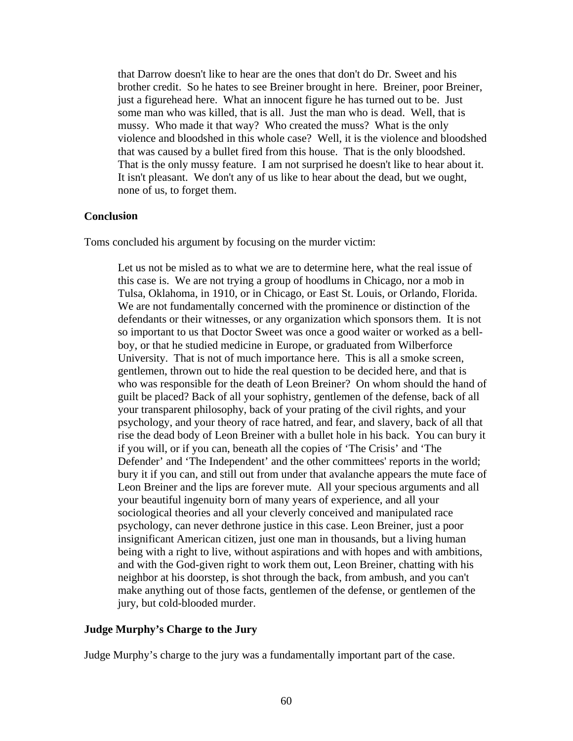that Darrow doesn't like to hear are the ones that don't do Dr. Sweet and his brother credit. So he hates to see Breiner brought in here. Breiner, poor Breiner, just a figurehead here. What an innocent figure he has turned out to be. Just some man who was killed, that is all. Just the man who is dead. Well, that is mussy. Who made it that way? Who created the muss? What is the only violence and bloodshed in this whole case? Well, it is the violence and bloodshed that was caused by a bullet fired from this house. That is the only bloodshed. That is the only mussy feature. I am not surprised he doesn't like to hear about it. It isn't pleasant. We don't any of us like to hear about the dead, but we ought, none of us, to forget them.

#### **Conclu sion**

Toms c oncluded his argument by focusing on the murder victim:

boy, or that he studied medicine in Europe, or graduated from Wilberforce guilt be placed? Back of all your sophistry, gentlemen of the defense, back of all your transparent philosophy, back of your prating of the civil rights, and your psychology, and your theory of race hatred, and fear, and slavery, back of all that rise the dead body of Leon Breiner with a bullet hole in his back. You can bury it bury it if you can, and still out from under that avalanche appears the mute face of your beautiful ingenuity born of many years of experience, and all your sociological theories and all your cleverly conceived and manipulated race psychology, can never dethrone justice in this case. Leon Breiner, just a poor insignificant American citizen, just one man in thousands, but a living human being with a right to live, without aspirations and with hopes and with ambitions, make anything out of those facts, gentlemen of the defense, or gentlemen of the jury, but cold-blooded murder. Let us not be misled as to what we are to determine here, what the real issue of this case is. We are not trying a group of hoodlums in Chicago, nor a mob in Tulsa, Oklahoma, in 1910, or in Chicago, or East St. Louis, or Orlando, Florida. We are not fundamentally concerned with the prominence or distinction of the defendants or their witnesses, or any organization which sponsors them. It is not so important to us that Doctor Sweet was once a good waiter or worked as a bell-University. That is not of much importance here. This is all a smoke screen, gentlemen, thrown out to hide the real question to be decided here, and that is who was responsible for the death of Leon Breiner? On whom should the hand of if you will, or if you can, beneath all the copies of 'The Crisis' and 'The Defender' and 'The Independent' and the other committees' reports in the world; Leon Breiner and the lips are forever mute. All your specious arguments and all and with the God-given right to work them out, Leon Breiner, chatting with his neighbor at his doorstep, is shot through the back, from ambush, and you can't

#### **Judge Murphy's Charge to the Jury**

Judge Murphy's charge to the jury was a fundamentally important part of the case.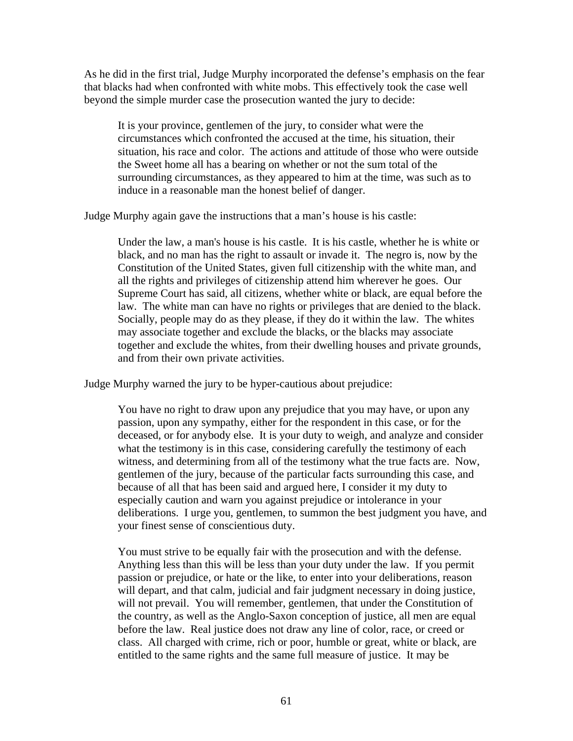As he did in the first trial, Judge Murphy incorporated the defense's emphasis on the fear that blacks had when confronted with white mobs. This effectively took the case well beyond the simple murder case the prosecution wanted the jury to decide:

It is your province, gentlemen of the jury, to consider what were the circumstances which confronted the accused at the time, his situation, their situation, his race and color. The actions and attitude of those who were outside the Sweet home all has a bearing on whether or not the sum total of the surrounding circumstances, as they appeared to him at the time, was such as to induce in a reasonable man the honest belief of danger.

Judge M urphy again gave the instructions that a man's house is his castle:

black, and no man has the right to assault or invade it. The negro is, now by the Constitution of the United States, given full citizenship with the white man, and all the rights and privileges of citizenship attend him wherever he goes. Our Supreme Court has said, all citizens, whether white or black, are equal before the . law. The white man can have no rights or privileges that are denied to the black Socially, people may do as they please, if they do it within the law. The whites together and exclude the whites, from their dwelling houses and private grounds, Under the law, a man's house is his castle. It is his castle, whether he is white or may associate together and exclude the blacks, or the blacks may associate and from their own private activities.

Judge M urphy warned the jury to be hyper-cautious about prejudice:

passion, upon any sympathy, either for the respondent in this case, or for the deceased, or for anybody else. It is your duty to weigh, and analyze and consider deliberations. I urge you, gentlemen, to summon the best judgment you have, and You have no right to draw upon any prejudice that you may have, or upon any what the testimony is in this case, considering carefully the testimony of each witness, and determining from all of the testimony what the true facts are. Now, gentlemen of the jury, because of the particular facts surrounding this case, and because of all that has been said and argued here, I consider it my duty to especially caution and warn you against prejudice or intolerance in your your finest sense of conscientious duty.

You must strive to be equally fair with the prosecution and with the defense. will depart, and that calm, judicial and fair judgment necessary in doing justice, will not prevail. You will remember, gentlemen, that under the Constitution of the country, as well as the Anglo-Saxon conception of justice, all men are equal before the law. Real justice does not draw any line of color, race, or creed or class. All charged with crime, rich or poor, humble or great, white or black, are Anything less than this will be less than your duty under the law. If you permit passion or prejudice, or hate or the like, to enter into your deliberations, reason entitled to the same rights and the same full measure of justice. It may be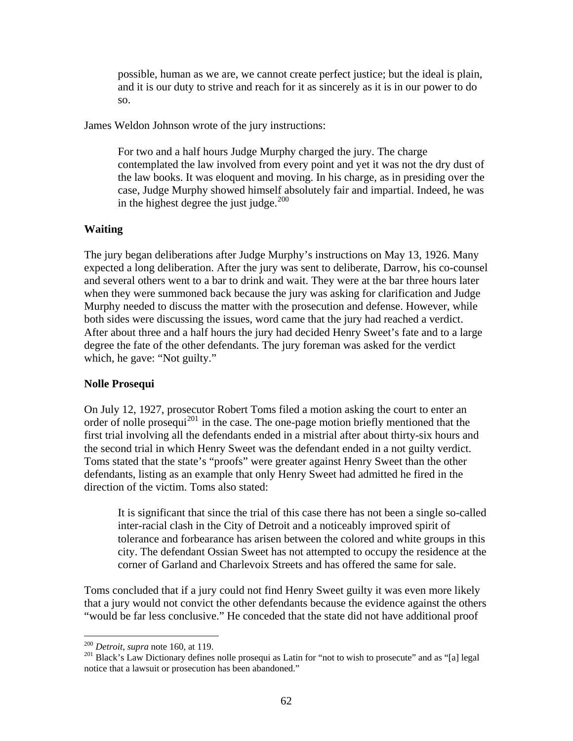possible, human as we are, we cannot create perfect justice; but the ideal is plain, and it is our duty to strive and reach for it as sincerely as it is in our power to do so.

James Weldon Johnson wrote of the jury instructions:

For two and a half hours Judge Murphy charged the jury. The charge contemplated the law involved from every point and yet it was not the dry dust of the law books. It was eloquent and moving. In his charge, as in presiding over the case, Judge Murphy showed himself absolutely fair and impartial. Indeed, he was in the highest degree the just judge. $200$ 

## **Waiting**

The jury began deliberations after Judge Murphy's instructions on May 13, 1926. Many xpected a long deliberation. After the jury was sent to deliberate, Darrow, his co-counsel e and several others went to a bar to drink and wait. They were at the bar three hours later when they were summoned back because the jury was asking for clarification and Judge Murphy needed to discuss the matter with the prosecution and defense. However, while both sides were discussing the issues, word came that the jury had reached a verdict. After about three and a half hours the jury had decided Henry Sweet's fate and to a large degree the fate of the other defendants. The jury foreman was asked for the verdict which, he gave: "Not guilty."

#### **Nolle Prosequi**

On July 12, 1927, prosecutor Robert Toms filed a motion asking the court to enter an order of nolle prosequi<sup>201</sup> in the case. The one-page motion briefly mentioned that the first tri al involving all the defendants ended in a mistrial after about thirty-six hours and the sec ond trial in which Henry Sweet was the defendant ended in a not guilty verdict. Toms stated that the state's "proofs" were greater against Henry Sweet than the other defendants, listing as an example that only Henry Sweet had admitted he fired in the direction of the victim. Toms also stated:

city. The defendant Ossian Sweet has not attempted to occupy the residence at the It is significant that since the trial of this case there has not been a single so-called inter-racial clash in the City of Detroit and a noticeably improved spirit of tolerance and forbearance has arisen between the colored and white groups in this corner of Garland and Charlevoix Streets and has offered the same for sale.

Toms concluded that if a jury could not find Henry Sweet guilty it was even more likely that a jury would not convict the other defendants because the evidence against the others "would be far less conclusive." He conceded that the state did not have additional proof

<sup>&</sup>lt;sup>200</sup> *Detroit*, *supra* note 160, at 119.<br><sup>201</sup> Black's Law Dictionary defines nolle prosequi as Latin for "not to wish to prosecute" and as "[a] legal notice that a lawsuit or prosecution has been abandoned."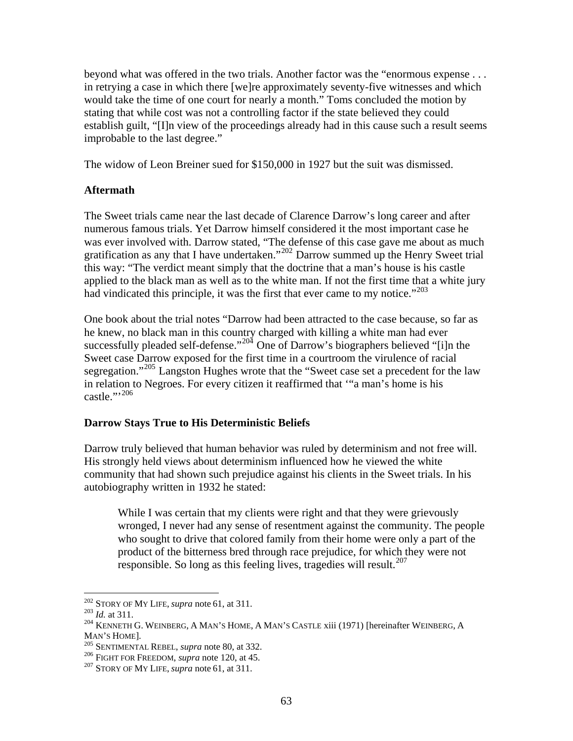beyond what was offered in the two trials. Another factor was the "enormous expense . . . in retrying a case in which there [we]re approximately seventy-five witnesses and which would take the time of one court for nearly a month." Toms concluded the motion by establish guilt, "[I]n view of the proceedings already had in this cause such a result seems stating that while cost was not a controlling factor if the state believed they could improbable to the last degree."

The widow of Leon Breiner sued for \$150,000 in 1927 but the suit was dismissed.

#### **Aftermath**

numerous famous trials. Yet Darrow himself considered it the most important case he was ever involved with. Darrow stated, "The defense of this case gave me about as much gratification as any that I have undertaken."<sup>[202](#page-62-0)</sup> Darrow summed up the Henry Sweet trial applied to the black man as well as to the white man. If not the first time that a white jury had vindicated this principle, it was the first that ever came to my notice." $203$ The Sweet trials came near the last decade of Clarence Darrow's long career and after this way: "The verdict meant simply that the doctrine that a man's house is his castle

One book about the trial notes "Darrow had been attracted to the case because, so far as he knew, no black man in this country charged with killing a white man had ever Sweet case Darrow exposed for the first time in a courtroom the virulence of racial in relation to Negroes. For every citizen it reaffirmed that ""a man's home is his castle."<sup>,206</sup> successfully pleaded self-defense."<sup>204</sup> One of Darrow's biographers believed "[i]n the segregation."<sup>205</sup> Langston Hughes wrote that the "Sweet case set a precedent for the law

#### **Darrow Stays True to His Deterministic Beliefs**

Darrow truly believed that human behavior was ruled by determinism and not free will. His strongly held views about determinism influenced how he viewed the white ommunity that had shown such prejudice against his clients in the Sweet trials. In his c autobiography written in 1932 he stated:

While I was certain that my clients were right and that they were grievously wronged, I never had any sense of resentment against the community. The people who sought to drive that colored family from their home were only a part of the product of the bitterness bred through race prejudice, for which they were not responsible. So long as this feeling lives, tragedies will result.<sup>[207](#page-63-0)</sup>

<sup>&</sup>lt;sup>202</sup> STORY OF MY LIFE, *supra* note 61, at 311.

<span id="page-62-0"></span><sup>&</sup>lt;sup>203</sup> Id. at 311.<br><sup>204</sup> KENNETH G. WEINBERG, A MAN'S HOME, A MAN'S CASTLE xiii (1971) [hereinafter WEINBERG, A<br>MAN'S HOME].

<sup>&</sup>lt;sup>205</sup> SENTIMENTAL REBEL, *supra* note 80, at 332.<br><sup>206</sup> FIGHT FOR FREEDOM, *supra* note 120, at 45.<br><sup>207</sup> STORY OF MY LIFE, *supra* note 61, at 311.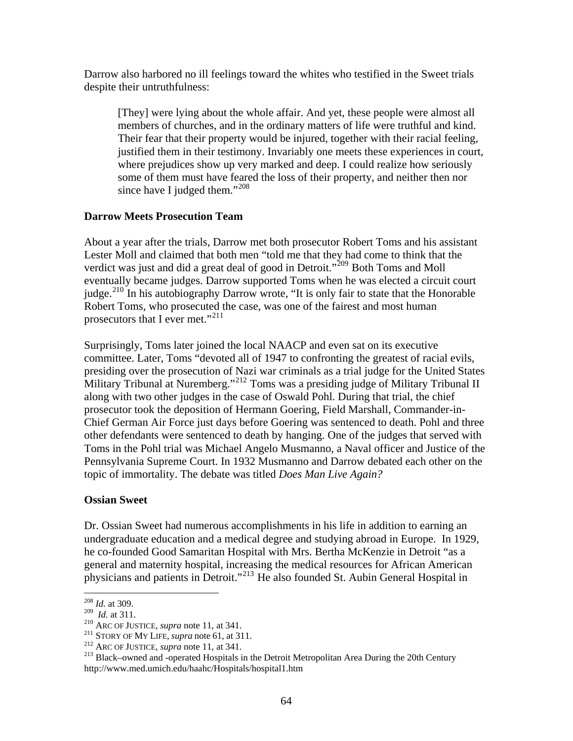Darrow also harbored no ill feelings toward the whites who testified in the Sweet trials despite their untruthfulness:

[They] were lying about the whole affair. And yet, these people were almost all members of churches, and in the ordinary matters of life were truthful and kind. justified them in their testimony. Invariably one meets these experiences in court, where prejudices show up very marked and deep. I could realize how seriously Their fear that their property would be injured, together with their racial feeling, some of them must have feared the loss of their property, and neither then nor since have I judged them."<sup>[208](#page-63-1)</sup>

## **[Darrow Meets Prosecution Te](#page-63-1)am**

About a year after the trials, Darrow met both prosecutor Robert Toms and his assistant judge.<sup>[210](#page-63-2)</sup> In his autobiography Darrow wrote, "It is only fair to state that the Honorable Lester Moll and claimed that both men "told me that they had come to think that the verdict was just and did a great deal of good in Detroit."<sup>[209](#page-63-2)</sup> Both Toms and Moll eventually became judges. Darrow supported Toms when he was elected a circuit court Robert Toms, who prosecuted the case, was one of the fairest and most human [p](#page-63-2)rosecutors that I ever met."<sup>[211](#page-63-2)</sup>

[presiding over the prosecution of Nazi war criminals as a trial judge](#page-63-2) for the United States Military Tribunal at Nuremberg."<sup>[212](#page-63-2)</sup> Toms was a presiding judge of Military Tribunal II along with two other judges in the case of Oswald Pohl. During that trial, the chief prosecutor took the deposition of Hermann Goering, Field Marshall, Commander-in-Chief German Air Force just days before Goering was sentenced to death. Pohl and three Toms in the Pohl trial was Michael Angelo Musmanno, a Naval officer and Justice of the Pennsylvania Supreme Court. In 1932 Musmanno and Darrow debated each other on the [Surprisingly, Toms later joined the local NAACP and even sat on its executive](#page-63-2)  [committee. Later, Toms "devoted all of 1947 to confronting the greatest of racial evils,](#page-63-2)  other defendants were sentenced to death by hanging. One of the judges that served with topic of immortality. The debate was titled *Does Man Live Again?*

#### **Ossian Sweet**

general and maternity hospital, increasing the medical resources for African American physicians and patients in Detroit."<sup>213</sup> He also founded St. Aubin General Hospital in Dr. Ossian Sweet had numerous accomplishments in his life in addition to earning an undergraduate education and a medical degree and studying abroad in Europe. In 1929, he co-founded Good Samaritan Hospital with Mrs. Bertha McKenzie in Detroit "as a

<sup>&</sup>lt;u>.</u> <sup>208</sup> *Id.* at 309.

<span id="page-63-2"></span>

<span id="page-63-1"></span><span id="page-63-0"></span><sup>&</sup>lt;sup>210</sup> *Id.* at 311.<br>
<sup>210</sup> ARC OF JUSTICE, *supra* note 11, at 341.<br>
<sup>211</sup> STORY OF MY LIFE, *supra* note 61, at 311.<br>
<sup>212</sup> ARC OF JUSTICE, *supra* note 11, at 341.<br>
<sup>212</sup> Black–owned and -operated Hospitals in the Detro http://www.med.umich.edu/haahc/Hospitals/hospital1.htm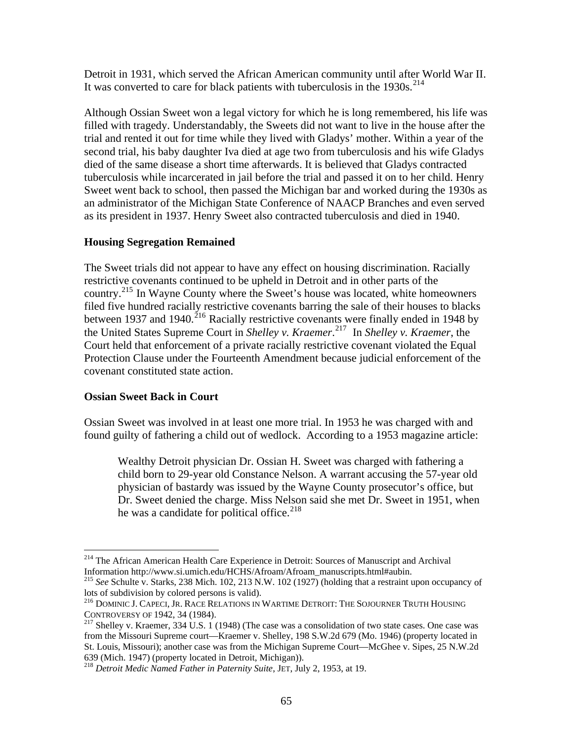Detroit in 1931, which served the African American community until after World War II. It was converted to care for black patients with tuberculosis in the  $1930s$ .<sup>214</sup>

Although Ossian Sweet won a legal victory for which he is long remembered, his life was filled with tragedy. Understandably, the Sweets did not want to live in the house after the trial and rented it out for time while they lived with Gladys' mother. Within a year of the second trial, his baby daughter Iva died at age two from tuberculosis and his wife Gladys died of the same disease a short time afterwards. It is believed that Gladys contracted tuberculosis while incarcerated in jail before the trial and passed it on to her child. Henry Sweet went back to school, then passed the Michigan bar and worked during the 1930s as an administrator of the Michigan State Conference of NAACP Branches and even served as its president in 1937. Henry Sweet also contracted tuberculosis and died in 1940.

## **Housing Segregation Remained**

country.<sup>[215](#page-64-0)</sup> In Wayne County where the Sweet's house was located, white homeowners filed five hundred racially restrictive covenants barring the sale of their houses to blacks between 1937 and 1940.<sup>216</sup> Racially restrictive covenants were finally ended in 1948 by the United States Supreme Court in *Shelley v. Kraemer*.<sup>217</sup> In *Shelley v. Kraemer*, the covenant constituted state action. The Sweet trials did not appear to have any effect on housing discrimination. Racially restrictive covenants continued to be upheld in Detroit and in other parts of the Court held that enforcement of a private racially restrictive covenant violated the Equal Protection Clause under the Fourteenth Amendment because judicial enforcement of the

### **Ossian Sweet Back in Court**

 $\overline{a}$ 

Ossian Sweet was involved in at least one more trial. In 1953 he was charged with and found guilty of fathering a child out of wedlock. According to a 1953 magazine article:

child born to 29-year old Constance Nelson. A warrant accusing the 57-year old physician of bastardy was issued by the Wayne County prosecutor's office, but Dr. Sweet denied the charge. Miss Nelson said she met Dr. Sweet in 1951, when Wealthy Detroit physician Dr. Ossian H. Sweet was charged with fathering a he was a candidate for political office.<sup>[218](#page-65-0)</sup>

Information http://www.si.umich.edu/HCHS/Afroam/Afroam\_manuscripts.html#aubin. Information http://www.si.umich.edu/HCHS/Afroam/Afroam\_manuscripts.html#aubin.<br><sup>215</sup> *See* Schulte v. Starks, 238 Mich. 102, 213 N.W. 102 (1927) (holding that a restraint upon occupancy of <sup>214</sup> The African American Health Care Experience in Detroit: Sources of Manuscript and Archival

<span id="page-64-0"></span>lots of subdivision by colored persons is valid).

<sup>&</sup>lt;sup>216</sup> DOMINIC J. CAPECI, JR. RACE RELATIONS IN WARTIME DETROIT: THE SOJOURNER TRUTH HOUSING CONTROVERSY OF 1942, 34 (1984).

from the Missouri Supreme court—Kraemer v. Shelley, 198 S.W.2d 679 (Mo. 1946) (property located in St. Louis, Missouri); another case was from the Michigan Supreme Court—McGhee v. Sipes, 25 N.W.2d  $^{217}$  Shelley v. Kraemer, 334 U.S. 1 (1948) (The case was a consolidation of two state cases. One case was 639 (Mich. 1947) (property located in Detroit, Michigan)).

<sup>&</sup>lt;sup>218</sup> Detroit Medic Named Father in Paternity Suite, JET, July 2, 1953, at 19.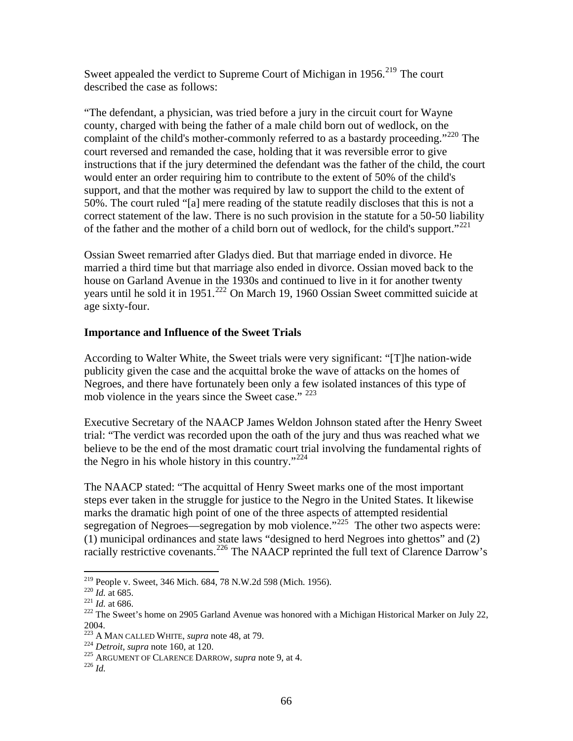Sweet appealed the verdict to Supreme Court of Michigan in  $1956$ <sup>[219](#page-65-1)</sup> The court described the case as follows:

"The defendant, a physician, was tried before a jury in the circuit court for Wayne county, charged with being the father of a male child born out of wedlock, on the complaint of the child's mother-commonly referred to as a bastardy proceeding."<sup>[220](#page-65-1)</sup> The court reversed and remanded the case, holding that it was reversible error to give instructions that if the jury determined the defendant was the father of the child, the court 50%. The court ruled "[a] mere reading of the statute readily discloses that this is not a of the father and the mother of a child born out of wedlock, for the child's support."<sup>221</sup> would enter an order requiring him to contribute to the extent of 50% of the child's support, and that the mother was required by law to support the child to the extent of correct statement of the law. There is no such provision in the statute for a 50-50 liability

Ossian Sweet remarried after Gladys died. But that marriage ended in divorce. He married a third time but that marriage also ended in divorce. Ossian moved back to the house on Garland Avenue in the 1930s and continued to live in it for another twenty years until he sold it in 1951.<sup>[222](#page-65-2)</sup> On March 19, 1960 Ossian Sweet committed suicide at age sixty-four.

# **Importance and Influence of the Sweet Trials**

Negroes, and there have fortunately been only a few isolated instances of this type of mob violence in the years since the Sweet case." 223 According to Walter White, the Sweet trials were very significant: "[T]he nation-wide publicity given the case and the acquittal broke the wave of attacks on the homes of

Executive Secretary of the NAACP James Weldon Johnson stated after the Henry Sweet trial: "The verdict was recorded upon the oath of the jury and thus was reached what we believe to be the end of the most dramatic court trial involving the fundamental rights of [t](#page-65-3)he Negro in his whole history in this country." $224$ 

[steps ever taken in the st](#page-65-3)ruggle for justice to the Negro in the United States. It likewise marks the dramatic high point of one of the three aspects of attempted residential segregation of Negroes—segregation by mob violence."<sup>225</sup> The other two aspects were: 2) (1) municipal ordinances and state laws "designed to herd Negroes into ghettos" and ( racially restrictive covenants.<sup>226</sup> The NAACP reprinted the full text of Clarence Darrow's [The NAACP stated: "The acquittal of Henry Sweet marks one of the most important](#page-65-3) 

 $\overline{a}$  $\overline{a}$ <sup>219</sup> People v. Sweet, 346 Mich. 684, 78 N.W.2d 598 (Mich. 1956).<br><sup>220</sup> *Id.* at 685.

<span id="page-65-1"></span><span id="page-65-0"></span> $^{221}$  *Id.* at 686.

 $222$  The Sweet's home on 2905 Garland Avenue was honored with a Michigan Historical Marker on July 22, 2004.

<span id="page-65-2"></span> $t_{223}^{223}$  A MAN CALLED WHITE, *supra* note 48, at 79.

<sup>224</sup> *Detroit, supra* note 160, at 120.<br>
<sup>225</sup> ARGUMENT OF CLARENCE DARF<br>
<sup>226</sup> *Id.* 

<span id="page-65-3"></span><sup>&</sup>lt;sup>225</sup> ARGUMENT OF CLARENCE DARROW, *supra* note 9, at 4.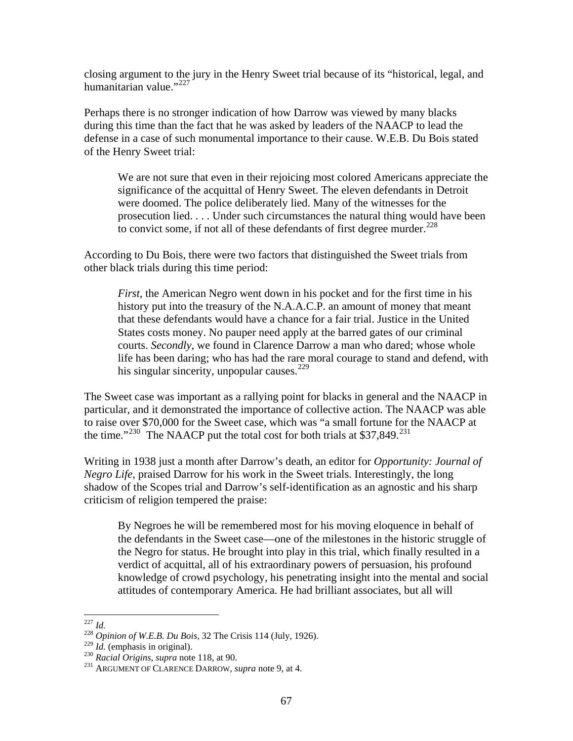closing argument to the jury in the Henry Sweet trial because of its "historical, legal, and humanitarian value."<sup>[227](#page-66-0)</sup>

Perhap[s there is no stronger indication of how Darrow was viewed by many black](#page-66-0)s during this time than the fact that he was asked by leaders of the NAACP to lead the defense in a case of such monumental importance to their cause. W.E.B. Du Bois stated of the Henry Sweet trial:

We are not sure that even in their rejoicing most colored Americans appreciate the significance of the acquittal of Henry Sweet. The eleven defendants in Detroit prosecution lied. . . . Under such circumstances the natural thing would have been were doomed. The police deliberately lied. Many of the witnesses for the to convict some, if not all of these defendants of first degree murder. $^{228}$  $^{228}$  $^{228}$ 

Accord ing to Du Bois, there were two factors that distinguished the Sweet trials from other b lack trials during this time period:

*First*, the American Negro went down in his pocket and for the first time in his courts. *Secondly*, we found in Clarence Darrow a man who dared; whose whole life has been daring; who has had the rare moral courage to stand and defend, with history put into the treasury of the N.A.A.C.P. an amount of money that meant that these defendants would have a chance for a fair trial. Justice in the United States costs money. No pauper need apply at the barred gates of our criminal his singular sincerity, unpopular causes.<sup>229</sup>

particular, and it demonstrated the importance of collective action. The NAACP was able to raise over \$70,000 for the Sweet case, which was "a small fortune for the NAACP at the time."<sup>230</sup> The NAACP put the total cost for both trials at \$37,849.<sup>231</sup> The Sweet case was important as a rallying point for blacks in general and the NAACP in

Writing in 1938 just a month after Darrow's death, an editor for *Opportunity: Journal of Negro Life*, praised Darrow for his work in the Sweet trials. Interestingly, the long shadow of the Scopes trial and Darrow's self-identification as an agnostic and his sharp criticism of religion tempered the praise:

By Negroes he will be remembered most for his moving eloquence in behalf of the defendants in the Sweet case—one of the milestones in the historic struggle of attitudes of contemporary America. He had brilliant associates, but all will the Negro for status. He brought into play in this trial, which finally resulted in a verdict of acquittal, all of his extraordinary powers of persuasion, his profound knowledge of crowd psychology, his penetrating insight into the mental and social

<span id="page-66-0"></span> $^{227}$  *Id.* 

<sup>&</sup>lt;sup>227</sup> Id.<br><sup>228</sup> Opinion of W.E.B. Du Bois, 32 The Crisis 114 (July, 1926).

<span id="page-66-1"></span><sup>&</sup>lt;sup>229</sup> *Id.* (emphasis in original).<br><sup>230</sup> *Racial Origins, supra* note 118, at 90.<br><sup>231</sup> ARGUMENT OF CLARENCE DARROW, *supra* note 9, at 4.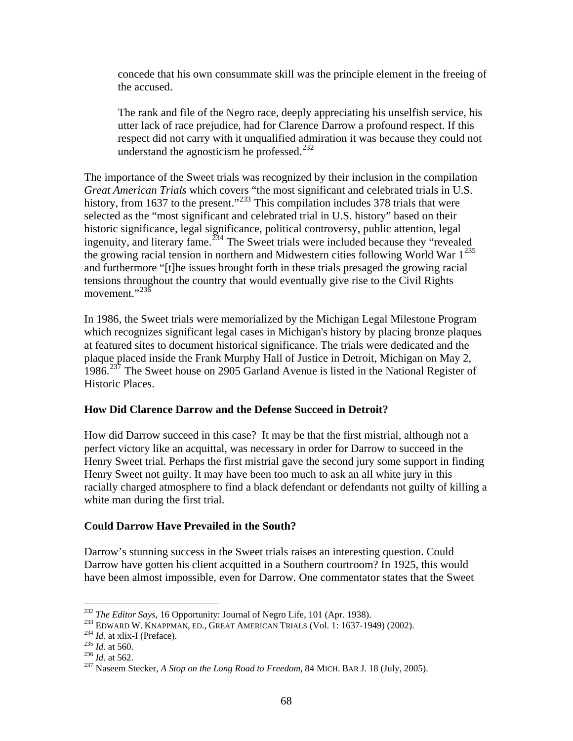concede that his own consummate skill was the principle element in the freeing of the accused.

The rank and file of the Negro race, deeply appreciating his unselfish service, his utter lack of race prejudice, had for Clarence Darrow a profound respect. If this respect did not carry with it unqualified admiration it was because they could not understand the agnosticism he professed. $^{232}$  $^{232}$  $^{232}$ 

history, from 1637 to the present."<sup>[233](#page-67-0)</sup> This compilation includes 378 trials that were tensions throughout the country that would eventually give rise to the Civil Rights movement."<sup>236</sup> [The importance of the Sweet trials was recognized by their inclusion in the compilation](#page-67-0)  *Great American Trials* [which covers "the most significant and celebrated trials in U.S.](#page-67-0)  selected as the "most significant and celebrated trial in U.S. history" based on their historic significance, legal significance, political controversy, public attention, legal ingenuity, and literary fame.<sup> $234$ </sup> The Sweet trials were included because they "revealed the growing racial tension in northern and Midwestern cities following World War  $1^{235}$  $1^{235}$  $1^{235}$ and furthermore "[t]he issues brought forth in these trials presaged the growing racial

In 1986, the Sweet trials were memorialized by the Michigan Legal Milestone Program which recognizes significant legal cases in Michigan's history by placing bronze plaques  $1986.<sup>237</sup>$  The Sweet house on 2905 Garland Avenue is listed in the National Register of at featured sites to document historical significance. The trials were dedicated and the plaque placed inside the Frank Murphy Hall of Justice in Detroit, Michigan on May 2, Historic Places.

# How Did Clarence Darrow and the Defense Succeed in Detroit?

How did Darrow succeed in this case? It may be that the first mistrial, although not a Henry Sweet trial. Perhaps the first mistrial gave the second jury some support in finding perfect victory like an acquittal, was necessary in order for Darrow to succeed in the Henry Sweet not guilty. It may have been too much to ask an all white jury in this racially charged atmosphere to find a black defendant or defendants not guilty of killing a white man during the first trial.

# **Could Darrow Have Prevailed in the South?**

Darrow have gotten his client acquitted in a Southern courtroom? In 1925, this would have been almost impossible, even for Darrow. One commentator states that the Sweet Darrow's stunning success in the Sweet trials raises an interesting question. Could

<sup>232</sup> *The Editor Says*, 16 Opportunity: Journal of Negro Life, 101 (Apr. 1938).

<span id="page-67-0"></span><sup>&</sup>lt;sup>233</sup> EDWARD W. KNAPPMAN, ED., GREAT AMERICAN TRIALS (Vol. 1: 1637-1949) (2002). <sup>233</sup> EDWARD W<br><sup>234</sup> *Id.* at xlix-I<br><sup>235</sup> *Id.* at 560.<br><sup>236</sup> *Id.* at 562.<br><sup>237</sup> Naseem Ste

 <sup>(</sup>Preface).

<span id="page-67-1"></span><sup>&</sup>lt;sup>237</sup> Naseem Stecker, *A Stop on the Long Road to Freedom*, 84 MICH. BAR J. 18 (July, 2005).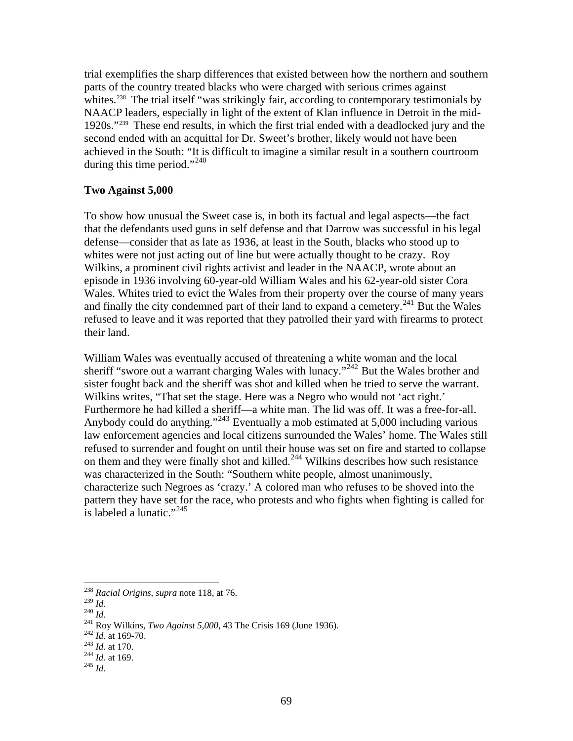trial exemplifies the sharp differences that existed between how the northern and southern parts of the country treated blacks who were charged with serious crimes against whites.<sup>238</sup> The trial itself "was strikingly fair, according to contemporary testimonials by NAACP leaders, especially in light of the extent of Klan influence in Detroit in the mid-1920s."<sup>239</sup> These end results, in which the first trial ended with a deadlocked jury and the second ended with an acquittal for Dr. Sweet's brother, likely would not have been achieved in the South: "It is difficult to imagine a similar result in a southern courtroom during this time period."<sup>[240](#page-68-0)</sup>

#### **Two Against 5,000**

whites were not just acting out of line but were actually thought to be crazy. Roy Wilkins, a prominent civil rights activist and leader in the NAACP, wrote about an episode in 1936 involving 60-year-old William Wales and his 62-year-old sister Cora refused to leave and it was reported that they patrolled their yard with firearms to protect To show how unusual the Sweet case is, in both its factual and legal aspects—the fact that the defendants used guns in self defense and that Darrow was successful in his legal defense—consider that as late as 1936, at least in the South, blacks who stood up to Wales. Whites tried to evict the Wales from their property over the course of many years and finally the city condemned part of their land to expand a cemetery.<sup>[241](#page-68-1)</sup> But the Wales their land.

Wilkins writes, "That set the stage. Here was a Negro who would not 'act right.' law enforcement agencies and local citizens surrounded the Wales' home. The Wales still refused to surrender and fought on until their house was set on fire and started to collapse characterize such Negroes as 'crazy.' A colored man who refuses to be shoved into the pattern they have set for the race, who protests and who fights when fighting is called for is labeled a lunatic."<sup>245</sup> William Wales was eventually accused of threatening a white woman and the local sheriff "swore out a warrant charging Wales with lunacy."[242](#page-68-2) But the Wales brother and sister fought back and the sheriff was shot and killed when he tried to serve the warrant. Furthermore he had killed a sheriff—a white man. The lid was off. It was a free-for-all. Anybody could do anything."<sup>[243](#page-68-3)</sup> Eventually a mob estimated at 5,000 including various on them and they were finally shot and killed.<sup>[244](#page-69-0)</sup> Wilkins describes how such resistance was characterized in the South: "Southern white people, almost unanimously,

<sup>238</sup> *Racial Origins*, *supra* note 118, at 76.

*o Against 5,000*, 43 The Crisis 169 (June 1936). 2<sup>39</sup> *Id.*<br><sup>240</sup> *Id.* 241 Roy Wilkins, *Tw*<br><sup>242</sup> *Id.* at 169-70.<br><sup>243</sup> *Id.* at 169.<br><sup>245</sup> *Id.* 

<span id="page-68-1"></span><span id="page-68-0"></span> $^{242}$  *Id.* at 169-70.

<span id="page-68-3"></span><span id="page-68-2"></span>

 $^{244}$  *Id.* at 169.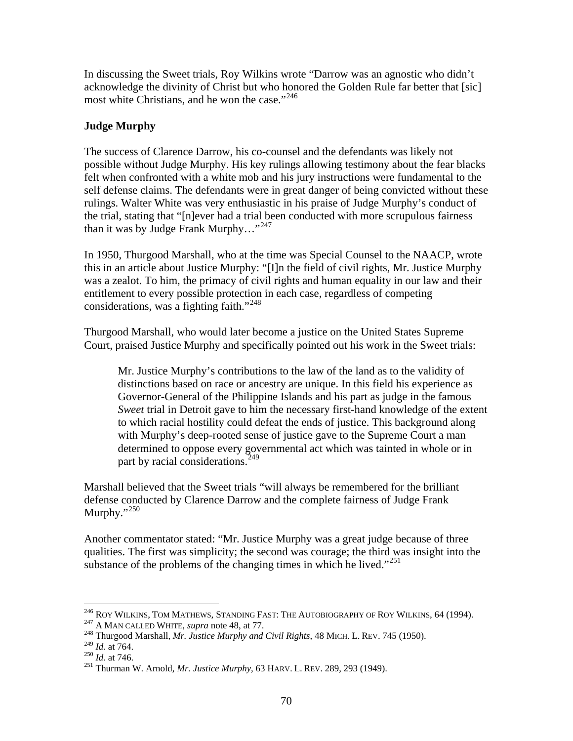In discussing the Sweet trials, Roy Wilkins wrote "Darrow was an agnostic who didn't acknowledge the divinity of Christ but who honored the Golden Rule far better that [sic ] most white Christians, and he won the case."<sup>246</sup>

# **Judge Murphy**

possible without Judge Murphy. His key rulings allowing testimony about the fear blacks felt when confronted with a white mob and his jury instructions were fundamental to the self defense claims. The defendants were in great danger of being convicted without these rulings. Walter White was very enthusiastic in his praise of Judge Murphy's conduct of than it was by Judge Frank Murphy..." $^{247}$ The success of Clarence Darrow, his co-counsel and the defendants was likely not the trial, stating that "[n]ever had a trial been conducted with more scrupulous fairness

In 1950, Thurgood Marshall, who at the time was Special Counsel to the NAACP, wrote this in an article about Justice Murphy: "[I]n the field of civil rights, Mr. Justice Murphy was a z ealot. To him, the primacy of civil rights and human equality in our law and their entitlem ent to every possible protection in each case, regardless of competing considerations, was a fighting faith."<sup>[248](#page-69-1)</sup>

Thurgood Marshall, who would later become a justice on the United States Supreme Court, praised Justice Murphy and specifically pointed out his work in the Sweet trials:

Mr. Justice Murphy's contributions to the law of the land as to the validity of distinctions based on race or ancestry are unique. In this field his experience as Governor-General of the Philippine Islands and his part as judge in the famous Sweet trial in Detroit gave to him the necessary first-hand knowledge of the extent with Murphy's deep-rooted sense of justice gave to the Supreme Court a man determined to oppose every governmental act which was tainted in whole or in to which racial hostility could defeat the ends of justice. This background along part by racial considerations.<sup>249</sup>

Marshall believed that the Sweet trials "will always be remembered for the brilliant defense conducted by Clarence Darrow and the complete fairness of Judge Frank Murphy."<sup>[250](#page-70-0)</sup>

Anothe[r commentator stated: "Mr. Justice Murphy was a great judge because of thre](#page-70-0)e qualitie[s. The first was simplicity; the second was courage; the third was insight into t](#page-70-0)he substan[ce of the problems of the changing times in which he lived."](#page-70-0)<sup>251</sup>

 $\overline{a}$  $^{246}$  Roy Wilkins, Tom Mathews, Standing Fast: The Autobiography of Roy Wilkins, 64 (1994).

<span id="page-69-0"></span><sup>&</sup>lt;sup>247</sup> A MAN CALLED WHITE, *supra* note 48, at 77.

<sup>&</sup>lt;sup>247</sup> A MAN CALLED WHITE, *supra* note 48, at 77.<br><sup>248</sup> Thurgood Marshall, *Mr. Justice Murphy and Civil Rights*, 48 MICH. L. REV. 745 (1950).

<span id="page-69-1"></span>

<sup>&</sup>lt;sup>249</sup> *Id.* at 764.<br><sup>250</sup> *Id.* at 746.<br><sup>251</sup> Thurman W. Arnold, *Mr. Justice Murphy*, 63 HARV. L. REV. 289, 293 (1949).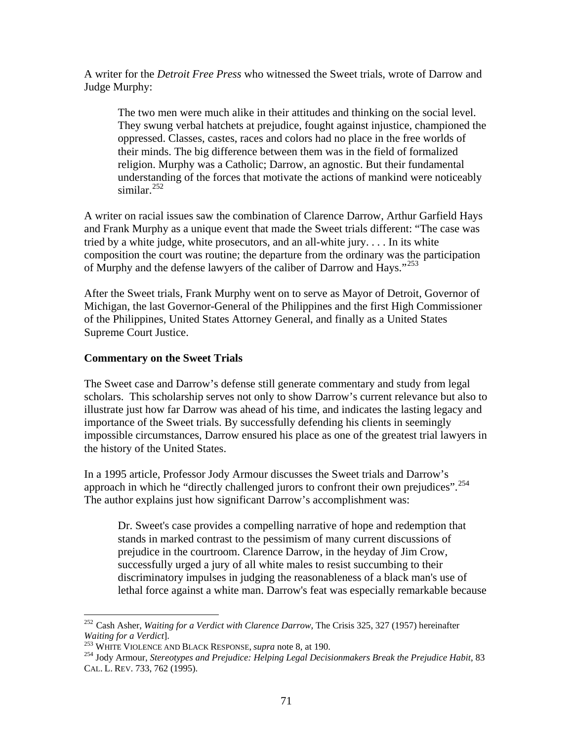A writer for the *Detroit Free Press* who witnessed the Sweet trials, wrote of Darrow and Judge Murphy:

The two men were much alike in their attitudes and thinking on the social level. oppressed. Classes, castes, races and colors had no place in the free worlds of their minds. The big difference between them was in the field of formalized They swung verbal hatchets at prejudice, fought against injustice, championed the religion. Murphy was a Catholic; Darrow, an agnostic. But their fundamental understanding of the forces that motivate the actions of mankind were noticeably similar. $252$ 

A writer on racial issues saw the combination of Clarence Darrow, Arthur Garfield Hays and Frank Murphy as a unique event that made the Sweet trials different: "The case was tried by a white judge, white prosecutors, and an all-white jury.  $\dots$  In its white composition the court was routine; the departure from the ordinary was the participation of Murphy and the defense lawyers of the caliber of Darrow and Hays."<sup>253</sup>

After the Sweet trials, Frank Murphy went on to serve as Mayor of Detroit, Governor of of the Philippines, United States Attorney General, and finally as a United States Supreme Court Justice. Michigan, the last Governor-General of the Philippines and the first High Commissioner

## **Commentary on the Sweet Trials**

The Sweet case and Darrow's defense still generate commentary and study from legal scholars. This scholarship serves not only to show Darrow's current relevance but also to illustrate just how far Darrow was ahead of his time, and indicates the lasting legacy and importa nce of the Sweet trials. By successfully defending his clients in seemingly impossible circumstances, Darrow ensured his place as one of the greatest trial lawyers in the hist ory of the United States.

In a 19 95 article, Professor Jody Armour discusses the Sweet trials and Darrow's approach in which he "directly challenged jurors to confront their own prejudices".  $254$ The author explains just how significant Darrow's accomplishment was:

prejudice in the courtroom. Clarence Darrow, in the heyday of Jim Crow, successfully urged a jury of all white males to resist succumbing to their discriminatory impulses in judging the reasonableness of a black man's use of lethal force against a white man. Darrow's feat was especially remarkable because Dr. Sweet's case provides a compelling narrative of hope and redemption that stands in marked contrast to the pessimism of many current discussions of

1

<span id="page-70-0"></span><sup>252</sup> Cash Asher, *Waiting for a Verdict with Clarence Darrow*, The Crisis 325, 327 (1957) hereinafter Waiting for a Verdict].<br><sup>253</sup> WHITE VIOLENCE AND BLACK RESPONSE, supra note 8, at 190.<br><sup>254</sup> Jody Armour, *Stereotypes and Prejudice: Helping Legal Decisionmakers Break the Prejudice Habit,* 83

CAL. L. REV. 733, 762 (1995).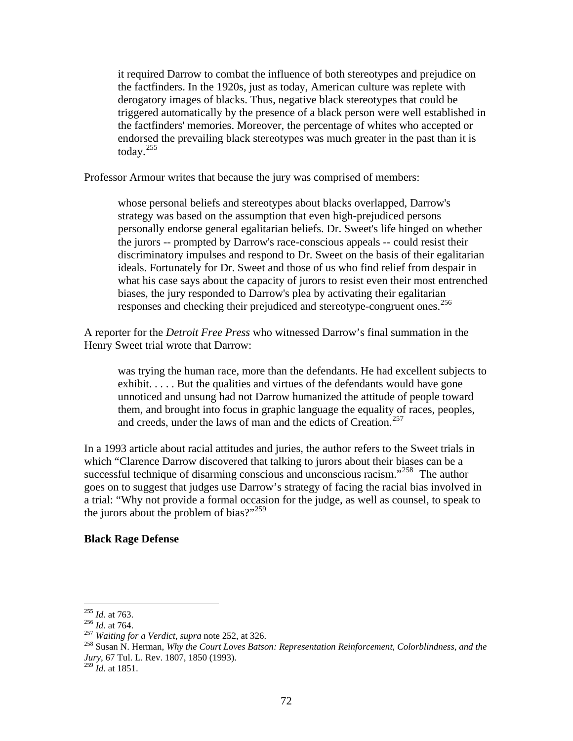it required Darrow to combat the influence of both stereotypes and prejudic e on the factfinders. In the 1920s, just as today, American culture was replete with derogatory images of blacks. Thus, negative black stereotypes that could be triggered automatically by the presence of a black person were well established in the factfinders' memories. Moreover, the percentage of whites who accepted or endorsed the prevailing black stereotypes was much greater in the past than it is today. [255](#page-71-1)

Profess [or Armour writes that because the jury was comprised of members:](#page-71-1) 

strategy was based on the assumption that even high-prejudiced persons personally endorse general egalitarian beliefs. Dr. Sweet's life hinged on whether discriminatory impulses and respond to Dr. Sweet on the basis of their egalitarian what his case says about the capacity of jurors to resist even their most entrenched biases, the jury responded to Darrow's plea by activating their egalitarian responses and checking their prejudiced and stereotype-congruent ones.256 whose personal beliefs and stereotypes about blacks overlapped, Darrow's the jurors -- prompted by Darrow's race-conscious appeals -- could resist their ideals. Fortunately for Dr. Sweet and those of us who find relief from despair in

A reporter for the *Detroit Free Press* who witnessed Darrow's final summation in the Henry Sweet trial wrote that Darrow:

exhibit.  $\ldots$  But the qualities and virtues of the defendants would have gone unnoticed and unsung had not Darrow humanized the attitude of people toward them, and brought into focus in graphic language the equality of races, peoples, and creeds, under the laws of man and the edicts of Creation.<sup>257</sup> was trying the human race, more than the defendants. He had excellent subjects to

In a 1993 article about racial attitudes and juries, the author refers to the Sweet trials in which "Clarence Darrow discovered that talking to jurors about their biases can be a successful technique of disarming conscious and unconscious racism."<sup> $258$ </sup> The author goes on to suggest that judges use Darrow's strategy of facing the racial bias involved in a trial: "Why not provide a formal occasion for the judge, as well as counsel, to speak to the jurors about the problem of bias?" $259$ 

#### **Black R [age Defense](#page-72-0)**

<span id="page-71-1"></span><span id="page-71-0"></span> $^{255}$  *Id.* at 763.

at 326. <sup>255</sup> *Id.* at 763.<br><sup>256</sup> *Id.* at 764.<br><sup>257</sup> Waiting for a Verdict, supra note 252,<br><sup>258</sup> Susan N. Herman, Why the Court Love

<sup>&</sup>lt;sup>258</sup> Susan N. Herman, *Why the Court Loves Batson: Representation Reinforcement, Colorblindness, and the Jury*, 67 Tul. L. Rev. 1807, 1850 (1993).

<sup>259</sup> *Id.* at 1851.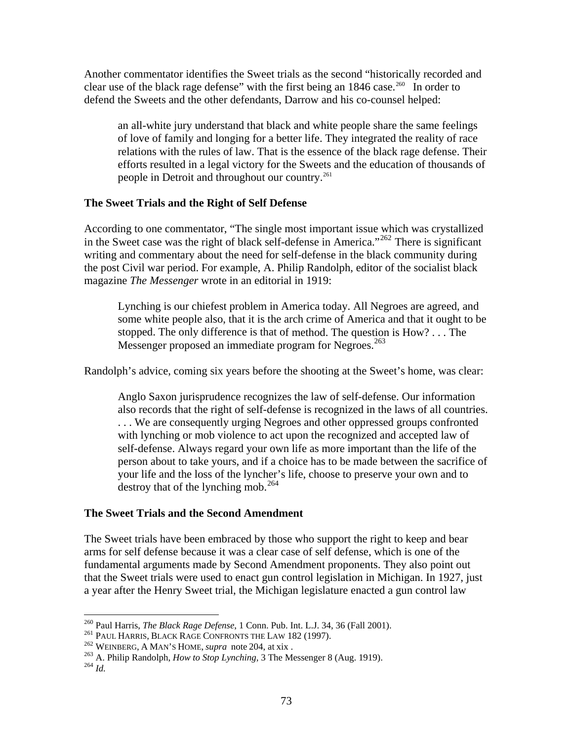Another commentator identifies the Sweet trials as the second "historically recorded and clear use of the black rage defense" with the first being an  $1846$  case.<sup>[260](#page-72-0)</sup> In order to defend the Sweets and the other defendants, Darrow and his co-counsel helped:

an all-white jury understand that black and white people share the same feelings of love of family and longing for a better life. They integrated the reality of race relations with the rules of law. That is the essence of the black rage defense. Their efforts resulted in a legal victory for the Sweets and the education of thousands of people in Detroit and throughout our country.<sup>261</sup>

### **he Sweet Trials and the Right of Self Defense T**

According to one commentator, "The single most important issue which was crystallized in the S weet case was the right of black self-defense in America."[262](#page-72-2) There is significant writing and commentary about the need for self-defense in the black community during the pos t Civil war period. For example, A. Philip Randolph, editor of the socialist black magazi ne *The Messenger* wrote in an editorial in 1919:

some white people also, that it is the arch crime of America and that it ought to be stopped. The only difference is that of method. The question is  $How? \dots$  The Messenger proposed an immediate program for Negroes.<sup>263</sup> Lynching is our chiefest problem in America today. All Negroes are agreed, and

Randolph's advice, coming six years before the shooting at the Sweet's home, was clear:

Anglo Saxon jurisprudence recognizes the law of self-defense. Our information also records that the right of self-defense is recognized in the laws of all countries. person about to take yours, and if a choice has to be made between the sacrifice of . . . We are consequently urging Negroes and other oppressed groups confronted with lynching or mob violence to act upon the recognized and accepted law of self-defense. Always regard your own life as more important than the life of the your life and the loss of the lyncher's life, choose to preserve your own and to destroy that of the lynching mob.<sup>[264](#page-73-0)</sup>

## **[The Sweet Trials and the Second Amendment](#page-73-0)**

The Sweet trials have been embraced by those who support the right to keep and bear arms for self defense because it was a clear case of self defense, which is one of the that the Sweet trials were used to enact gun control legislation in Michigan. In 1927, just fundamental arguments made by Second Amendment proponents. They also point out a year after the Henry Sweet trial, the Michigan legislature enacted a gun control law

 $\overline{a}$ 260 Paul Harris, *The Black Rage Defense*, 1 Conn. Pub. Int. L.J. 34, 36 (Fall 2001).

<span id="page-72-0"></span><sup>&</sup>lt;sup>261</sup> PAUL HARRIS, BLACK RAGE CONFRONTS THE LAW 182 (1997).<br><sup>262</sup> WEINBERG, A MAN'S HOME, *supra* note 204, at xix. <sup>261</sup> PAUL HARRIS, BLACK RAGE CONFRONTS THE LAW 18<br><sup>262</sup> WEINBERG, A MAN'S HOME, *supra* note 204, at xix .<br><sup>263</sup> A. Philip Randolph, *How to Stop Lynching*, 3 The Me<br><sup>264</sup> Id.

<span id="page-72-2"></span><span id="page-72-1"></span>*op Lynching*, 3 The Messenger 8 (Aug. 1919).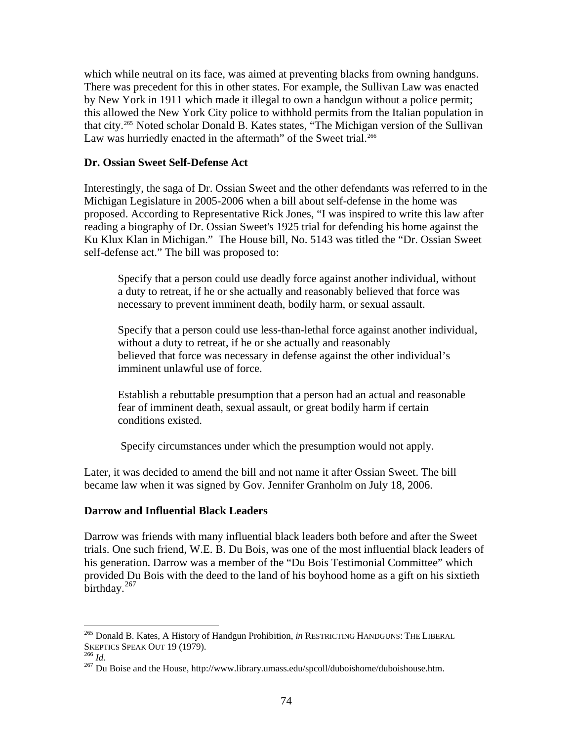which while neutral on its face, was aimed at preventing blacks from owning handguns. There was precedent for this in other states. For example, the Sullivan Law was enacted by New York in 1911 which made it illegal to own a handgun without a police permit; this allowed the New York City police to withhold permits from the Italian population in that cit y.265 Noted scholar Donald B. Kates states, "The Michigan version of the Sullivan Law was hurriedly enacted in the aftermath" of the Sweet trial.<sup>266</sup>

#### **Dr. Ossian Sweet Self-Defense Act**

Interestingly, the saga of Dr. Ossian Sweet and the other defendants was referred to in the Michig an Legislature in 2005-2006 when a bill about self-defense in the home was proposed. According to Representative Rick Jones, "I was inspired to write this law after reading a biography of Dr. Ossian Sweet's 1925 trial for defending his home against the Ku Klux Klan in Michigan." The House bill, No. 5143 was titled the "Dr. Ossian Sweet self-def ense act." The bill was proposed to:

Specify that a person could use deadly force against another individual, without a duty to retreat, if he or she actually and reasonably believed that force was necessary to prevent imminent death, bodily harm, or sexual assault.

Specify that a person could use less-than-lethal force against another individual, without a duty to retreat, if he or she actually and reasonably believed that force was necessary in defense against the other individual's imminent unlawful use of force.

Establish a rebuttable presumption that a person had an actual and reasonable fear of imminent death, sexual assault, or great bodily harm if certain conditions existed.

Specify circumstances under which the presumption would not apply.

Later, it was decided to amend the bill and not name it after Ossian Sweet. The bill became law when it was signed by Gov. Jennifer Granholm on July 18, 2006.

#### **Darrow and Influential Black Leaders**

Darrow was friends with many influential black leaders both before and after the Sweet trials. One such friend, W.E. B. Du Bois, was one of the most influential black leaders of his gen eration. Darrow was a member of the "Du Bois Testimonial Committee" which provide d Du Bois with the deed to the land of his boyhood home as a gift on his sixtieth birthday.<sup>[267](#page-74-0)</sup>

 $\overline{a}$ 

<span id="page-73-0"></span><sup>265</sup> Donald B. Kates, A History of Handgun Prohibition, *in* RESTRICTING HANDGUNS: THE LIBERAL SKEPTICS SPEAK OUT 19 (1979).<br> $^{266}$  *IA* 

<sup>&</sup>lt;sup>266</sup> Id.<br><sup>267</sup> Du Boise and the House, http://www.library.umass.edu/spcoll/duboishome/duboishouse.htm.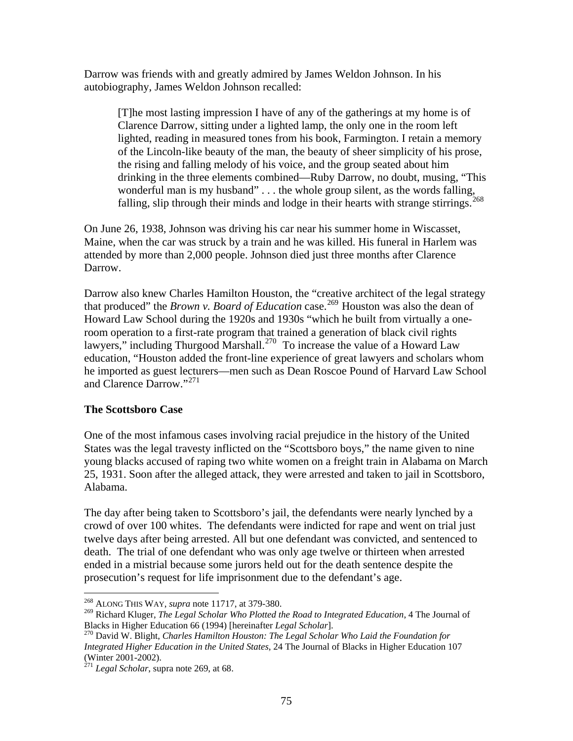Darrow was friends with and greatly admired by James Weldon Johnson. In his autobiography, James Weldon Johnson recalled:

of the Lincoln-like beauty of the man, the beauty of sheer simplicity of his prose, falling, slip through their minds and lodge in their hearts with strange stirrings.  $^{268}$ [T]he most lasting impression I have of any of the gatherings at my home is of Clarence Darrow, sitting under a lighted lamp, the only one in the room left lighted, reading in measured tones from his book, Farmington. I retain a memory the rising and falling melody of his voice, and the group seated about him drinking in the three elements combined—Ruby Darrow, no doubt, musing, "This wonderful man is my husband" . . . the whole group silent, as the words falling,

On June 26, 1938, Johnson was driving his car near his summer home in Wiscasset, Maine, when the car was struck by a train and he was killed. His funeral in Harlem was attended by more than 2,000 people. Johnson died just three months after Clarence Darrow.

that produced" the *Brown v. Board of Education* case.<sup>269</sup> Houston was also the dean of Howard Law School during the 1920s and 1930s "which he built from virtually a onehe imported as guest lecturers—men such as Dean Roscoe Pound of Harvard Law School Darrow also knew Charles Hamilton Houston, the "creative architect of the legal strategy room operation to a first-rate program that trained a generation of black civil rights lawyers," including Thurgood Marshall.<sup>270</sup> To increase the value of a Howard Law education, "Houston added the front-line experience of great lawyers and scholars whom and Clarence Darrow."<sup>271</sup>

## **The Scottsboro Case**

One of the most infamous cases involving racial prejudice in the history of the United States was the legal travesty inflicted on the "Scottsboro boys," the name given to nine young blacks accused of raping two white women on a freight train in Alabama on March 25, 1931. Soon after the alleged attack, they were arrested and taken to jail in Scottsboro, Alabama.

twelve days after being arrested. All but one defendant was convicted, and sentenced to death. The trial of one defendant who was only age twelve or thirteen when arrested ended in a mistrial because some jurors held out for the death sentence despite the prosecution's request for life imprisonment due to the defendant's age. The day after being taken to Scottsboro's jail, the defendants were nearly lynched by a crowd of over 100 whites. The defendants were indicted for rape and went on trial just

 $\overline{a}$ 268 ALONG THIS WAY, *supra* note 11717, at 379-380.

<span id="page-74-0"></span><sup>&</sup>lt;sup>269</sup> Richard Kluger, *The Legal Scholar Who Plotted the Road to Integrated Education*, 4 The Journal of Blacks in Higher Education 66 (1994) [hereinafter *Legal Scholar*].

<sup>&</sup>lt;sup>270</sup> David W. Blight, *Charles Hamilton Houston: The Legal Scholar Who Laid the Foundation for Integrated Higher Education in the United States*, 24 The Journal of Blacks in Higher Education 107 (Winter 2001-2002).

<sup>&</sup>lt;sup>271</sup> *Legal Scholar*, supra note 269, at 68.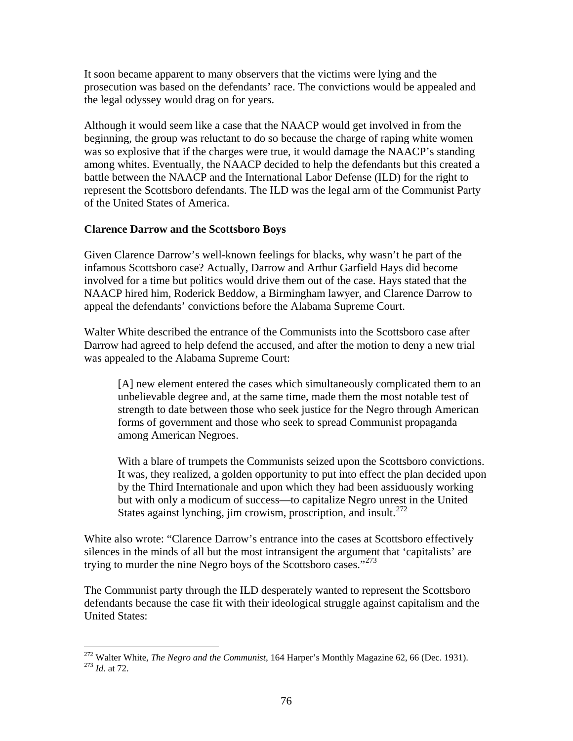It soon became apparent to many observers that the victims were lying and the prosecution was based on the defendants' race. The convictions would be appealed and the legal odyssey would drag on for years.

Although it would seem like a case that the NAACP would get involved in from the beginning, the group was reluctant to do so because the charge of raping white women battle between the NAACP and the International Labor Defense (ILD) for the right to represent the Scottsboro defendants. The ILD was the legal arm of the Communist Party of the U nited States of America. was so explosive that if the charges were true, it would damage the NAACP's standing among whites. Eventually, the NAACP decided to help the defendants but this created a

### **Clarence Darrow and the Scottsboro Boys**

Given Clarence Darrow's well-known feelings for blacks, why wasn't he part of the infamous Scottsboro case? Actually, Darrow and Arthur Garfield Hays did become involve d for a time but politics would drive them out of the case. Hays stated that the NAAC P hired him, Roderick Beddow, a Birmingham lawyer, and Clarence Darrow to appeal the defendants' convictions before the Alabama Supreme Court.

Walter White described the entrance of the Communists into the Scottsboro case after Darrow had agreed to help defend the accused, and after the motion to deny a new trial was appealed to the Alabama Supreme Court:

[A] new element entered the cases which simultaneously complicated them to an unbelievable degree and, at the same time, made them the most notable test of among American Negroes. strength to date between those who seek justice for the Negro through American forms of government and those who seek to spread Communist propaganda

With a blare of trumpets the Communists seized upon the Scottsboro convictions. It was, they realized, a golden opportunity to put into effect the plan decided upon by the Third Internationale and upon which they had been assiduously working States against lynching, jim crowism, proscription, and insult.<sup>272</sup> but with only a modicum of success—to capitalize Negro unrest in the United

White also wrote: "Clarence Darrow's entrance into the cases at Scottsboro effectively silences in the minds of all but the most intransigent the argument that 'capitalists' are trying to murder the nine Negro boys of the Scottsboro cases."<sup>[273](#page-76-0)</sup>

The Co[mmunist party through the ILD desperately wanted to represent the Scottsbor](#page-76-0)o defendants because the case fit with their ideological struggle against capitalism and the United States:

<sup>&</sup>lt;sup>272</sup> Walter White, *The Negro and the Communist*, 164 Harper's Monthly Magazine 62, 66 (Dec. 1931).<br><sup>273</sup> Id. at 72.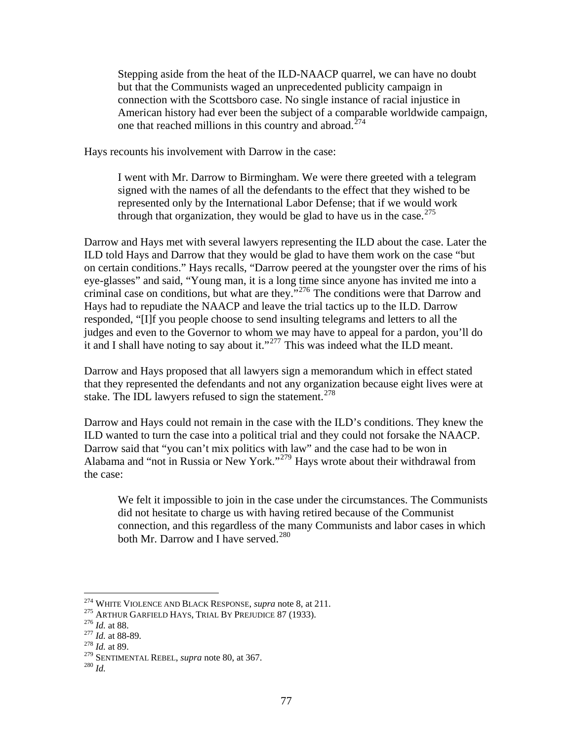Stepping aside from the heat of the ILD-NAACP quarrel, we can have no doubt but that the Communists waged an unprecedented publicity campaign in connection with the Scottsboro case. No single instance of racial injustice in American history had ever been the subject of a comparable worldwide campaign, one that reached millions in this country and abroad.<sup>[274](#page-76-1)</sup>

[Hays recounts his involvement with Darrow in the case:](#page-76-1) 

[signed with the names of all the defendants to the effect that they wished to](#page-76-1) be represented only by the International Labor Defense; that if we would work [I went with Mr. Darrow to Birmingham. We were there greeted with a telegram](#page-76-1)  through that organization, they would be glad to have us in the case.  $275$ 

[Darrow and Hays met with several lawyers representing t](#page-76-2)he ILD about the case. Later the ILD told Hays and Darrow that they would be glad to have them work on the case "but criminal case on conditions, but what are they."<sup>[276](#page-76-3)</sup> The conditions were that Darrow and responded, "[I]f you people choose to send insulting telegrams and letters to all the dges and even to the Governor to whom we may have to appeal for a pardon, you'll do it and I on certain conditions." Hays recalls, "Darrow peered at the youngster over the rims of his eye-glasses" and said, "Young man, it is a long time since anyone has invited me into a Hays had to repudiate the NAACP and leave the trial tactics up to the ILD. Darrow ju shall have noting to say about it."<sup>[277](#page-76-4)</sup> This was indeed what the ILD meant.

Darrow and Hays proposed that all lawyers sign a memorandum which in effect stated that they represented the defendants and not any organization because eight lives were at stake. The IDL lawyers refused to sign the statement. $278$ 

Darrow and Hays could not remain in the case with the ILD's conditions. They knew the ILD wanted to turn the case into a political trial and they could not forsake the NAACP. Darrow said that "you can't mix politics with law" and the case had to be won in Alabama and "not in Russia or New York."[279](#page-77-0) Hays wrote about their withdrawal from the case:

We felt it impossible to join in the case under the circumstances. The Communists did not hesitate to charge us with having retired because of the Communist connection, and this regardless of the many Communists and labor cases in which both Mr. Darrow and I have served.<sup>280</sup>

<u>.</u>

<sup>274</sup> WHITE VIOLENCE AND BLACK RESPONSE, *supra* note 8, at 211.

<span id="page-76-0"></span><sup>&</sup>lt;sup>275</sup> ARTHUR GARFIELD HAYS, TRIAL BY PREJUDICE 87 (1933). <sup>275</sup> ARTHUR G<br><sup>276</sup> *Id.* at 88.<br><sup>277</sup> *Id.* at 88-89<br><sup>278</sup> *Id.* at 89.

<span id="page-76-1"></span>

<sup>9.</sup> 

<span id="page-76-2"></span> $T^{278}$  *Id.* at 89.<br><sup>278</sup> SENTIMENTAL REBEL, *supra* note 80, at 367.

<span id="page-76-4"></span><span id="page-76-3"></span> $^{280}$  *Id.*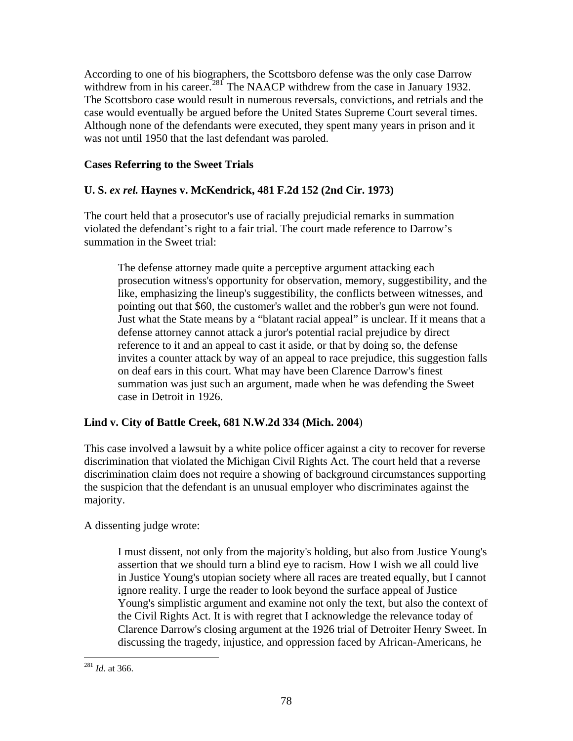According to one of his biographers, the Scottsboro defense was the only case Darrow withdrew from in his career.<sup>281</sup> The NAACP withdrew from the case in January 1932. The Sc ottsboro case would result in numerous reversals, convictions, and retrials and the case wo uld eventually be argued before the United States Supreme Court several times. Althou gh none of the defendants were executed, they spent many years in prison and it was no t until 1950 that the last defendant was paroled.

## **Cases R eferring to the Sweet Trials**

# U. S. *ex rel.* Haynes v. McKendrick, 481 F.2d 152 (2nd Cir. 1973)

The court held that a prosecutor's use of racially prejudicial remarks in summation violated the defendant's right to a fair trial. The court made reference to Darrow's summation in the Sweet trial:

pointing out that \$60, the customer's wallet and the robber's gun were not found. Just what the State means by a "blatant racial appeal" is unclear. If it means that a defense attorney cannot attack a juror's potential racial prejudice by direct reference to it and an appeal to cast it aside, or that by doing so, the defense invites a counter attack by way of an appeal to race prejudice, this suggestion falls The defense attorney made quite a perceptive argument attacking each prosecution witness's opportunity for observation, memory, suggestibility, and the like, emphasizing the lineup's suggestibility, the conflicts between witnesses, and on deaf ears in this court. What may have been Clarence Darrow's finest summation was just such an argument, made when he was defending the Sweet case in Detroit in 1926.

# **Lind v . City of Battle Creek, 681 N.W.2d 334 (Mich. 2004**)

This ca se involved a lawsuit by a white police officer against a city to recover for reverse discrim ination that violated the Michigan Civil Rights Act. The court held that a reverse discrimination claim does not require a showing of background circumstances supporting the susp icion that the defendant is an unusual employer who discriminates against the majorit y.

A dissenting judge wrote:

I must dissent, not only from the majority's holding, but also from Justice Young's assertion that we should turn a blind eye to racism. How I wish we all could live in Justice Young's utopian society where all races are treated equally, but I cannot ignore reality. I urge the reader to look beyond the surface appeal of Justice Young's simplistic argument and examine not only the text, but also the context of the Civil Rights Act. It is with regret that I acknowledge the relevance today of Clarence Darrow's closing argument at the 1926 trial of Detroiter Henry Sweet. In discussing the tragedy, injustice, and oppression faced by African-Americans, he

 $\overline{a}$ 

<span id="page-77-0"></span><sup>281</sup> *Id.* at 366.